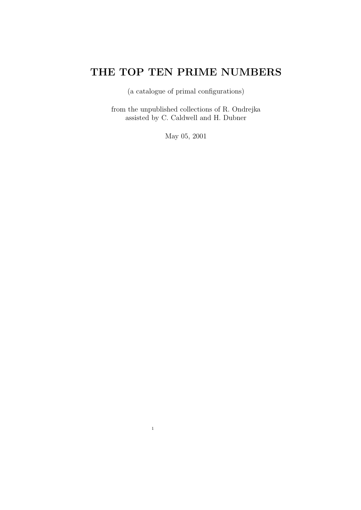# THE TOP TEN PRIME NUMBERS

(a catalogue of primal configurations)

from the unpublished collections of R. Ondrejka assisted by C. Caldwell and H. Dubner

May 05, 2001

1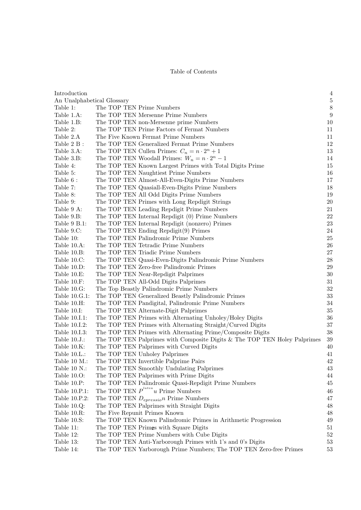#### Table of Contents

| Introduction                   |                                                                           | $\overline{4}$ |
|--------------------------------|---------------------------------------------------------------------------|----------------|
| An Unalphabetical Glossary     |                                                                           | $\overline{5}$ |
| Table 1:                       | The TOP TEN Prime Numbers                                                 | $\,$ $\,$      |
| Table 1.A:                     | The TOP TEN Mersenne Prime Numbers                                        | 9              |
| Table 1.B:                     | The TOP TEN non-Mersenne prime Numbers                                    | 10             |
| Table 2:                       | The TOP TEN Prime Factors of Fermat Numbers                               | 11             |
| Table 2.A                      | The Five Known Fermat Prime Numbers                                       | 11             |
| Table 2 B:                     | The TOP TEN Generalized Fermat Prime Numbers                              | 12             |
| Table 3.A:                     | The TOP TEN Cullen Primes: $C_n = n \cdot 2^n + 1$                        | 13             |
| Table 3.B:                     | The TOP TEN Woodall Primes: $W_n = n \cdot 2^n - 1$                       | 14             |
| Table 4:                       | The TOP TEN Known Largest Primes with Total Digits Prime                  | 15             |
| Table 5:                       | The TOP TEN Naughtiest Prime Numbers                                      | 16             |
| Table 6 :                      | The TOP TEN Almost-All-Even-Digits Prime Numbers                          | 17             |
| Table 7:                       | The TOP TEN Quasiall-Even-Digits Prime Numbers                            | 18             |
| Table 8:                       | The TOP TEN All Odd Digits Prime Numbers                                  | 19             |
| Table 9:                       | The TOP TEN Primes with Long Repdigit Strings                             | 20             |
| Table 9 A:                     | The TOP TEN Leading Repdigit Prime Numbers                                | 21             |
| Table 9.B:                     | The TOP TEN Internal Repdigit (0) Prime Numbers                           | 22             |
| Table 9 B.1:                   | The TOP TEN Internal Repdigit (nonzero) Primes                            | 23             |
| Table 9.C:                     | The TOP TEN Ending Repdigit(9) Primes                                     | 24             |
| Table 10:                      | The TOP TEN Palindromic Prime Numbers                                     | 25             |
| Table 10.A:                    | The TOP TEN Tetradic Prime Numbers                                        | 26             |
| Table 10.B:                    | The TOP TEN Triadic Prime Numbers                                         | 27             |
| Table 10.C:                    | The TOP TEN Quasi-Even-Digits Palindromic Prime Numbers                   | 28             |
| Table 10.D:                    | The TOP TEN Zero-free Palindromic Primes                                  | 29             |
| Table 10.E:                    | The TOP TEN Near-Repdigit Palprimes                                       | 30             |
| Table 10.F:                    | The TOP TEN All-Odd Digits Palprimes                                      | 31             |
| Table 10.G:                    | The Top Beastly Palindromic Prime Numbers                                 | 32             |
| Table 10.G.1:                  | The TOP TEN Generalized Beastly Palindromic Primes                        | 33             |
| Table 10.H:                    |                                                                           | 34             |
| Table 10.I:                    | The TOP TEN Pandigital, Palindromic Prime Numbers                         | 35             |
| Table 10.I.1:                  | The TOP TEN Alternate-Digit Palprimes                                     | 36             |
|                                | The TOP TEN Primes with Alternating Unholey/Holey Digits                  | 37             |
| Table 10.1.2:<br>Table 10.I.3: | The TOP TEN Primes with Alternating Straight/Curved Digits                | 38             |
|                                | The TOP TEN Primes with Alternating Prime/Composite Digits                |                |
| Table $10.J.:$                 | The TOP TEN Palprimes with Composite Digits & The TOP TEN Holey Palprimes | 39             |
| Table 10.K:                    | The TOP TEN Palprimes with Curved Digits                                  | 40             |
| Table $10.L.:$                 | The TOP TEN Unholey Palprimes                                             | 41             |
| Table 10 M.:                   | The TOP TEN Invertible Palprime Pairs                                     | 42             |
| Table 10 N.:                   | The TOP TEN Smoothly Undulating Palprimes                                 | 43             |
| Table 10.0:                    | The TOP TEN Palprimes with Prime Digits                                   | 44             |
| Table 10.P:                    | The TOP TEN Palindromic Quasi-Repdigit Prime Numbers                      | 45             |
| Table 10.P.1:                  | The TOP TEN $P^{latea}u$ Prime Numbers                                    | 46             |
| Table 10.P.2:                  | The TOP TEN $D_{epressio}$ Prime Numbers                                  | 47             |
| Table $10.Q$ :                 | The TOP TEN Palprimes with Straight Digits                                | 48             |
| Table 10.R:                    | The Five Repunit Primes Known                                             | 48             |
| Table 10.S:                    | The TOP TEN Known Palindromic Primes in Arithmetic Progression            | 49             |
| Table 11:                      | The TOP TEN Primes with Square Digits                                     | 51             |
| Table 12:                      | The TOP TEN Prime Numbers with Cube Digits                                | 52             |
| Table 13:                      | The TOP TEN Anti-Yarborough Primes with 1's and 0's Digits                | 53             |
| Table 14:                      | The TOP TEN Yarborough Prime Numbers; The TOP TEN Zero-free Primes        | 53             |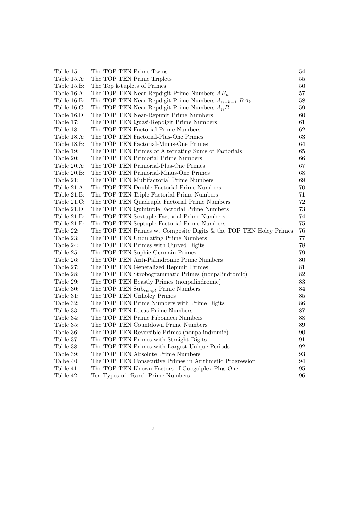| Table 15:   | The TOP TEN Prime Twins                                           | 54     |
|-------------|-------------------------------------------------------------------|--------|
| Table 15.A: | The TOP TEN Prime Triplets                                        | $55\,$ |
| Table 15.B: | The Top k-tuplets of Primes                                       | 56     |
| Table 16.A: | The TOP TEN Near Repdigit Prime Numbers $AB_n$                    | 57     |
| Table 16.B: | The TOP TEN Near-Repdigit Prime Numbers $A_{n-k-1} BA_k$          | $58\,$ |
| Table 16.C: | The TOP TEN Near Repdigit Prime Numbers $A_nB$                    | $59\,$ |
| Table 16.D: | The TOP TEN Near-Repunit Prime Numbers                            | $60\,$ |
| Table 17:   | The TOP TEN Quasi-Repdigit Prime Numbers                          | 61     |
| Table 18:   | The TOP TEN Factorial Prime Numbers                               | $62\,$ |
| Table 18.A: | The TOP TEN Factorial-Plus-One Primes                             | 63     |
| Table 18.B: | The TOP TEN Factorial-Minus-One Primes                            | 64     |
| Table 19:   | The TOP TEN Primes of Alternating Sums of Factorials              | 65     |
| Table 20:   | The TOP TEN Primorial Prime Numbers                               | 66     |
| Table 20.A: | The TOP TEN Primorial-Plus-One Primes                             | 67     |
| Table 20.B: | The TOP TEN Primorial-Minus-One Primes                            | 68     |
| Table 21:   | The TOP TEN Multifactorial Prime Numbers                          | 69     |
| Table 21.A: | The TOP TEN Double Factorial Prime Numbers                        | $70\,$ |
| Table 21.B: | The TOP TEN Triple Factorial Prime Numbers                        | 71     |
| Table 21.C: | The TOP TEN Quadruple Factorial Prime Numbers                     | $72\,$ |
| Table 21.D: | The TOP TEN Quintuple Factorial Prime Numbers                     | 73     |
| Table 21.E: | The TOP TEN Sextuple Factorial Prime Numbers                      | 74     |
| Table 21.F: | The TOP TEN Septuple Factorial Prime Numbers                      | 75     |
| Table 22:   | The TOP TEN Primes w. Composite Digits & the TOP TEN Holey Primes | 76     |
| Table 23:   | The TOP TEN Undulating Prime Numbers                              | 77     |
| Table 24:   | The TOP TEN Primes with Curved Digits                             | 78     |
| Table 25:   | The TOP TEN Sophie Germain Primes                                 | $79\,$ |
| Table 26:   | The TOP TEN Anti-Palindromic Prime Numbers                        | 80     |
| Table 27:   | The TOP TEN Generalized Repunit Primes                            | 81     |
| Table 28:   | The TOP TEN Strobogrammatic Primes (nonpalindromic)               | $82\,$ |
| Table 29:   | The TOP TEN Beastly Primes (nonpalindromic)                       | $83\,$ |
| Table 30:   | The TOP TEN Sub <sub>script</sub> Prime Numbers                   | 84     |
| Table 31:   | The TOP TEN Unholey Primes                                        | 85     |
| Table 32:   | The TOP TEN Prime Numbers with Prime Digits                       | 86     |
| Table 33:   | The TOP TEN Lucas Prime Numbers                                   | $87\,$ |
| Table 34:   | The TOP TEN Prime Fibonacci Numbers                               | 88     |
| Table 35:   | The TOP TEN Countdown Prime Numbers                               | $89\,$ |
| Table 36:   | The TOP TEN Reversible Primes (nonpalindromic)                    | $90\,$ |
| Table 37:   | The TOP TEN Primes with Straight Digits                           | 91     |
| Table 38:   | The TOP TEN Primes with Largest Unique Periods                    | 92     |
| Table 39:   | The TOP TEN Absolute Prime Numbers                                | 93     |
| Talbe 40:   | The TOP TEN Consecutive Primes in Arithmetic Progression          | 94     |
| Table 41:   | The TOP TEN Known Factors of Googolplex Plus One                  | 95     |
| Table 42:   | Ten Types of "Rare" Prime Numbers                                 | 96     |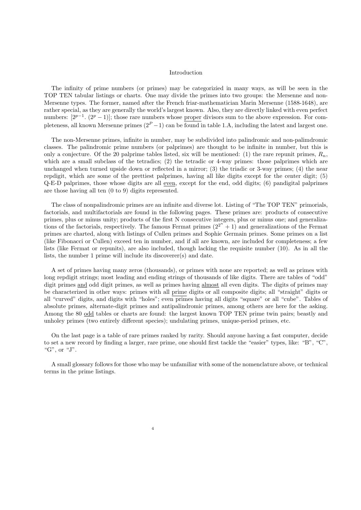#### Introduction

The infinity of prime numbers (or primes) may be categorizied in many ways, as will be seen in the TOP TEN tabular listings or charts. One may divide the primes into two groups: the Mersenne and non-Mersenne types. The former, named after the French friar-mathematician Marin Mersenne (1588-1648), are rather special, as they are generally the world's largest known. Also, they are directly linked with even perfect numbers:  $[2^{p-1} \tcdot (2^p - 1)]$ ; those rare numbers whose proper divisors sum to the above expression. For completeness, all known Mersenne primes  $(2^P - 1)$  can be found in table 1.A, including the latest and largest one.

The non-Mersenne primes, infinite in number, may be subdivided into palindromic and non-palimdromic classes. The palindromic prime numbers (or palprimes) are thought to be infinite in number, but this is only a conjecture. Of the 20 palprime tables listed, six will be mentioned: (1) the rare repunit primes,  $R_n$ , which are a small subclass of the tetradics; (2) the tetradic or 4-way primes: those palprimes which are unchanged when turned upside down or reflected in a mirror; (3) the triadic or 3-way primes; (4) the near repdigit, which are some of the prettiest palprimes, having all like digits except for the center digit; (5) Q-E-D palprimes, those whose digits are all even, except for the end, odd digits; (6) pandigital palprimes are those having all ten (0 to 9) digits represented.

The class of nonpalindromic primes are an infinite and diverse lot. Listing of "The TOP TEN" primorials, factorials, and multifactorials are found in the following pages. These primes are: products of consecutive primes, plus or minus unity; products of the first N consecutive integers, plus or minus one; and generalizations of the factorials, respectively. The famous Fermat primes  $(2^{2^n} + 1)$  and generalizations of the Fermat primes are charted, along with listings of Cullen primes and Sophie Germain primes. Some primes on a list (like Fibonacci or Cullen) exceed ten in number, and if all are known, are included for completeness; a few lists (like Fermat or repunits), are also included, though lacking the requisite number (10). As in all the lists, the number 1 prime will include its discoverer(s) and date.

A set of primes having many zeros (thousands), or primes with none are reported; as well as primes with long repdigit strings; most leading and ending strings of thousands of like digits. There are tables of "odd" digit primes and odd digit primes, as well as primes having almost all even digits. The digits of primes may be characterized in other ways: primes with all prime digits or all composite digits; all "straight" digits or all "curved" digits, and digits with "holes"; even primes having all digits "square" or all "cube". Tables of absolute primes, alternate-digit primes and antipalindromic primes, among others are here for the asking. Among the 80 odd tables or charts are found: the largest known TOP TEN prime twin pairs; beastly and unholey primes (two entirely different species); undulating primes, unique-period primes, etc.

On the last page is a table of rare primes ranked by rarity. Should anyone having a fast computer, decide to set a new record by finding a larger, rare prime, one should first tackle the "easier" types, like: "B", "C", "G", or "J".

A small glossary follows for those who may be unfamiliar with some of the nomenclature above, or technical terms in the prime listings.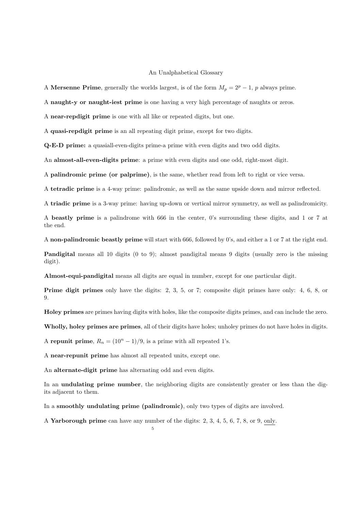#### An Unalphabetical Glossary

A Mersenne Prime, generally the worlds largest, is of the form  $M_p = 2^p - 1$ , p always prime.

A naught-y or naught-iest prime is one having a very high percentage of naughts or zeros.

A near-repdigit prime is one with all like or repeated digits, but one.

A quasi-repdigit prime is an all repeating digit prime, except for two digits.

Q-E-D prime: a quasiall-even-digits prime-a prime with even digits and two odd digits.

An almost-all-even-digits prime: a prime with even digits and one odd, right-most digit.

A palindromic prime (or palprime), is the same, whether read from left to right or vice versa.

A tetradic prime is a 4-way prime: palindromic, as well as the same upside down and mirror reflected.

A triadic prime is a 3-way prime: having up-down or vertical mirror symmetry, as well as palindromicity.

A beastly prime is a palindrome with 666 in the center, 0's surrounding these digits, and 1 or 7 at the end.

A non-palindromic beastly prime will start with 666, followed by 0's, and either a 1 or 7 at the right end.

Pandigital means all 10 digits (0 to 9); almost pandigital means 9 digits (usually zero is the missing digit).

Almost-equi-pandigital means all digits are equal in number, except for one particular digit.

Prime digit primes only have the digits: 2, 3, 5, or 7; composite digit primes have only: 4, 6, 8, or 9.

Holey primes are primes having digits with holes, like the composite digits primes, and can include the zero.

Wholly, holey primes are primes, all of their digits have holes; unholey primes do not have holes in digits.

A repunit prime,  $R_n = (10^n - 1)/9$ , is a prime with all repeated 1's.

A near-repunit prime has almost all repeated units, except one.

An alternate-digit prime has alternating odd and even digits.

In an **undulating prime number**, the neighboring digits are consistently greater or less than the digits adjacent to them.

In a smoothly undulating prime (palindromic), only two types of digits are involved.

A Yarborough prime can have any number of the digits: 2, 3, 4, 5, 6, 7, 8, or 9, only.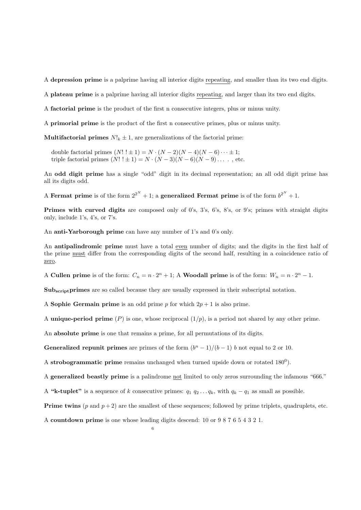A depression prime is a palprime having all interior digits repeating, and smaller than its two end digits.

A plateau prime is a palprime having all interior digits repeating, and larger than its two end digits.

A factorial prime is the product of the first n consecutive integers, plus or minus unity.

A primorial prime is the product of the first n consecutive primes, plus or minus unity.

**Multifactorial primes**  $N!_k \pm 1$ , are generalizations of the factorial prime:

double factorial primes  $(N! : \pm 1) = N \cdot (N-2)(N-4)(N-6) \cdots \pm 1;$ triple factorial primes  $(N! \ 1 \pm 1) = N \cdot (N-3)(N-6)(N-9) \dots$ , etc.

An odd digit prime has a single "odd" digit in its decimal representation; an all odd digit prime has all its digits odd.

A Fermat prime is of the form  $2^{2^N} + 1$ ; a generalized Fermat prime is of the form  $b^{2^N} + 1$ .

Primes with curved digits are composed only of 0's, 3's, 6's, 8's, or 9's; primes with straight digits only, include 1's, 4's, or 7's.

An anti-Yarborough prime can have any number of 1's and 0's only.

An antipalindromic prime must have a total even number of digits; and the digits in the first half of the prime must differ from the corresponding digits of the second half, resulting in a coincidence ratio of zero.

A Cullen prime is of the form:  $C_n = n \cdot 2^n + 1$ ; A Woodall prime is of the form:  $W_n = n \cdot 2^n - 1$ .

Subscript primes are so called because they are usually expressed in their subscriptal notation.

A Sophie Germain prime is an odd prime p for which  $2p + 1$  is also prime.

A unique-period prime  $(P)$  is one, whose reciprocal  $(1/p)$ , is a period not shared by any other prime.

An absolute prime is one that remains a prime, for all permutations of its digits.

Generalized repunit primes are primes of the form  $(b<sup>n</sup> - 1)/(b - 1)$  b not equal to 2 or 10.

A strobogrammatic prime remains unchanged when turned upside down or rotated  $180^0$ ).

A generalized beastly prime is a palindrome not limited to only zeros surrounding the infamous "666."

A "k-tuplet" is a sequence of k consecutive primes:  $q_1$   $q_2$ ... $q_k$ , with  $q_k - q_1$  as small as possible.

**Prime twins**  $(p \text{ and } p+2)$  are the smallest of these sequences; followed by prime triplets, quadruplets, etc.

A countdown prime is one whose leading digits descend: 10 or 9 8 7 6 5 4 3 2 1.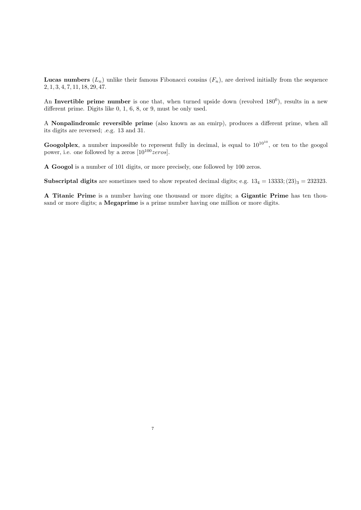**Lucas numbers**  $(L_n)$  unlike their famous Fibonacci cousins  $(F_n)$ , are derived initially from the sequence 2, 1, 3, 4, 7, 11, 18, 29, 47.

An Invertible prime number is one that, when turned upside down (revolved  $180^0$ ), results in a new different prime. Digits like 0, 1, 6, 8, or 9, must be only used.

A Nonpalindromic reversible prime (also known as an emirp), produces a different prime, when all its digits are reversed; .e.g. 13 and 31.

Googolplex, a number impossible to represent fully in decimal, is equal to  $10^{10^{10}}$ , or ten to the googol power, i.e. one followed by a zeros  $[10^{100} \text{zeros}]$ .

A Googol is a number of 101 digits, or more precisely, one followed by 100 zeros.

7

**Subscriptal digits** are sometimes used to show repeated decimal digits; e.g.  $13_4 = 13333$ ;  $(23)_3 = 232323$ .

A Titanic Prime is a number having one thousand or more digits; a Gigantic Prime has ten thousand or more digits; a **Megaprime** is a prime number having one million or more digits.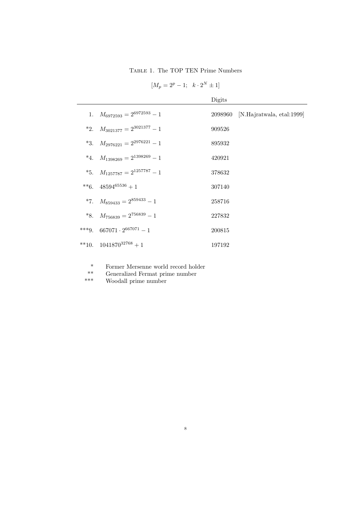Table 1. The TOP TEN Prime Numbers

| $[M_p = 2^p - 1; k \cdot 2^N \pm 1]$ |  |  |  |  |  |
|--------------------------------------|--|--|--|--|--|
|--------------------------------------|--|--|--|--|--|

|                                              | Digits |                                   |
|----------------------------------------------|--------|-----------------------------------|
| 1. $M_{6972593} = 2^{6972593} - 1$           |        | 2098960 [N.Hajratwala, etal:1999] |
| *2. $M_{3021377} = 2^{3021377} - 1$          | 909526 |                                   |
| *3. $M_{2976221} = 2^{2976221} - 1$          | 895932 |                                   |
| *4. $M_{1398269} = 2^{1398269} - 1$          | 420921 |                                   |
| *5. $M_{1257787} = 2^{1257787} - 1$          | 378632 |                                   |
| **6. $48594^{65536}+1$                       | 307140 |                                   |
| *7. $M_{859433} = 2^{859433} - 1$            | 258716 |                                   |
| *8. $M_{756839} = 2^{756839} - 1$            | 227832 |                                   |
| ***9. 667071 $\cdot$ 2 <sup>667071</sup> - 1 | 200815 |                                   |
| **10. $1041870^{32768} + 1$                  | 197192 |                                   |

- \* Former Mersenne world record holder
- \*\* Generalized Fermat prime number<br>\*\*\* Woodall prime number
- Woodall prime number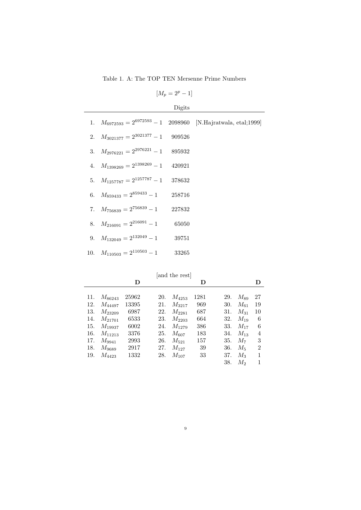Table 1. A: The TOP TEN Mersenne Prime Numbers

| I |  |  |  |
|---|--|--|--|
|---|--|--|--|

| o |
|---|
|   |

|                                           |       | 1. $M_{6972593} = 2^{6972593} - 1$ 2098960 [N.Hajratwala, etal;1999] |
|-------------------------------------------|-------|----------------------------------------------------------------------|
| 2. $M_{3021377} = 2^{3021377} - 1$ 909526 |       |                                                                      |
| 3. $M_{2976221} = 2^{2976221} - 1$ 895932 |       |                                                                      |
| 4. $M_{1398269} = 2^{1398269} - 1$ 420921 |       |                                                                      |
| 5. $M_{1257787} = 2^{1257787} - 1$ 378632 |       |                                                                      |
| 6. $M_{859433} = 2^{859433} - 1$ 258716   |       |                                                                      |
| 7. $M_{756839} = 2^{756839} - 1$ 227832   |       |                                                                      |
| 8. $M_{216091} = 2^{216091} - 1$          | 65050 |                                                                      |
| 9. $M_{132049} = 2^{132049} - 1$          | 39751 |                                                                      |
| 10. $M_{110503} = 2^{110503} - 1$         | 33265 |                                                                      |
|                                           |       |                                                                      |

|     |             |       |     | and the rest |      |     |          |                |
|-----|-------------|-------|-----|--------------|------|-----|----------|----------------|
|     |             | D     |     |              | D    |     |          | Ð              |
| 11. | $M_{86243}$ | 25962 | 20. | $M_{4253}$   | 1281 | 29. | $M_{89}$ | 27             |
| 12. | $M_{44497}$ | 13395 | 21. | $M_{3217}$   | 969  | 30. | $M_{61}$ | 19             |
| 13. | $M_{23209}$ | 6987  | 22. | $M_{2281}$   | 687  | 31. | $M_{31}$ | 10             |
| 14. | $M_{21701}$ | 6533  | 23. | $M_{2203}$   | 664  | 32. | $M_{19}$ | 6              |
| 15. | $M_{19937}$ | 6002  | 24. | $M_{1279}$   | 386  | 33. | $M_{17}$ | 6              |
| 16. | $M_{11213}$ | 3376  | 25. | $M_{607}$    | 183  | 34. | $M_{13}$ | 4              |
| 17. | $M_{9941}$  | 2993  | 26. | $M_{521}$    | 157  | 35. | $M_7$    | 3              |
| 18. | $M_{9689}$  | 2917  | 27. | $M_{127}$    | 39   | 36. | $M_5$    | $\mathfrak{D}$ |
| 19. | $M_{4423}$  | 1332  | 28. | $M_{107}$    | 33   | 37. | $M_3$    | 1              |
|     |             |       |     |              |      | 38. | М2       |                |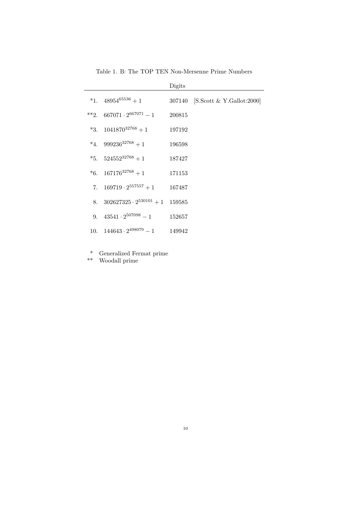|    |                                     | Digits |                                  |
|----|-------------------------------------|--------|----------------------------------|
|    | *1. $48954^{65536}+1$               |        | 307140 [S.Scott & Y.Gallot:2000] |
|    | **2. $667071 \cdot 2^{667071} - 1$  | 200815 |                                  |
|    | *3. $1041870^{32768} + 1$           | 197192 |                                  |
|    | *4. $999236^{32768} + 1$            | 196598 |                                  |
|    | *5. $524552^{32768} + 1$            | 187427 |                                  |
|    | *6. $167176^{32768} + 1$            | 171153 |                                  |
| 7. | $169719 \cdot 2^{557557} + 1$       | 167487 |                                  |
|    | 8. $302627325 \cdot 2^{530101} + 1$ | 159585 |                                  |
|    | 9. $43541 \cdot 2^{507098} - 1$     | 152657 |                                  |
|    | 10. $144643 \cdot 2^{498079} - 1$   | 149942 |                                  |

Table 1. B: The TOP TEN Non-Mersenne Prime Numbers

\* Generalized Fermat prime

\*\* Woodall prime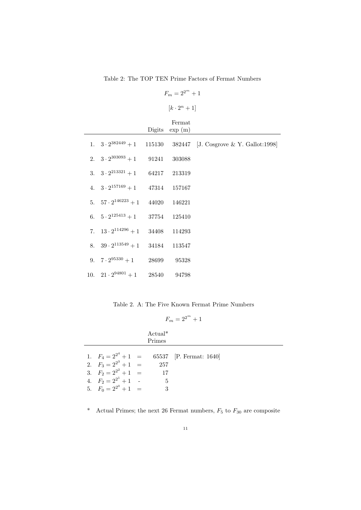### Table 2: The TOP TEN Prime Factors of Fermat Numbers

```
F_m = 2^{2^m} + 1
```
 $[k \cdot 2^n + 1]$ 

|                                           | Fermat           |                                                                          |
|-------------------------------------------|------------------|--------------------------------------------------------------------------|
|                                           | Digits $\exp(m)$ |                                                                          |
|                                           |                  | 1. $3 \cdot 2^{382449} + 1$ 115130 382447 [J. Cosgrove & Y. Gallot:1998] |
| 2. $3 \cdot 2^{303093} + 1$ 91241 303088  |                  |                                                                          |
| 3. $3 \cdot 2^{213321} + 1$ 64217 213319  |                  |                                                                          |
| 4. $3 \cdot 2^{157169} + 1$ 47314 157167  |                  |                                                                          |
| 5. $57 \cdot 2^{146223} + 1$ 44020 146221 |                  |                                                                          |
| 6. $5 \cdot 2^{125413} + 1$ 37754 125410  |                  |                                                                          |
| 7. $13 \cdot 2^{114296} + 1$              | 34408 114293     |                                                                          |
| 8. $39 \cdot 2^{113549} + 1$              | 34184 113547     |                                                                          |
| 9. $7 \cdot 2^{95330} + 1$ 28699 95328    |                  |                                                                          |
| 10. $21 \cdot 2^{94801} + 1$ 28540 94798  |                  |                                                                          |

Table 2. A: The Five Known Fermat Prime Numbers

| רי<br>–<br>. | n<br>.<br>.<br>u. |  |
|--------------|-------------------|--|
|--------------|-------------------|--|

|                                                                                                              | $Actual*$<br>Primes |                                                  |
|--------------------------------------------------------------------------------------------------------------|---------------------|--------------------------------------------------|
| 2. $F_3 = 2^{2^3} + 1 =$<br>3. $F_2 = 2^{2^2} + 1 =$<br>4. $F_2 = 2^{2^1} + 1$ -<br>5. $F_0 = 2^{2^0} + 1 =$ | 257<br>17<br>5      | 1. $F_4 = 2^{2^4} + 1 = 65537$ [P. Fermat: 1640] |

\* Actual Primes; the next 26 Fermat numbers,  $F_5$  to  $F_{30}$  are composite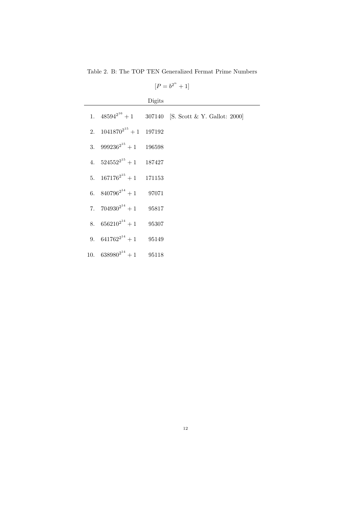Table 2. B: The TOP TEN Generalized Fermat Prime Numbers

 $[P = b^{2^n} + 1]$ 

|                                  | Digits |                                                             |
|----------------------------------|--------|-------------------------------------------------------------|
|                                  |        | 1. $48594^{2^{16}} + 1$ 307140 [S. Scott & Y. Gallot: 2000] |
| 2. $1041870^{2^{15}} + 1$ 197192 |        |                                                             |
| 3. $999236^{2^{15}} + 1$ 196598  |        |                                                             |
| 4. $524552^{2^{15}} + 1$ 187427  |        |                                                             |
| 5. $167176^{2^{15}} + 1$ 171153  |        |                                                             |
| 6. $840796^{2^{14}} + 1$ 97071   |        |                                                             |
| 7. $704930^{2^{14}} + 1$ 95817   |        |                                                             |
| 8. $656210^{2^{14}} + 1$ 95307   |        |                                                             |
| 9. $641762^{2^{14}} + 1$ 95149   |        |                                                             |
| 10. $638980^{2^{14}} + 1$ 95118  |        |                                                             |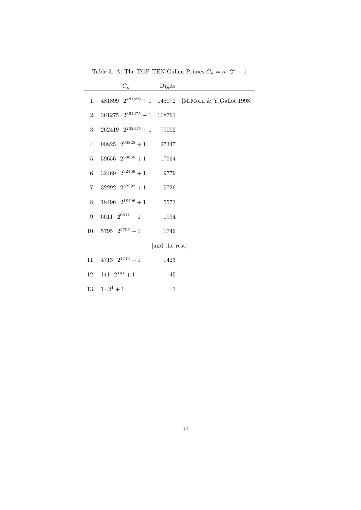|    | $C_n$                                | Digits         |                                                                |
|----|--------------------------------------|----------------|----------------------------------------------------------------|
| 1. |                                      |                | $481899 \cdot 2^{481899} + 1$ 145072 [M.Morii & Y.Gallot:1998] |
| 2. | $361275 \cdot 2^{361275} + 1$ 108761 |                |                                                                |
| 3. | $262419 \cdot 2^{262419} + 1$ 79002  |                |                                                                |
| 4. | $90825 \cdot 2^{90825} + 1$          | 27347          |                                                                |
|    | 5. $59656 \cdot 2^{59656} + 1$       | 17964          |                                                                |
|    | 6. $32469 \cdot 2^{32469} + 1$       | 9779           |                                                                |
|    | 7. $32292 \cdot 2^{32292} + 1$       | 9726           |                                                                |
| 8. | $18496 \cdot 2^{18496} + 1$          | 5573           |                                                                |
| 9. | $6611 \cdot 2^{6611} + 1$            | 1994           |                                                                |
|    | 10. $5795 \cdot 2^{5795} + 1$        | 1749           |                                                                |
|    |                                      | [and the rest] |                                                                |
|    | 11. $4713 \cdot 2^{4713} + 1$        | 1423           |                                                                |
|    | 12. $141 \cdot 2^{141} + 1$          | 45             |                                                                |
|    | 13. $1 \cdot 2^1 + 1$                | $\mathbf 1$    |                                                                |

Table 3. A: The TOP TEN Cullen Primes  $C_n = n \cdot 2^n + 1$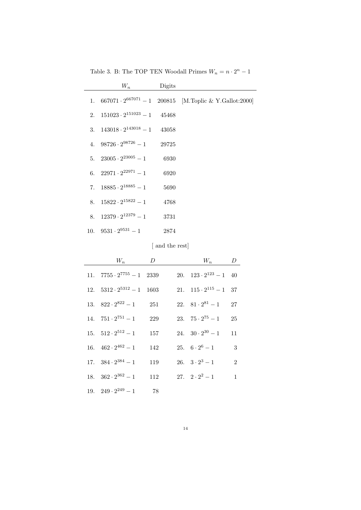|  |  | Table 3. B: The TOP TEN Woodall Primes $W_n = n \cdot 2^n - 1$ |  |  |
|--|--|----------------------------------------------------------------|--|--|
|--|--|----------------------------------------------------------------|--|--|

| $W_n$                                  | Digits |                                                                    |
|----------------------------------------|--------|--------------------------------------------------------------------|
|                                        |        | 1. $667071 \cdot 2^{667071} - 1$ 200815 [M.Toplic & Y.Gallot:2000] |
| 2. $151023 \cdot 2^{151023} - 1$ 45468 |        |                                                                    |
| 3. $143018 \cdot 2^{143018} - 1$       | 43058  |                                                                    |
| 4. $98726 \cdot 2^{98726} - 1$ 29725   |        |                                                                    |
| 5. $23005 \cdot 2^{23005} - 1$         | 6930   |                                                                    |
| 6. $22971 \cdot 2^{22971} - 1$         | 6920   |                                                                    |
| 7. $18885 \cdot 2^{18885} - 1$         | 5690   |                                                                    |
| 8. $15822 \cdot 2^{15822} - 1$         | 4768   |                                                                    |
| 8. $12379 \cdot 2^{12379} - 1$         | 3731   |                                                                    |
| 10. $9531 \cdot 2^{9531} - 1$          | 2874   |                                                                    |
|                                        |        |                                                                    |

[ and the rest]

| $W_n$                              | D   | $W_n$                          | $D_{-}$        |
|------------------------------------|-----|--------------------------------|----------------|
| 11. $7755 \cdot 2^{7755} - 1$ 2339 |     | 20. $123 \cdot 2^{123} - 1$ 40 |                |
| 12. $5312 \cdot 2^{5312} - 1$ 1603 |     | 21. $115 \cdot 2^{115} - 1$ 37 |                |
| 13. $822 \cdot 2^{822} - 1$        | 251 | 22. $81 \cdot 2^{81} - 1$      | 27             |
| 14. $751 \cdot 2^{751} - 1$        | 229 | 23. $75 \cdot 2^{75} - 1$      | 25             |
| 15. $512 \cdot 2^{512} - 1$        | 157 | 24. $30 \cdot 2^{30} - 1$      | 11             |
| 16. $462 \cdot 2^{462} - 1$        | 142 | 25. $6 \cdot 2^6 - 1$          | 3              |
| 17. $384 \cdot 2^{384} - 1$        | 119 | 26. $3 \cdot 2^3 - 1$          | $\mathfrak{D}$ |
| 18. $362 \cdot 2^{362} - 1$        | 112 | 27. $2 \cdot 2^2 - 1$          | 1              |
| 19. $249 \cdot 2^{249} - 1$        | 78  |                                |                |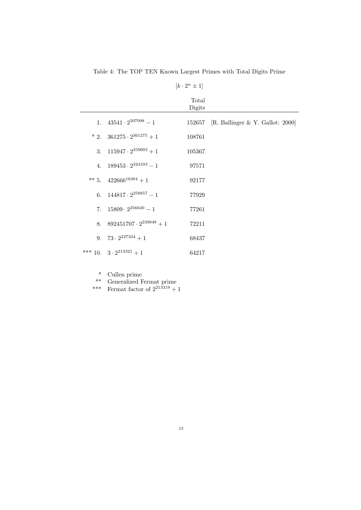|                                     | $[k \cdot 2^n \pm 1]$ |                                         |
|-------------------------------------|-----------------------|-----------------------------------------|
|                                     | Total<br>Digits       |                                         |
| 1. $43541 \cdot 2^{507098} - 1$     |                       | 152657 [R. Ballinger & Y. Gallot: 2000] |
| * 2. $361275 \cdot 2^{361275} + 1$  | 108761                |                                         |
| 3. $115947 \cdot 2^{350003} + 1$    | 105367                |                                         |
| 4. $189453 \cdot 2^{324103} - 1$    | 97571                 |                                         |
| ** 5. $422666^{16384} + 1$          | 92177                 |                                         |
| 6. $144817 \cdot 2^{258857} - 1$    | 77929                 |                                         |
| 7. $15809 \cdot 2^{256640} - 1$     | 77261                 |                                         |
| 8. $892451707 \cdot 2^{239848} + 1$ | 72211                 |                                         |
| 9. $73 \cdot 2^{227334} + 1$        | 68437                 |                                         |
| *** 10. $3 \cdot 2^{213321} + 1$    | 64217                 |                                         |

Table 4: The TOP TEN Known Largest Primes with Total Digits Prime

\* Cullen prime

\*\* Generalized Fermat prime

\*\*\* Fermat factor of  $2^{213319} + 1$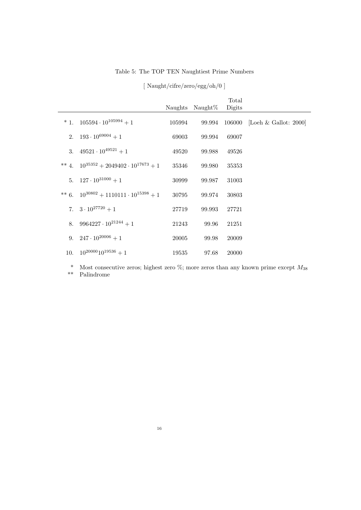### Table 5: The TOP TEN Naughtiest Prime Numbers

|                                                   |        | Naughts Naught\% | Total<br>Digits |                                     |
|---------------------------------------------------|--------|------------------|-----------------|-------------------------------------|
| $* 1. 105594 \cdot 10^{105994} + 1$               | 105994 |                  |                 | 99.994 106000 [Loeh & Gallot: 2000] |
| 2. $193 \cdot 10^{69004} + 1$                     | 69003  | 99.994           | 69007           |                                     |
| 3. $49521 \cdot 10^{49521} + 1$                   | 49520  | 99.988           | 49526           |                                     |
| ** 4. $10^{35352} + 2049402 \cdot 10^{17673} + 1$ | 35346  | 99.980           | 35353           |                                     |
| 5. $127 \cdot 10^{31000} + 1$                     | 30999  | 99.987           | 31003           |                                     |
| ** 6. $10^{30802} + 1110111 \cdot 10^{15398} + 1$ | 30795  | 99.974           | 30803           |                                     |
| 7. $3 \cdot 10^{27720} + 1$                       | 27719  | 99.993           | 27721           |                                     |
| 8. $9964227 \cdot 10^{21244} + 1$                 | 21243  | 99.96            | 21251           |                                     |
| 9. $247 \cdot 10^{20006} + 1$                     | 20005  | 99.98            | 20009           |                                     |
| 10. $10^{20000}10^{19536} + 1$                    | 19535  | 97.68            | 20000           |                                     |

[ Naught/cifre/zero/egg/oh/0 ]

<sup>\*</sup> Most consecutive zeros; highest zero %; more zeros than any known prime except  $M_{38}$ <br>\*\* Palindrome Palindrome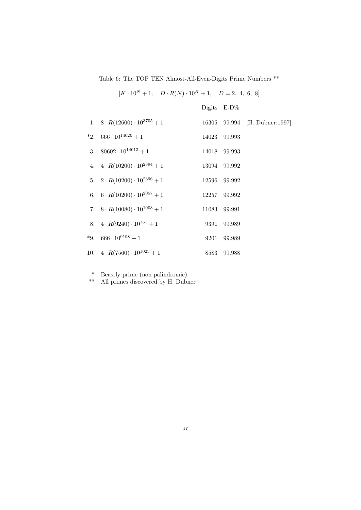Table 6: The TOP TEN Almost-All-Even-Digits Prime Numbers \*\*

|                                           | Digits $E-D\%$ |                               |
|-------------------------------------------|----------------|-------------------------------|
| 1. $8 \cdot R(12600) \cdot 10^{3705} + 1$ |                | 16305 99.994 [H. Dubner:1997] |
| *2. 666 $\cdot 10^{14020} + 1$            | 14023 99.993   |                               |
| 3. $80602 \cdot 10^{14013} + 1$           | 14018 99.993   |                               |
| 4. $4 \cdot R(10200) \cdot 10^{2894} + 1$ | 13094 99.992   |                               |
| 5. $2 \cdot R(10200) \cdot 10^{2396} + 1$ | 12596 99.992   |                               |
| 6. $6 \cdot R(10200) \cdot 10^{2057} + 1$ | 12257 99.992   |                               |
| 7. $8 \cdot R(10080) \cdot 10^{1003} + 1$ | 11083 99.991   |                               |
| 8. $4 \cdot R(9240) \cdot 10^{151} + 1$   | 9391 99.989    |                               |
| *9. $666 \cdot 10^{9198} + 1$             | 9201 99.989    |                               |
| 10. $4 \cdot R(7560) \cdot 10^{1023} + 1$ | 8583 99.988    |                               |

 $[K \cdot 10^N + 1; \quad D \cdot R(N) \cdot 10^K + 1, \quad D = 2, 4, 6, 8]$ 

\* Beastly prime (non palindromic)

\*\* All primes discovered by H. Dubner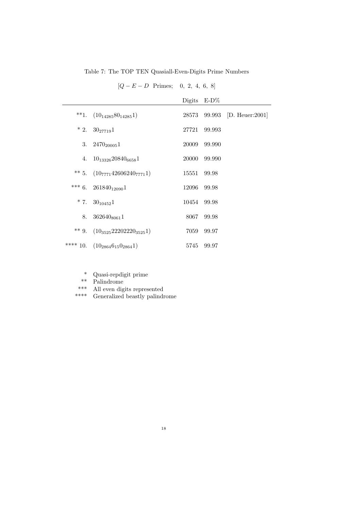Table 7: The TOP TEN Quasiall-Even-Digits Prime Numbers

## $[Q - E - D$  Primes; 0, 2, 4, 6, 8]

|                                       |             | Digits $E-D\%$ |                              |
|---------------------------------------|-------------|----------------|------------------------------|
| **1. $(10_{14285}80_{14285}1)$        |             |                | 28573 99.993 [D. Heuer:2001] |
| $*2. \quad 30_{27719}1$               |             | 27721 99.993   |                              |
| 3. $2470_{20005}1$                    |             | 20009 99.990   |                              |
| 4. $10_{13326}20840_{6658}1$          |             | 20000 99.990   |                              |
| ** 5. $(10_{7771}42606240_{7771}1)$   | 15551 99.98 |                |                              |
| *** 6. $261840_{12090}1$              | 12096       | 99.98          |                              |
| $* 7. \quad 30_{10452}1$              | 10454 99.98 |                |                              |
| 8. $362640_{8061}1$                   |             | 8067 99.98     |                              |
| ** 9. $(10_{3525}22202220_{3525}1)$   |             | 7059 99.97     |                              |
| **** 10. $(10_{2864}6_{15}0_{2864}1)$ |             | 5745 99.97     |                              |

- \* Quasi-repdigit prime
- \*\* Palindrome
- \*\*\* All even digits represented<br>\*\*\*\* Generalized beastly palind:
- Generalized beastly palindrome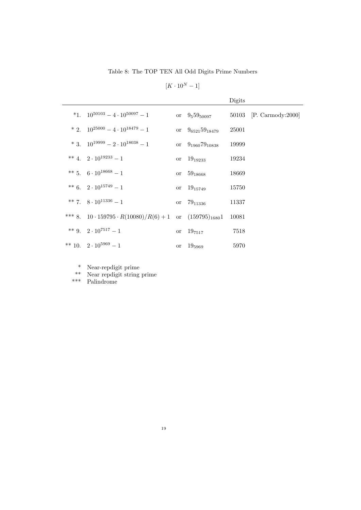Table 8: The TOP TEN All Odd Digits Prime Numbers

 $[K \cdot 10^N - 1]$ 

|                                                                        |                         | Digits |                          |
|------------------------------------------------------------------------|-------------------------|--------|--------------------------|
| *1. $10^{50103} - 4 \cdot 10^{50097} - 1$                              | or $9_559_{50097}$      |        | 50103 [P. Carmody: 2000] |
| $* 2. 10^{25000} - 4 \cdot 10^{18479} - 1$                             | or $9_{6521}59_{18479}$ | 25001  |                          |
| * 3. $10^{19999} - 2 \cdot 10^{18038} - 1$                             | or $9_{1960}79_{10838}$ | 19999  |                          |
| ** 4. $2 \cdot 10^{19233} - 1$                                         | or $19_{19233}$         | 19234  |                          |
| ** 5. $6 \cdot 10^{18668} - 1$                                         | or $59_{18668}$         | 18669  |                          |
| ** 6. $2 \cdot 10^{15749} - 1$                                         | or $19_{15749}$         | 15750  |                          |
| ** 7. $8 \cdot 10^{11336} - 1$                                         | or $79_{11336}$         | 11337  |                          |
| *** 8. $10 \cdot 159795 \cdot R(10080)/R(6) + 1$ or $(159795)_{1680}1$ |                         | 10081  |                          |
| ** 9. 2 $\cdot$ 10 <sup>7517</sup> - 1                                 | or $19_{7517}$          | 7518   |                          |
| ** 10. $2 \cdot 10^{5969} - 1$                                         | or $19_{5969}$          | 5970   |                          |

\* Near-repdigit prime

\*\* Near repdigit string prime

\*\*\* Palindrome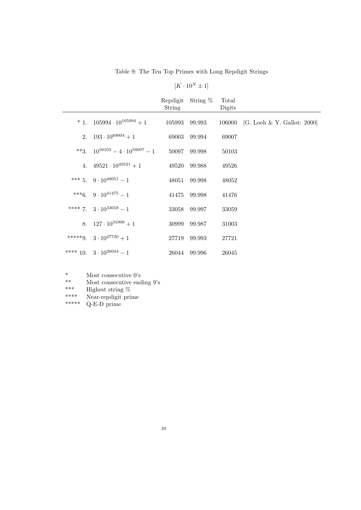Table 9: The Ten Top Primes with Long Repdigit Strings

| $K \cdot 10^{1}$ | V |  |
|------------------|---|--|
|------------------|---|--|

|                                            | String | Repdigit String % | Total<br>Digits |                                    |
|--------------------------------------------|--------|-------------------|-----------------|------------------------------------|
| $* 1. 105994 \cdot 10^{105994} + 1$        |        | 105993 99.993     |                 | 106000 [G. Loeh & Y. Gallot: 2000] |
| 2. $193 \cdot 10^{69004} + 1$              |        | 69003 99.994      | 69007           |                                    |
| **3. $10^{50103} - 4 \cdot 10^{50097} - 1$ | 50097  | 99.998            | 50103           |                                    |
| 4. $49521 \cdot 10^{49521} + 1$            |        | 49520 99.988      | 49526           |                                    |
| *** 5. 9 $\cdot$ 10 <sup>48051</sup> - 1   |        | 48051 99.998      | 48052           |                                    |
| ***6. $9 \cdot 10^{41475} - 1$             |        | 41475 99.998      | 41476           |                                    |
| **** 7. $3 \cdot 10^{33058} - 1$           |        | 33058 99.997      | 33059           |                                    |
| 8. $127 \cdot 10^{31000} + 1$              |        | 30999 99.987      | 31003           |                                    |
| *****9. $3 \cdot 10^{27720} + 1$           |        | 27719 99.993      | 27721           |                                    |
| **** 10. $3 \cdot 10^{26044} - 1$          |        | 26044 99.996      | 26045           |                                    |

\* Most consecutive 0's<br>\*\* Most consecutive end

\*\* Most consecutive ending 9's<br>
\*\*\* Highest string %

\*\*\* Highest string  $\%$ <br>\*\*\*\* Near-rendigit pri

\*\*\*\* Near-repdigit prime<br>\*\*\*\*\* O-E-D prime

 $Q$ -E-D prime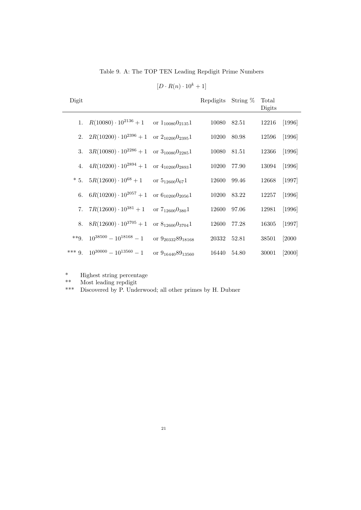Table 9. A: The TOP TEN Leading Repdigit Prime Numbers

 $[D \cdot R(n) \cdot 10^{k} + 1]$ 

| Digit   |                               |                                    | Repdigits | String $%$ | Total<br>Digits |          |
|---------|-------------------------------|------------------------------------|-----------|------------|-----------------|----------|
| 1.      | $R(10080)\cdot 10^{2136}+1$   | or $1_{10080}$ $0_{2135}$ 1        | 10080     | 82.51      | 12216           | $[1996]$ |
| 2.      | $2R(10200)\cdot 10^{2396}+1$  | or $2_{10200}0_{2395}1$            | 10200     | 80.98      | 12596           | [1996]   |
| 3.      | $3R(10080)\cdot 10^{2286}+1$  | or $3_{10080}$ $0_{2285}$ 1        | 10080     | 81.51      | 12366           | $[1996]$ |
| 4.      | $4R(10200)\cdot 10^{2894}+1$  | or $4_{10200}$ $0_{2893}$ 1        | 10200     | 77.90      | 13094           | [1996]   |
| $*5.$   | $5R(12600)\cdot 10^{68}+1$    | or $5_{12600}$ $0_{67}$ 1          | 12600     | 99.46      | 12668           | [1997]   |
| 6.      | $6R(10200)\cdot 10^{2057}+1$  | or $6_{10200}0_{2056}1$            | 10200     | 83.22      | 12257           | [1996]   |
| 7.      | $7R(12600)\cdot 10^{381}+1$   | or $7_{12600}0_{380}1$             | 12600     | 97.06      | 12981           | $[1996]$ |
| 8.      | $8R(12600)\cdot 10^{3705}+1$  | or $8_{12600}$ 0 <sub>3704</sub> 1 | 12600     | 77.28      | 16305           | [1997]   |
| $**Q$   | $10^{38500} - 10^{18168} - 1$ | or $9_{20332}89_{18168}$           | 20332     | 52.81      | 38501           | $[2000$  |
| $***9.$ | $10^{30000} - 10^{13560} - 1$ | or $9_{16440}89_{13560}$           | 16440     | 54.80      | 30001           | $[2000]$ |

\* Highest string percentage<br>\*\* Most leading rendigit

\*\* Most leading repdigit<br>\*\*\* Discovered by P Und

Discovered by P. Underwood; all other primes by H. Dubner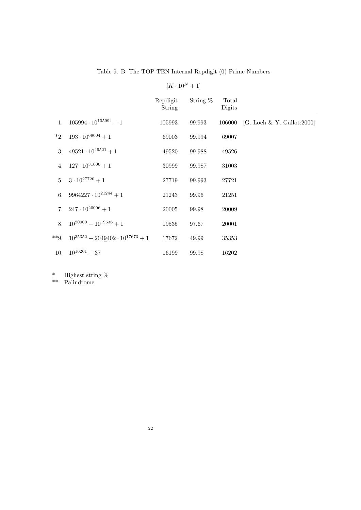Table 9. B: The TOP TEN Internal Repdigit (0) Prime Numbers

|                                                  | Repdigit<br>String | String $%$ | Total<br>Digits |                                   |
|--------------------------------------------------|--------------------|------------|-----------------|-----------------------------------|
| 1. $105994 \cdot 10^{105994} + 1$                | 105993             | 99.993     |                 | 106000 [G. Loeh & Y. Gallot:2000] |
| *2. $193 \cdot 10^{69004} + 1$                   | 69003              | 99.994     | 69007           |                                   |
| 3. $49521 \cdot 10^{49521} + 1$                  | 49520              | 99.988     | 49526           |                                   |
| 4. $127 \cdot 10^{31000} + 1$                    | 30999              | 99.987     | 31003           |                                   |
| 5. $3 \cdot 10^{27720} + 1$                      | 27719              | 99.993     | 27721           |                                   |
| 6. $9964227 \cdot 10^{21244} + 1$                | 21243              | 99.96      | 21251           |                                   |
| 7. $247 \cdot 10^{20006} + 1$                    | 20005              | 99.98      | 20009           |                                   |
| 8. $10^{20000} - 10^{19536} + 1$                 | 19535              | 97.67      | 20001           |                                   |
| **9. $10^{35352} + 2049402 \cdot 10^{17673} + 1$ | 17672              | 49.99      | 35353           |                                   |
| 10. $10^{16201} + 37$                            | 16199              | 99.98      | 16202           |                                   |

<sup>\*</sup> Highest string %

\*\* Palindrome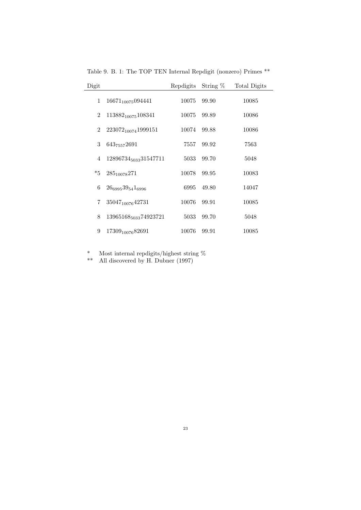| Digit          |                                   | Repdigits | String $%$ | Total Digits |
|----------------|-----------------------------------|-----------|------------|--------------|
| 1              | $16671_{10075}094441$             | 10075     | 99.90      | 10085        |
| $\overline{2}$ | $113882_{10075}108341$            | 10075     | 99.89      | 10086        |
| 2              | 223072 <sub>10074</sub> 1999151   | 10074     | 99.88      | 10086        |
| 3              | 643 <sub>7557</sub> 2691          | 7557      | 99.92      | 7563         |
| 4              | 12896734 <sub>5033</sub> 31547711 | 5033      | 99.70      | 5048         |
| $*5$           | $285_{10078}271$                  | 10078     | 99.95      | 10083        |
| 6              | $26_{6995}39_{54}1_{6996}$        | 6995      | 49.80      | 14047        |
| 7              | 35047 <sub>10076</sub> 42731      | 10076     | 99.91      | 10085        |
| 8              | 13965168 <sub>5033</sub> 74923721 | 5033      | 99.70      | 5048         |
| 9              | 17309 <sub>10076</sub> 82691      | 10076     | 99.91      | 10085        |

Table 9. B. 1: The TOP TEN Internal Repdigit (nonzero) Primes \*\*

\* Most internal repdigits/highest string %

\*\* All discovered by H. Dubner (1997)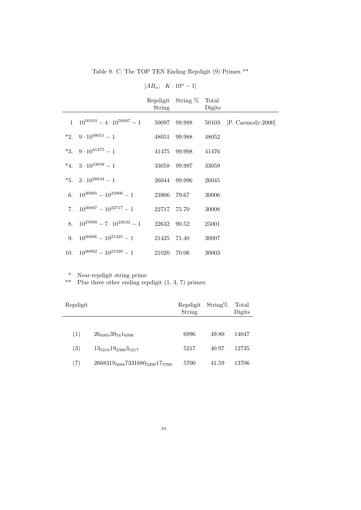Table 9. C: The TOP TEN Ending Repdigit (9) Primes \*\*

|    |                                               | $[AB_n; K \cdot 10^n - 1]$ |                   |                 |                         |
|----|-----------------------------------------------|----------------------------|-------------------|-----------------|-------------------------|
|    |                                               | <b>String</b>              | Repdigit String % | Total<br>Digits |                         |
|    | $1 \quad 10^{50103} - 4 \cdot 10^{50097} - 1$ | 50097                      | 99.988            |                 | 50103 [P. Carmody:2000] |
|    | *2. $9 \cdot 10^{48051} - 1$                  | 48051                      | 99.988            | 48052           |                         |
|    | *3. $9 \cdot 10^{41475} - 1$                  | 41475                      | 99.998            | 41476           |                         |
|    | *4. $3 \cdot 10^{33058} - 1$                  | 33058                      | 99.997            | 33059           |                         |
|    | *5. $3 \cdot 10^{26044} - 1$                  | 26044                      | 99.996            | 26045           |                         |
| 6. | $10^{30005} - 10^{23906} - 1$                 | 23906                      | 79.67             | 30006           |                         |
| 7. | $10^{30007} - 10^{22717} - 1$                 | 22717                      | 75.70             | 30008           |                         |
| 8. | $10^{25000} - 7 \cdot 10^{22632} - 1$         | 22632                      | 90.52             | 25001           |                         |
| 9. | $10^{30006} - 10^{21425} - 1$                 | 21425                      | 71.40             | 30007           |                         |
|    | 10. $10^{30002} - 10^{21020} - 1$             | 21020                      | 70.06             | 30003           |                         |

\* Near-repdigit string prime

\*\* Plus three other ending repdigit (1, 3, 7) primes:

| Repdigit |                                                                    | Repdigit<br>String | String% | Total<br>Digits |
|----------|--------------------------------------------------------------------|--------------------|---------|-----------------|
|          |                                                                    |                    |         |                 |
| (1)      | $26_{6995}39_{54}1_{6996}$                                         | 6996               | 49.80   | 14047           |
| (3)      | $13_{5216}19_{2300}3_{5217}$                                       | 5217               | 40.97   | 12735           |
| (7)      | 2668319 <sub>5694</sub> 7331680 <sub>2299</sub> 17 <sub>5700</sub> | 5700               | 41.59   | 13706           |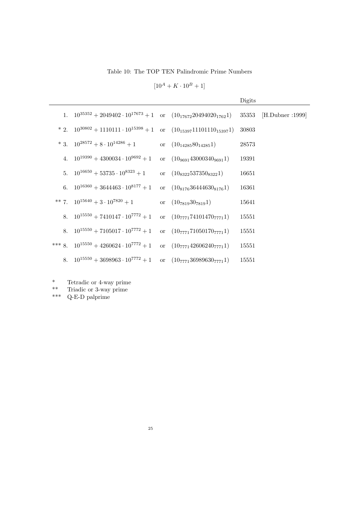Table 10: The TOP TEN Palindromic Prime Numbers

 $[10^A + K \cdot 10^B + 1]$ 

|                                                                                     |                                  | Digits |                        |
|-------------------------------------------------------------------------------------|----------------------------------|--------|------------------------|
| 1. $10^{35352} + 2049402 \cdot 10^{17673} + 1$ or $(10_{17672}20494020_{1762}1)$    |                                  |        | 35353 [H.Dubner :1999] |
| * 2. $10^{30802} + 1110111 \cdot 10^{15398} + 1$ or $(10_{15397}11101110_{15397}1)$ |                                  | 30803  |                        |
| * 3. $10^{28572} + 8 \cdot 10^{14286} + 1$                                          | or $(10_{14285}80_{14285}1)$     | 28573  |                        |
| 4. $10^{19390} + 4300034 \cdot 10^{9692} + 1$                                       | or $(10_{9691}43000340_{9691}1)$ | 19391  |                        |
| 5. $10^{16650} + 53735 \cdot 10^{8323} + 1$                                         | or $(10_{8322}537350_{8322}1)$   | 16651  |                        |
| 6. $10^{16360} + 3644463 \cdot 10^{8177} + 1$                                       | or $(10_{8176}36444630_{8176}1)$ | 16361  |                        |
| ** 7. $10^{15640} + 3 \cdot 10^{7820} + 1$                                          | or $(10_{7819}30_{7819}1)$       | 15641  |                        |
| 8. $10^{15550} + 7410147 \cdot 10^{7772} + 1$                                       | or $(10_{7771}74101470_{7771}1)$ | 15551  |                        |
| 8. $10^{15550} + 7105017 \cdot 10^{7772} + 1$                                       | or $(10_{7771}71050170_{7771}1)$ | 15551  |                        |
| *** 8. $10^{15550} + 4260624 \cdot 10^{7772} + 1$                                   | or $(10_{7771}42606240_{7771}1)$ | 15551  |                        |
| 8. $10^{15550} + 3698963 \cdot 10^{7772} + 1$ or $(10_{7771}36989630_{7771}1)$      |                                  | 15551  |                        |

\* Tetradic or 4-way prime

\*\* Triadic or 3-way prime

\*\*\* Q-E-D palprime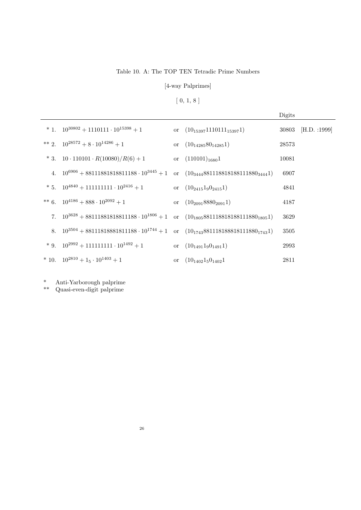### Table 10. A: The TOP TEN Tetradic Prime Numbers

### [4-way Palprimes]

## $[\;0,\,1,\,8\;]$

|                                                                                                     |                                   | Digits |                    |
|-----------------------------------------------------------------------------------------------------|-----------------------------------|--------|--------------------|
| * 1. $10^{30802} + 1110111 \cdot 10^{15398} + 1$                                                    | or $(10_{15397}1110111_{15397}1)$ |        | 30803 [H.D. :1999] |
| ** 2. $10^{28572} + 8 \cdot 10^{14286} + 1$                                                         | or $(10_{14285}80_{14285}1)$      | 28573  |                    |
| * 3. $10 \cdot 110101 \cdot R(10080)/R(6) + 1$                                                      | or $(110101)_{1680}1$             | 10081  |                    |
| 4. $10^{6906} + 881118818181811188 \cdot 10^{3445} + 1$ or $(10_{3444}8811188181818111880_{3444}1)$ |                                   | 6907   |                    |
| * 5. $10^{4840} + 111111111 \cdot 10^{2416} + 1$                                                    | or $(10_{2415}1_90_{2415}1)$      | 4841   |                    |
| ** 6. $10^{4186} + 888 \cdot 10^{2092} + 1$                                                         | or $(10_{2091}8880_{2091}1)$      | 4187   |                    |
| 7. $10^{3628} + 881118818181811188 \cdot 10^{1806} + 1$ or $(10_{1805}8811188181818111880_{1805}1)$ |                                   | 3629   |                    |
| 8. $10^{3504} + 88111818881811188 \cdot 10^{1744} + 1$ or $(10_{1743}881118188818111880_{1743}1)$   |                                   | 3505   |                    |
| * 9. $10^{2992} + 111111111 \cdot 10^{1492} + 1$                                                    | or $(10_{1491}1_90_{1491}1)$      | 2993   |                    |
| * 10. $10^{2810} + 1_5 \cdot 10^{1403} + 1$                                                         | or $(10_{1402}1_50_{1402}1)$      | 2811   |                    |

\* Anti-Yarborough palprime

\*\* Quasi-even-digit palprime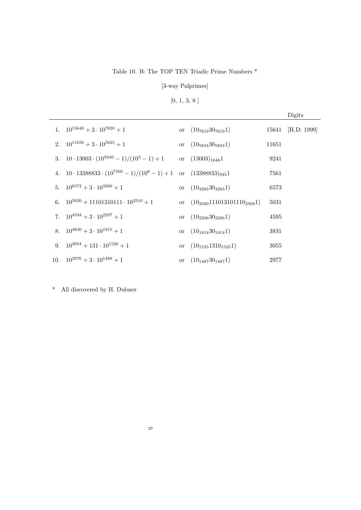### Table 10. B: The TOP TEN Triadic Prime Numbers \*

[3-way Palprimes]

# $[0,\,1,\,3,\,8$  ]

|                                                                                    |                                      |       | Digits            |
|------------------------------------------------------------------------------------|--------------------------------------|-------|-------------------|
| 1. $10^{15640} + 3 \cdot 10^{7820} + 1$                                            | or $(10_{7819}30_{7819}1)$           |       | 15641 [H.D: 1999] |
| 2. $10^{11650} + 3 \cdot 10^{5825} + 1$                                            | or $(10_{5824}30_{5824}1)$           | 11651 |                   |
| 3. $10 \cdot 13003 \cdot (10^{9240} - 1)/(10^5 - 1) + 1$                           | or $(13003)_{1848}1$                 | 9241  |                   |
| 4. $10 \cdot 13388833 \cdot (10^{7560} - 1)/(10^8 - 1) + 1$ or $(13388833)_{945}1$ |                                      | 7561  |                   |
| 5. $10^{6572} + 3 \cdot 10^{3286} + 1$                                             | or $(10_{3285}30_{3285}1)$           | 6573  |                   |
| 6. $10^{5030} + 11101310111 \cdot 10^{2510} + 1$                                   | or $(10_{2509}111013101110_{2509}1)$ | 5031  |                   |
| 7. $10^{4594} + 3 \cdot 10^{2297} + 1$                                             | or $(10_{2296}30_{2296}1)$           | 4595  |                   |
| 8. $10^{3830} + 3 \cdot 10^{1915} + 1$                                             | or $(10_{1914}30_{1914}1)$           | 3831  |                   |
| 9. $10^{3054} + 131 \cdot 10^{1526} + 1$                                           | or $(10_{1525}1310_{1525}1)$         | 3055  |                   |
| 10. $10^{2976} + 3 \cdot 10^{1488} + 1$                                            | or $(10_{1487}30_{1487}1)$           | 2977  |                   |

\* All discovered by H. Dubner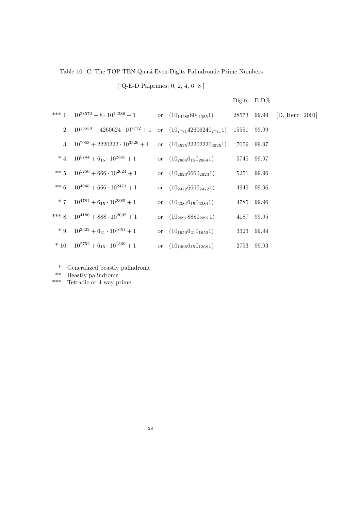Table 10. C: The TOP TEN Quasi-Even-Digits Palindromic Prime Numbers

[ Q-E-D Palprimes; 0, 2, 4, 6, 8 ]

|                                                                                |                                  |             | Digits $E-D\%$ |                             |
|--------------------------------------------------------------------------------|----------------------------------|-------------|----------------|-----------------------------|
| *** 1. $10^{28572} + 8 \cdot 10^{14286} + 1$                                   | or $(10_{14285}80_{14285}1)$     |             |                | 28573 99.99 [D. Heur: 2001] |
| 2. $10^{15550} + 4260624 \cdot 10^{7772} + 1$ or $(10_{7771}42606240_{7771}1)$ |                                  | 15551 99.99 |                |                             |
| 3. $10^{7058} + 2220222 \cdot 10^{3526} + 1$                                   | or $(10_{3525}22202220_{3525}1)$ |             | 7059 99.97     |                             |
| * 4. $10^{5744} + 6_{15} \cdot 10^{2865} + 1$                                  | or $(10_{2864}6_{15}0_{2864}1)$  |             | 5745 99.97     |                             |
| ** 5. $10^{5250} + 666 \cdot 10^{2624} + 1$                                    | or $(10_{2623}6660_{2623}1)$     |             | 5251 99.96     |                             |
| ** 6. $10^{4948} + 666 \cdot 10^{2473} + 1$                                    | or $(10_{2472}6660_{2472}1)$     |             | 4949 99.96     |                             |
| * 7. $10^{4784} + 6_{15} \cdot 10^{2385} + 1$                                  | or $(10_{2384}6_{15}0_{2384}1)$  |             | 4785 99.96     |                             |
| *** 8. $10^{4186} + 888 \cdot 10^{2092} + 1$                                   | or $(10_{2091}8880_{2091}1)$     |             | 4187 99.95     |                             |
| * 9. $10^{3322} + 6_{21} \cdot 10^{1651} + 1$                                  | or $(10_{1650}6_{21}0_{1650}1)$  |             | 3323 99.94     |                             |
| * 10. $10^{2752} + 6_{15} \cdot 10^{1369} + 1$                                 | or $(10_{1368}6_{15}0_{1368}1)$  |             | 2753 99.93     |                             |
|                                                                                |                                  |             |                |                             |

- \* Generalized beastly palindrome
- \*\* Beastly palindrome
- \*\*\* Tetradic or 4-way prime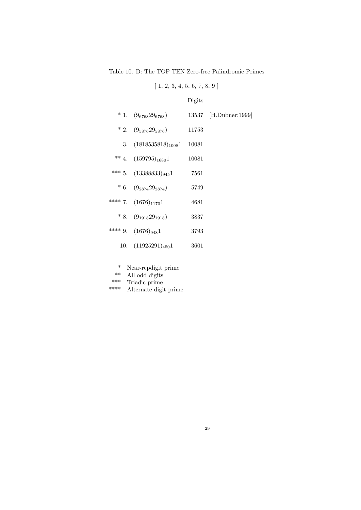Table 10. D: The TOP TEN Zero-free Palindromic Primes

 $[1, 2, 3, 4, 5, 6, 7, 8, 9]$ 

|                            | Digits |                       |
|----------------------------|--------|-----------------------|
| * 1. $(9_{6768}29_{6768})$ |        | 13537 [H.Dubner:1999] |
| * 2. $(9_{5876}29_{5876})$ | 11753  |                       |
| 3. $(1818535818)_{1008}1$  | 10081  |                       |
| ** 4. $(159795)_{1680}1$   | 10081  |                       |
| *** 5. $(13388833)_{945}1$ | 7561   |                       |
| * 6. $(9_{2874}29_{2874})$ | 5749   |                       |
| **** 7. $(1676)_{1170}1$   | 4681   |                       |
| * 8. $(9_{1918}29_{1918})$ | 3837   |                       |
| **** 9. $(1676)_{948}1$    | 3793   |                       |
| 10. $(11925291)_{450}1$    | 3601   |                       |

- \* Near-repdigit prime
- \*\* All odd digits
- \*\*\* Triadic prime<br>\*\*\*\* Alternate digit
- Alternate digit prime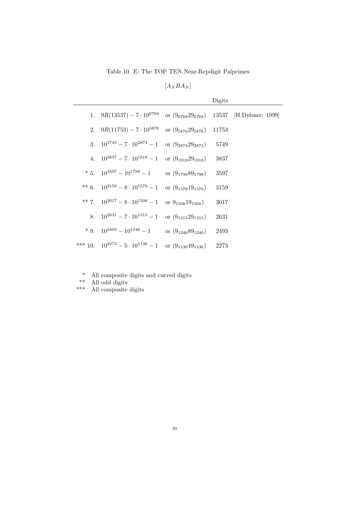Table 10. E: The TOP TEN Near-Repdigit Palprimes

 $[A_N B A_N]$ 

|    |                                             |                          | Digits |                        |
|----|---------------------------------------------|--------------------------|--------|------------------------|
|    | 1. $9R(13537) - 7 \cdot 10^{6768}$          | or $(9_{6768}29_{6768})$ |        | 13537 [H.Dubner: 1999] |
|    | 2. $9R(11753) - 7 \cdot 10^{5876}$          | or $(9_{5876}29_{5876})$ | 11753  |                        |
| 3. | $10^{5749} - 7 \cdot 10^{2874} - 1$         | or $(9_{2874}29_{2874})$ | 5749   |                        |
|    | 4. $10^{3837} - 7 \cdot 10^{1918} - 1$      | or $(9_{1918}29_{1918})$ | 3837   |                        |
|    | * 5. $10^{3597} - 10^{1798} - 1$            | or $(9_{1798}89_{1798})$ | 3597   |                        |
|    | ** 6. $10^{3159} - 8 \cdot 10^{1579} - 1$   | or $(9_{1579}19_{1579})$ | 3159   |                        |
|    | ** 7. $10^{3017} - 8 \cdot 10^{1508} - 1$   | or $9_{1508}19_{1508}$ ) | 3017   |                        |
|    | 8. $10^{2631} - 7 \cdot 10^{1315} - 1$      | or $(9_{1315}29_{1315})$ | 2631   |                        |
|    | * 9. $10^{2493} - 10^{1246} - 1$            | or $(9_{1246}89_{1246})$ | 2493   |                        |
|    | *** 10. $10^{2273} - 5 \cdot 10^{1136} - 1$ | or $(9_{1136}49_{1136})$ | 2273   |                        |

- \* All composite digits and curved digits
- \*\* All odd digits
- \*\*\* All composite digits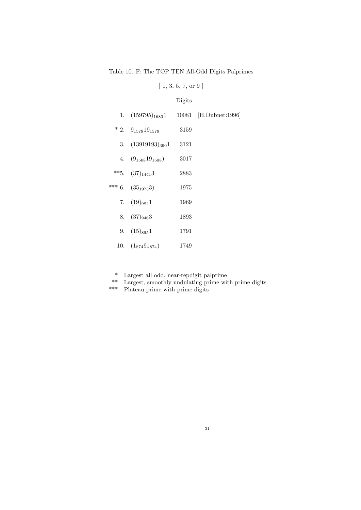Table 10. F: The TOP TEN All-Odd Digits Palprimes

|  |  | $1, 3, 5, 7, \text{or } 9$ |  |
|--|--|----------------------------|--|
|  |  |                            |  |

|                               | Digits |                       |
|-------------------------------|--------|-----------------------|
| 1. $(159795)_{1680}1$         |        | 10081 [H.Dubner:1996] |
| $*2. \quad 9_{1579}19_{1579}$ | 3159   |                       |
| 3. $(13919193)_{390}1$        | 3121   |                       |
| 4. $(9_{1508}19_{1508})$      | 3017   |                       |
| **5. $(37)_{1441}$ 3          | 2883   |                       |
| *** 6. $(35_{1973}3)$         | 1975   |                       |
| 7. $(19)_{984}1$              | 1969   |                       |
| 8. $(37)_{946}3$              | 1893   |                       |
| 9. $(15)_{895}1$              | 1791   |                       |
| 10. $(1_{874}91_{874})$       | 1749   |                       |

- \* Largest all odd, near-repdigit palprime
- \*\* Largest, smoothly undulating prime with prime digits
- \*\*\* Plateau prime with prime digits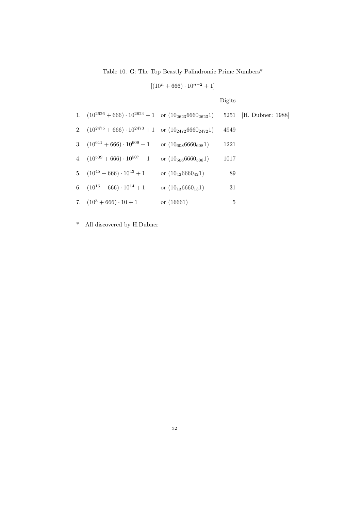Table 10. G: The Top Beastly Palindromic Prime Numbers\*

| $[(10^n + 666) \cdot 10^{n-2} + 1]$ |  |
|-------------------------------------|--|
|-------------------------------------|--|

|                                                                         |                            | Digits |                        |
|-------------------------------------------------------------------------|----------------------------|--------|------------------------|
| 1. $(10^{2626} + 666) \cdot 10^{2624} + 1$ or $(10_{2623}6660_{2623}1)$ |                            |        | 5251 [H. Dubner: 1988] |
| 2. $(10^{2475} + 666) \cdot 10^{2473} + 1$ or $(10_{2472}6660_{2472}1)$ |                            | 4949   |                        |
| 3. $(10^{611} + 666) \cdot 10^{609} + 1$                                | or $(10_{608}6660_{608}1)$ | 1221   |                        |
| 4. $(10^{509} + 666) \cdot 10^{507} + 1$                                | or $(10_{506}6660_{506}1)$ | 1017   |                        |
| 5. $(10^{45} + 666) \cdot 10^{43} + 1$                                  | or $(10_{42}6660_{42}1)$   | 89     |                        |
| 6. $(10^{16} + 666) \cdot 10^{14} + 1$                                  | or $(10_{13}6660_{13}1)$   | 31     |                        |
| 7. $(10^3 + 666) \cdot 10 + 1$                                          | or $(16661)$               | 5      |                        |

\* All discovered by H.Dubner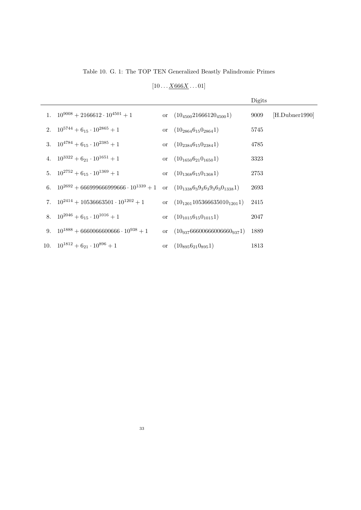Table 10. G. 1: The TOP TEN Generalized Beastly Palindromic Primes

 $[10 \dots \underline{X666X} \dots 01]$ 

|                                                      |                                          | Digits |                |
|------------------------------------------------------|------------------------------------------|--------|----------------|
| 1. $10^{9008} + 2166612 \cdot 10^{4501} + 1$         | or $(10_{4500}21666120_{4500}1)$         | 9009   | [H.Dubner1990] |
| 2. $10^{5744} + 6_{15} \cdot 10^{2865} + 1$          | or $(10_{2864}6_{15}0_{2864}1)$          | 5745   |                |
| 3. $10^{4784} + 6_{15} \cdot 10^{2385} + 1$          | or $(10_{2384}6_{15}0_{2384}1)$          | 4785   |                |
| 4. $10^{3322} + 6_{21} \cdot 10^{1651} + 1$          | or $(10_{1650}6_{21}0_{1650}1)$          | 3323   |                |
| 5. $10^{2752} + 6_{15} \cdot 10^{1369} + 1$          | or $(10_{1368}6_{15}0_{1368}1)$          | 2753   |                |
| 6. $10^{2692} + 666999666999666 \cdot 10^{1339} + 1$ | or $(10_{1338}6_39_36_39_36_30_{1338}1)$ | 2693   |                |
| 7. $10^{2414} + 10536663501 \cdot 10^{1202} + 1$     | or $(10_{1201}105366635010_{1201}1)$     | 2415   |                |
| 8. $10^{2046} + 6_{15} \cdot 10^{1016} + 1$          | or $(10_{1015}6_{15}0_{1015}1)$          | 2047   |                |
| 9. $10^{1888} + 6660066600666 \cdot 10^{938} + 1$    | or $(10_{937}66600666006660_{937}1)$     | 1889   |                |
| 10. $10^{1812} + 6_{21} \cdot 10^{896} + 1$          | or $(10_{895}6_{21}0_{895}1)$            | 1813   |                |
|                                                      |                                          |        |                |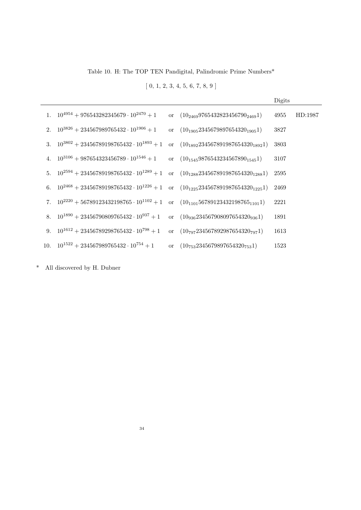Table 10. H: The TOP TEN Pandigital, Palindromic Prime Numbers\*

 $[0, 1, 2, 3, 4, 5, 6, 7, 8, 9]$ 

|  |                                                                                                   |                                            | Digits |         |
|--|---------------------------------------------------------------------------------------------------|--------------------------------------------|--------|---------|
|  | 1. $10^{4954} + 976543282345679 \cdot 10^{2470} + 1$                                              | or $(10_{2469}9765432823456790_{2469}1)$   | 4955   | HD:1987 |
|  | 2. $10^{3826} + 234567989765432 \cdot 10^{1906} + 1$                                              | or $(10_{1905}2345679897654320_{1905}1)$   | 3827   |         |
|  | 3. $10^{3802} + 23456789198765432 \cdot 10^{1893} + 1$                                            | or $(10_{1892}234567891987654320_{1892}1)$ | 3803   |         |
|  | 4. $10^{3106} + 987654323456789 \cdot 10^{1546} + 1$                                              | or $(10_{1545}9876543234567890_{1545}1)$   | 3107   |         |
|  | 5. $10^{2594} + 23456789198765432 \cdot 10^{1289} + 1$                                            | or $(10_{1288}234567891987654320_{1288}1)$ | 2595   |         |
|  | 6. $10^{2468} + 23456789198765432 \cdot 10^{1226} + 1$ or $(10_{1225}234567891987654320_{1225}1)$ |                                            | 2469   |         |
|  | 7. $10^{2220} + 56789123432198765 \cdot 10^{1102} + 1$                                            | or $(10_{1101}56789123432198765_{1101}1)$  | 2221   |         |
|  | 8. $10^{1890} + 23456790809765432 \cdot 10^{937} + 1$                                             | or $(10_{936}234567908097654320_{936}1)$   | 1891   |         |
|  | 9. $10^{1612} + 23456789298765432 \cdot 10^{798} + 1$                                             | or $(10_{797}234567892987654320_{797}1)$   | 1613   |         |
|  | 10. $10^{1522} + 234567989765432 \cdot 10^{754} + 1$                                              | or $(10_{753}2345679897654320_{753}1)$     | 1523   |         |
|  |                                                                                                   |                                            |        |         |

\* All discovered by H. Dubner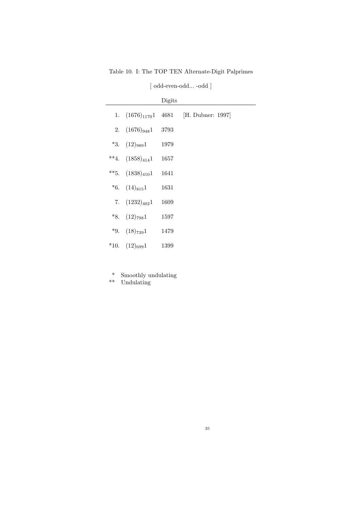Table 10. I: The TOP TEN Alternate-Digit Palprimes

| [odd-even-odd-odd] |  |
|--------------------|--|
|--------------------|--|

J.

|                          | Digits |                   |
|--------------------------|--------|-------------------|
| 1. $(1676)_{1170}1$ 4681 |        | [H. Dubner: 1997] |
| 2. $(1676)_{948}1$       | 3793   |                   |
| $*3. (12)_{989}1$        | 1979   |                   |
| **4. $(1858)_{414}1$     | 1657   |                   |
| **5. $(1838)_{410}1$     | 1641   |                   |
| *6. $(14)_{815}1$        | 1631   |                   |
| 7. $(1232)_{402}1$       | 1609   |                   |
| $*8. (12)_{798}1$        | 1597   |                   |
| $*9. \quad (18)_{739}1$  | 1479   |                   |
| *10. $(12)_{699}1$       | 1399   |                   |

- \* Smoothly undulating
- \*\* Undulating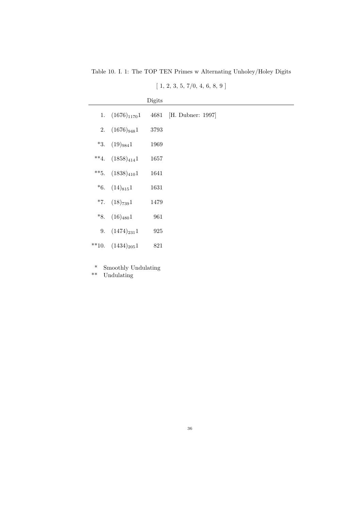Table 10. I. 1: The TOP TEN Primes w Alternating Unholey/Holey Digits

|                       | Digits |                   |
|-----------------------|--------|-------------------|
| 1. $(1676)_{1170}1$   | 4681   | [H. Dubner: 1997] |
| 2. $(1676)_{948}1$    | 3793   |                   |
| *3. $(19)_{984}1$     | 1969   |                   |
| **4. $(1858)_{414}1$  | 1657   |                   |
| **5. $(1838)_{410}1$  | 1641   |                   |
| *6. $(14)_{815}1$     | 1631   |                   |
| *7. $(18)_{739}1$     | 1479   |                   |
| *8. $(16)_{480}1$     | 961    |                   |
| 9. $(1474)_{231}1$    | 925    |                   |
| **10. $(1434)_{205}1$ | 821    |                   |

 $[1, 2, 3, 5, 7/0, 4, 6, 8, 9]$ 

\* Smoothly Undulating

\*\* Undulating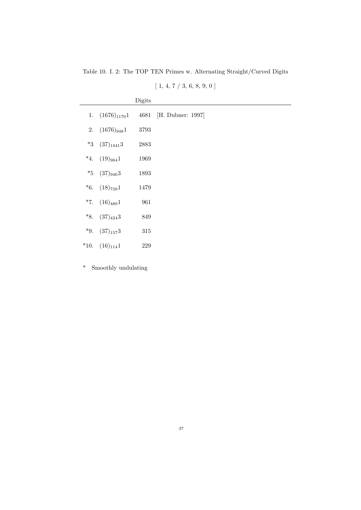Table 10. I. 2: The TOP TEN Primes w. Alternating Straight/Curved Digits

| [1, 4, 7 / 3, 6, 8, 9, 0] |  |  |  |  |  |
|---------------------------|--|--|--|--|--|
|                           |  |  |  |  |  |

|                          | Digits |                   |
|--------------------------|--------|-------------------|
| 1. $(1676)_{1170}1$ 4681 |        | [H. Dubner: 1997] |
| 2. $(1676)_{948}1$       | 3793   |                   |
| $*3$ (37) $14413$        | 2883   |                   |
| *4. $(19)_{984}1$        | 1969   |                   |
| *5 $(37)_{946}3$         | 1893   |                   |
| $*6.$ $(18)_{739}1$      | 1479   |                   |
| $*7. (16)_{480}1$        | 961    |                   |
| *8. $(37)_{424}3$        | 849    |                   |
| *9. $(37)_{157}3$        | 315    |                   |
| *10. $(16)_{114}1$       | 229    |                   |

\* Smoothly undulating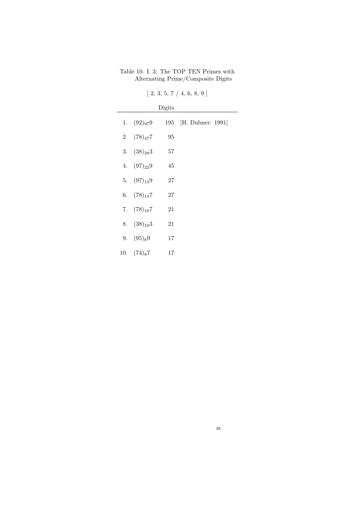### Table 10. I. 3: The TOP TEN Primes with Alternating Prime/Composite Digits

|                 | Digits |                       |  |
|-----------------|--------|-----------------------|--|
| 1. $(92)_{97}9$ |        | 195 [H. Dubner: 1991] |  |
| 2. $(78)_{47}7$ | 95     |                       |  |
| 3. $(38)_{28}3$ | $57\,$ |                       |  |
| 4. $(97)_{22}9$ | 45     |                       |  |
| 5. $(97)_{13}9$ | 27     |                       |  |
| 6. $(78)_{13}7$ | 27     |                       |  |
| 7. $(78)_{10}7$ | 21     |                       |  |
| 8. $(38)_{10}3$ | 21     |                       |  |
| 9. $(95)_89$    | $17\,$ |                       |  |
| 10. $(74)_87$   | 17     |                       |  |

 $[2, 3, 5, 7 / 4, 6, 8, 9]$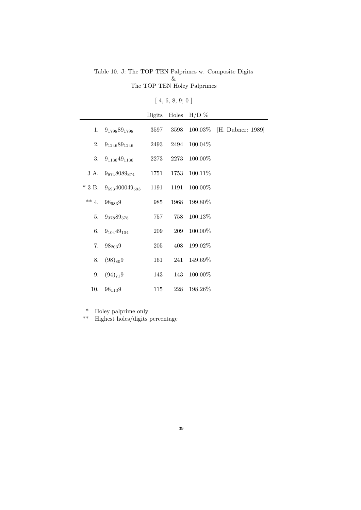#### Table 10. J: The TOP TEN Palprimes w. Composite Digits & The TOP TEN Holey Palprimes

# $[\ 4,\,6,\,8,\,9;\,0\ ]$

|          |                          | Digits |           | Holes $H/D \%$ |                   |
|----------|--------------------------|--------|-----------|----------------|-------------------|
| 1.       | $9_{1798}89_{1798}$      | 3597   | 3598      | $100.03\%$     | [H. Dubner: 1989] |
| 2.       | $9_{1246}89_{1246}$      | 2493   | 2494      | $100.04\%$     |                   |
| 3.       | $9_{1136}49_{1136}$      |        | 2273 2273 | $100.00\%$     |                   |
|          | 3 A. $9_{874}8089_{874}$ | 1751   |           | 1753 100.11%   |                   |
| $*$ 3 B. | $9_{593}400049_{593}$    | 1191   | 1191      | 100.00%        |                   |
| $** 4.$  | 989839                   | 985    | 1968      | 199.80%        |                   |
| 5.       | $9_{378}89_{378}$        | 757    | 758       | 100.13%        |                   |
| 6.       | $9_{104}49_{104}$        | 209    | 209       | 100.00%        |                   |
| 7.       | $98_{203}9$              | 205    | 408       | 199.02%        |                   |
| 8.       | $(98)_{80}9$             | 161    |           | 241 149.69%    |                   |
| 9.       | $(94)_{71}9$             | 143    |           | 143 100.00%    |                   |
| 10.      | $98_{113}9$              | 115    | 228       | 198.26%        |                   |

\* Holey palprime only

\*\* Highest holes/digits percentage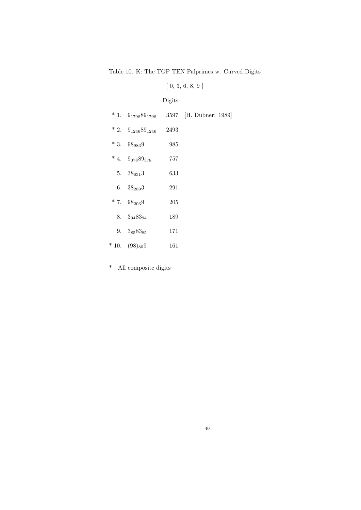Table 10. K: The TOP TEN Palprimes w. Curved Digits

| $[\;0,\;3,\;6,\;8,\;9\;]$ |  |  |  |  |  |  |  |
|---------------------------|--|--|--|--|--|--|--|
|---------------------------|--|--|--|--|--|--|--|

|                               | Digits |                        |
|-------------------------------|--------|------------------------|
| $*1. \quad 9_{1798}89_{1798}$ |        | 3597 [H. Dubner: 1989] |
| * 2. $9_{1246}89_{1246}$      | 2493   |                        |
| $*3.98_{983}9$                | 985    |                        |
| * 4. $9_{378}89_{378}$        | 757    |                        |
| 5. $38_{631}3$                | 633    |                        |
| 6. $38_{289}3$                | 291    |                        |
| $* 7. \quad 98_{203}9$        | 205    |                        |
| 8. $3_{94}83_{94}$            | 189    |                        |
| 9. $3_{85}83_{85}$            | 171    |                        |
| $*10. (98)_{80}9$             | 161    |                        |

\* All composite digits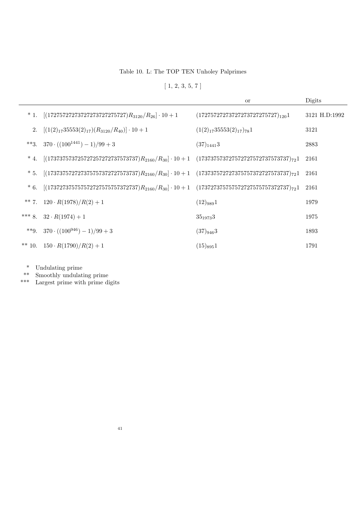Table 10. L: The TOP TEN Unholey Palprimes

 $[1, 2, 3, 5, 7]$ 

|       |                                                                                                                | <b>or</b>                             | Digits        |
|-------|----------------------------------------------------------------------------------------------------------------|---------------------------------------|---------------|
|       | * 1. $[(17275727273727273727275727)R_{3120}/R_{26}] \cdot 10 + 1$                                              | $(17275727273727273727275727)_{120}1$ | 3121 H.D:1992 |
| 2.    | $[(1(2)_{17}35553(2)_{17})(R_{3120}/R_{40})]\cdot 10 + 1$                                                      | $(1(2)_{17}35553(2)_{17})_{78}1$      | 3121          |
|       | **3. $370 \cdot ((100^{1441}) - 1)/99 + 3$                                                                     | $(37)_{1441}$ 3                       | 2883          |
| $*4.$ | $[(173737573725727257272737573737)R_{2160}/R_{30}]\cdot 10 + 1 \quad (173737573727572727572737573737)_{72}1$   |                                       | 2161          |
| $*5.$ | $[(173737572727375757372727573737)R_{2160}/R_{30}] \cdot 10 + 1 \quad (173737572727375757372727573737)_{72}1$  |                                       | 2161          |
| $*6.$ | $[(17372737575757572727575757372737)R_{2160}/R_{30}]\cdot 10 + 1 \quad (173727375757572727575757372737)_{72}1$ |                                       | 2161          |
|       | ** 7. $120 \cdot R(1978)/R(2) + 1$                                                                             | $(12)_{989}1$                         | 1979          |
|       | *** 8. $32 \cdot R(1974) + 1$                                                                                  | $35_{1973}3$                          | 1975          |
|       | **9. $370 \cdot ((100^{946}) - 1)/99 + 3$                                                                      | $(37)_{946}3$                         | 1893          |
|       | ** 10. $150 \cdot R(1790)/R(2) + 1$                                                                            | $(15)_{895}1$                         | 1791          |

\* Undulating prime

\*\* Smoothly undulating prime

\*\*\* Largest prime with prime digits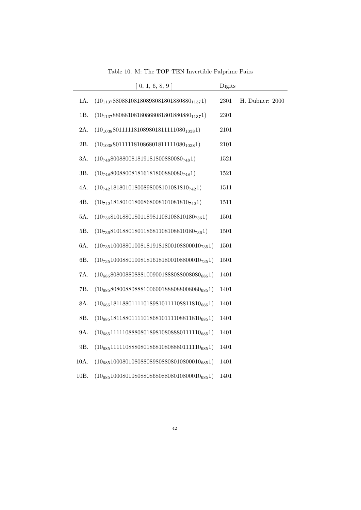|                | 0, 1, 6, 8, 9                                     | Digits   |                 |
|----------------|---------------------------------------------------|----------|-----------------|
| $1\mbox{\AA}.$ | $(10_{1137}88088108180898081801880880_{1137}1)$   | 2301     | H. Dubner: 2000 |
| 1B.            | $(10_{1137}88088108180868081801880880_{1137}1)$   | 2301     |                 |
| 2A.            | $(10_{1038}801111181089801811111080_{1038}1)$     | $2101\,$ |                 |
| 2B.            | $(10_{1038}801111181086801811111080_{1038}1)$     | 2101     |                 |
| 3A.            | $(10_{748}800880081819181800880080_{748}1)$       | 1521     |                 |
| 3B.            | $(10_{748}800880081816181800880080_{748}1)$       | 1521     |                 |
| 4A.            | $(10_{742}18180101800898008101081810_{742}1)$     | 1511     |                 |
| 4B.            | $(10_{742}18180101800868008101081810_{742}1)$     | 1511     |                 |
| 5A.            | $(10_{736}8101880180118981108108810180_{736}1)$   | 1501     |                 |
| 5B.            | $(10_{736}8101880180118681108108810180_{736}1)$   | 1501     |                 |
| 6A.            | $(10_{735}100088010081819181800108800010_{735}1)$ | $1501\,$ |                 |
| 6B.            | $(10_{735}100088010081816181800108800010_{735}1)$ | 1501     |                 |
| 7A.            | $(10_{685}808008808881009001888088008080_{685}1)$ | 1401     |                 |
| 7B.            | $(10_{685}808008808881006001888088008080_{685}1)$ | 1401     |                 |
| 8A.            | $(10_{685}181188011110189810111108811810_{685}1)$ | 1401     |                 |
| 8B.            | $(10_{685}181188011110186810111108811810_{685}1)$ | 1401     |                 |
| 9A.            | $(10_{685}111110888080189810808880111110_{685}1)$ | 1401     |                 |
| 9B.            | $(10_{685}111110888080186810808880111110_{685}1)$ | 1401     |                 |
| 10A.           | $(10_{685}100080108088089808808010800010_{685}1)$ | 1401     |                 |
| 10B.           | $(10_{685}100080108088086808808010800010_{685}1)$ | 1401     |                 |

Table 10. M: The TOP TEN Invertible Palprime Pairs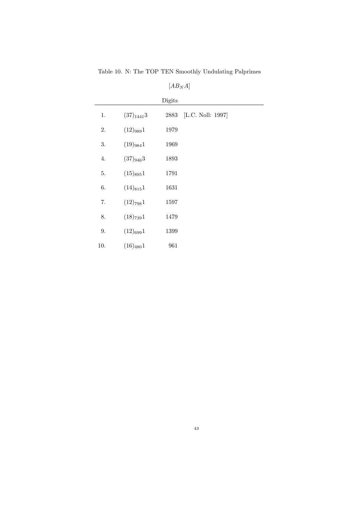Table 10. N: The TOP TEN Smoothly Undulating Palprimes

|     |                | Digits |                   |
|-----|----------------|--------|-------------------|
| 1.  | $(37)_{1441}3$ | 2883   | [L.C. Noll: 1997] |
| 2.  | $(12)_{989}1$  | 1979   |                   |
| 3.  | $(19)_{984}1$  | 1969   |                   |
| 4.  | $(37)_{946}3$  | 1893   |                   |
| 5.  | $(15)_{895}1$  | 1791   |                   |
| 6.  | $(14)_{815}1$  | 1631   |                   |
| 7.  | $(12)_{798}1$  | 1597   |                   |
| 8.  | $(18)_{739}1$  | 1479   |                   |
| 9.  | $(12)_{699}1$  | 1399   |                   |
| 10. | $(16)_{480}1$  | 961    |                   |

 $[AB_NA] % \begin{center} \includegraphics[width=\linewidth]{imagesSupplemental/Imom} \caption{The image shows the image shows a function of the number of times, and the number of times, and the number of times, are the number of times, and the number of times, are the number of times, and the number of times, are the number of times, and the number of times, are the number of times, and the number of times, are the number of times, and the number of times, are the number of times, and the number of times, are the number of times, and the number of times, are the number of times, and the number of times, are the number of times, and the number of times, are the number of times, and the number of times, are the number of times, and the number of times, are the number of times, and the number of times, are the number of times, and the number of times, are the number of times, and the$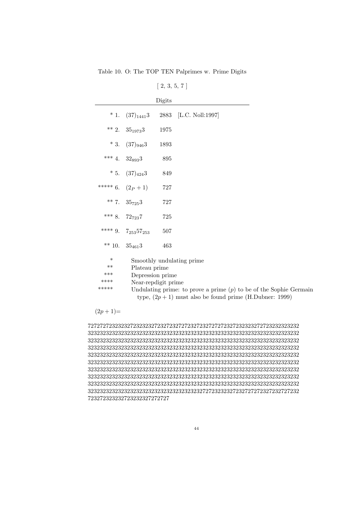Table 10. O: The TOP TEN Palprimes w. Prime Digits

|                                         |                                                                                                                                                                                                                             | $1 - 2$ |                       |  |
|-----------------------------------------|-----------------------------------------------------------------------------------------------------------------------------------------------------------------------------------------------------------------------------|---------|-----------------------|--|
|                                         |                                                                                                                                                                                                                             | Digits  |                       |  |
| $*1$ .                                  | $(37)_{1441}3$                                                                                                                                                                                                              |         | 2883 [L.C. Noll:1997] |  |
| $** 2.$                                 | $35_{1973}3$                                                                                                                                                                                                                | 1975    |                       |  |
| $*3.$                                   | $(37)_{946}3$                                                                                                                                                                                                               | 1893    |                       |  |
| *** $4.$                                | $32_{893}3$                                                                                                                                                                                                                 | 895     |                       |  |
|                                         | $* 5. (37)_{424}3$                                                                                                                                                                                                          | 849     |                       |  |
|                                         | ***** 6. $(2p+1)$                                                                                                                                                                                                           | 727     |                       |  |
|                                         | ** 7. $35_{725}3$                                                                                                                                                                                                           | 727     |                       |  |
|                                         | *** 8. $72_{723}7$                                                                                                                                                                                                          | 725     |                       |  |
| **** $9.$                               | $7_{253}57_{253}$                                                                                                                                                                                                           | 507     |                       |  |
| $** 10.$                                | $35_{461}3$                                                                                                                                                                                                                 | 463     |                       |  |
| $\ast$<br>$***$<br>***<br>****<br>***** | Smoothly undulating prime<br>Plateau prime<br>Depression prime<br>Near-repdigit prime<br>Undulating prime: to prove a prime $(p)$ to be of the Sophie Germain<br>type, $(2p + 1)$ must also be found prime (H.Dubner: 1999) |         |                       |  |

[ 2, 3, 5, 7 ]

 $(2p+1)=$ 

7272727232323272323232723272327272327232727272327232323272723232323232 3232323232323232323232323232323232323232323232323232323232323232323232 3232323232323232323232323232323232323232323232323232323232323232323232 3232323232323232323232323232323232323232323232323232323232323232323232 3232323232323232323232323232323232323232323232323232323232323232323232 3232323232323232323232323232323232323232323232323232323232323232323232 3232323232323232323232323232323232323232323232323232323232323232323232 3232323232323232323232323232323232323232323232323232323232323232323232 3232323232323232323232323232323232323232323232323232323232323232323232 3232323232323232323232323232323232323272723232327232727272327232727232 723272323232723232327272727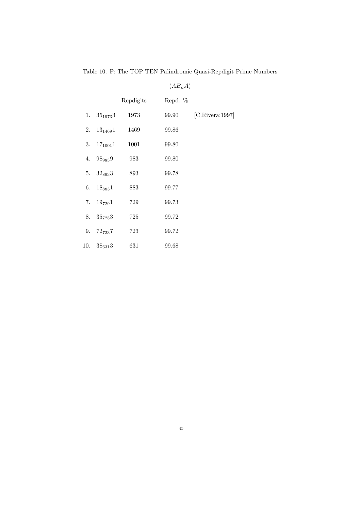|     |              |           | $(AB_nA)$ |                 |
|-----|--------------|-----------|-----------|-----------------|
|     |              | Repdigits | Repd. %   |                 |
| 1.  | $35_{1973}3$ | 1973      | 99.90     | [C.Rivera:1997] |
| 2.  | $13_{1469}1$ | 1469      | 99.86     |                 |
| 3.  | $17_{1001}1$ | 1001      | 99.80     |                 |
| 4.  | 989839       | $983\,$   | 99.80     |                 |
| 5.  | $32_{893}3$  | 893       | 99.78     |                 |
| 6.  | $18_{883}1$  | 883       | 99.77     |                 |
| 7.  | $19_{729}1$  | $729\,$   | 99.73     |                 |
| 8.  | $35_{725}3$  | 725       | 99.72     |                 |
| 9.  | $72_{723}7$  | 723       | 99.72     |                 |
| 10. | $38_{631}3$  | 631       | 99.68     |                 |

Table 10. P: The TOP TEN Palindromic Quasi-Repdigit Prime Numbers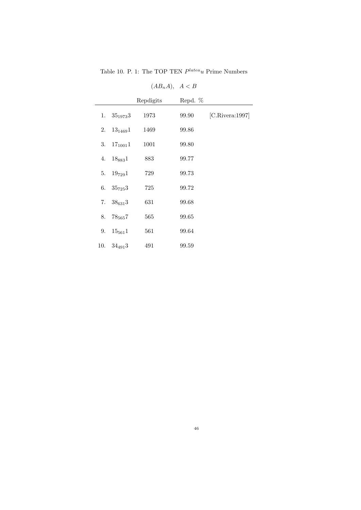Table 10. P. 1: The TOP TEN  $P^{late}u$  Prime Numbers

|     |                | Repdigits | Repd. % |                 |
|-----|----------------|-----------|---------|-----------------|
| 1.  | $35_{1973}3$   | 1973      | 99.90   | [C.Rivera:1997] |
| 2.  | $13_{1469}1$   | 1469      | 99.86   |                 |
| 3.  | $17_{1001}1$   | 1001      | 99.80   |                 |
| 4.  | $18_{883}1$    | 883       | 99.77   |                 |
| 5.  | $19_{729}1$    | 729       | 99.73   |                 |
|     | 6. $35_{725}3$ | 725       | 99.72   |                 |
|     | 7. $38_{631}3$ | 631       | 99.68   |                 |
|     | 8. $78_{565}7$ | 565       | 99.65   |                 |
| 9.  | $15_{561}1$    | 561       | 99.64   |                 |
| 10. | $34_{491}3$    | 491       | 99.59   |                 |

 $(AB_nA), A < B$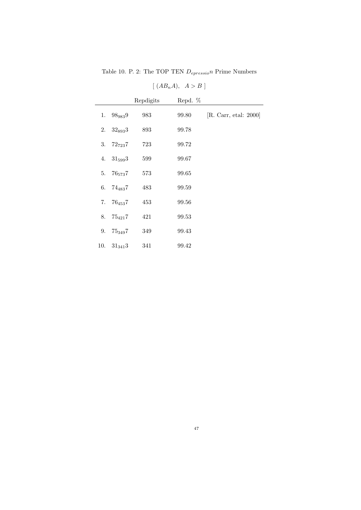Table 10. P. 2: The TOP TEN $\mathcal{D}_{epressio}n$  Prime Numbers

|     |                | Repdigits | Repd. % |                       |
|-----|----------------|-----------|---------|-----------------------|
|     | 1. $98_{983}9$ | 983       | 99.80   | [R. Carr, etal: 2000] |
| 2.  | $32_{893}3$    | 893       | 99.78   |                       |
|     | 3. $72_{723}7$ | 723       | 99.72   |                       |
|     | 4. $31_{599}3$ | 599       | 99.67   |                       |
| 5.  | $76_{573}7$    | 573       | 99.65   |                       |
|     | 6. $74_{483}7$ | 483       | 99.59   |                       |
|     | 7. $76_{453}7$ | 453       | 99.56   |                       |
| 8.  | $75_{421}7$    | 421       | 99.53   |                       |
| 9.  | $75_{349}7$    | 349       | 99.43   |                       |
| 10. | $31_{341}3$    | 341       | 99.42   |                       |

 $[ (AB<sub>n</sub>A), A > B ]$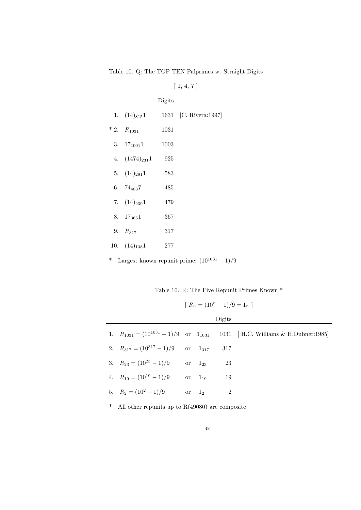Table 10. Q: The TOP TEN Palprimes w. Straight Digits

| [1, 4, 7]          |        |                       |  |  |  |  |
|--------------------|--------|-----------------------|--|--|--|--|
|                    | Digits |                       |  |  |  |  |
| 1. $(14)_{815}1$   |        | 1631 [C. Rivera:1997] |  |  |  |  |
| $* 2. R_{1031}$    | 1031   |                       |  |  |  |  |
| 3. $17_{1001}1$    | 1003   |                       |  |  |  |  |
| 4. $(1474)_{231}1$ | 925    |                       |  |  |  |  |
| 5. $(14)_{291}1$   | 583    |                       |  |  |  |  |
| 6. $74_{483}7$     | 485    |                       |  |  |  |  |
| 7. $(14)_{239}1$   | 479    |                       |  |  |  |  |
| 8. $17_{365}1$     | 367    |                       |  |  |  |  |
| 9. $R_{317}$       | 317    |                       |  |  |  |  |
| 10. $(14)_{138}1$  | 277    |                       |  |  |  |  |

\* Largest known repunit prime:  $(10^{1031} - 1)/9$ 

Table 10. R: The Five Repunit Primes Known \*

$$
[ R_n = (10^n - 1)/9 = 1_n ]
$$

Digits

|                                                  |             | <b>DISIUS</b> |                                                                                      |
|--------------------------------------------------|-------------|---------------|--------------------------------------------------------------------------------------|
|                                                  |             |               | 1. $R_{1031} = (10^{1031} - 1)/9$ or $1_{1031}$ 1031 [H.C. Williams & H.Dubner:1985] |
| 2. $R_{317} = (10^{317} - 1)/9$ or $1_{317}$ 317 |             |               |                                                                                      |
| 3. $R_{23} = (10^{23} - 1)/9$ or $1_{23}$        |             | - 23          |                                                                                      |
| 4. $R_{19} = (10^{19} - 1)/9$                    | or $1_{19}$ | - 19          |                                                                                      |
| 5. $R_2 = (10^2 - 1)/9$ or $1_2$                 |             |               |                                                                                      |
|                                                  |             |               |                                                                                      |

\* All other repunits up to R(49080) are composite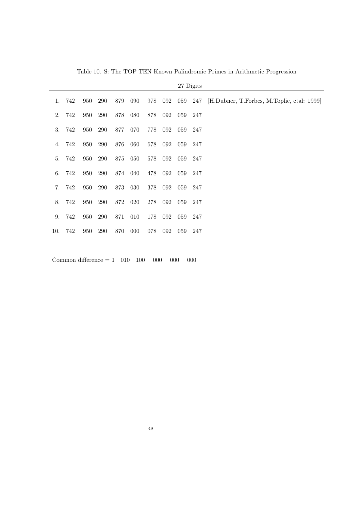|     |        |     |     |     |         |     |     |         | 27 Digits |                                            |
|-----|--------|-----|-----|-----|---------|-----|-----|---------|-----------|--------------------------------------------|
|     | 1. 742 | 950 | 290 | 879 | 090     | 978 | 092 | 059 247 |           | [H.Dubner, T.Forbes, M.Toplic, etal: 1999] |
| 2.  | 742    | 950 | 290 | 878 | 080     | 878 | 092 | 059     | 247       |                                            |
| 3.  | 742    | 950 | 290 | 877 | 070     | 778 | 092 | 059     | 247       |                                            |
| 4.  | 742    | 950 | 290 | 876 | 060     | 678 | 092 | 059     | 247       |                                            |
| 5.  | 742    | 950 | 290 | 875 | 050     | 578 | 092 | 059     | 247       |                                            |
| 6.  | 742    | 950 | 290 |     | 874 040 | 478 | 092 | 059     | 247       |                                            |
| 7.  | 742    | 950 | 290 | 873 | 030     | 378 | 092 | 059     | 247       |                                            |
| 8.  | 742    | 950 | 290 | 872 | 020     | 278 | 092 | 059     | 247       |                                            |
| 9.  | 742    | 950 | 290 | 871 | 010     | 178 | 092 | 059     | 247       |                                            |
| 10. | 742    | 950 | 290 | 870 | 000     | 078 | 092 | 059     | 247       |                                            |
|     |        |     |     |     |         |     |     |         |           |                                            |

Table 10. S: The TOP TEN Known Palindromic Primes in Arithmetic Progression

Common difference =  $1 \quad 010 \quad 100 \quad 000 \quad 000$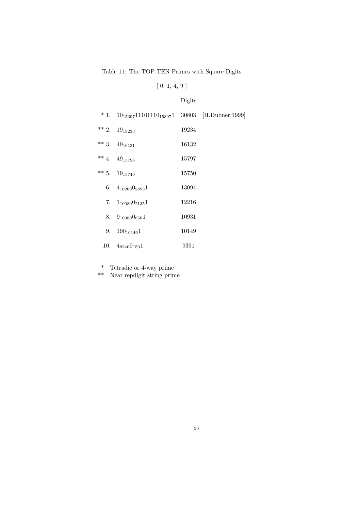Table 11: The TOP TEN Primes with Square Digits

# $[ 0, 1, 4, 9 ]$

|                                                          | Digits |  |
|----------------------------------------------------------|--------|--|
| * 1. $10_{15397}11101110_{15397}1$ 30803 [H.Dubner:1999] |        |  |
| ** 2. $19_{19233}$                                       | 19234  |  |
| ** 3. $49_{16131}$                                       | 16132  |  |
| ** 4. $49_{15796}$                                       | 15797  |  |
| ** 5. $19_{15749}$                                       | 15750  |  |
| 6. $4_{10200}$ $0_{2893}$ 1                              | 13094  |  |
| 7. $1_{10080}$ $0_{2135}$ 1                              | 12216  |  |
| 8. $9_{10080}0_{850}1$                                   | 10931  |  |
| 9. $190_{10146}1$                                        | 10149  |  |
| 10. $4_{9240}0_{150}1$                                   | 9391   |  |

\* Tetradic or 4-way prime

\*\* Near repdigit string prime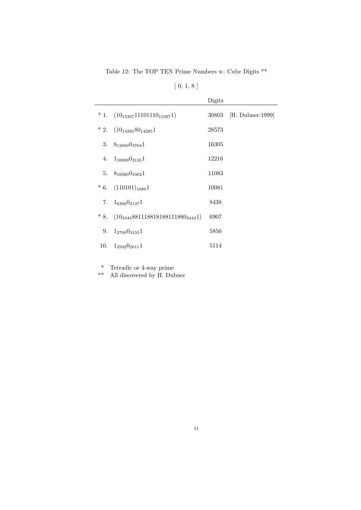Table 12: The TOP TEN Prime Numbers w. Cube Digits \*\*

|       |                                        | Digits |                        |
|-------|----------------------------------------|--------|------------------------|
|       | $* 1. (10_{15397}11101110_{15397}1)$   |        | 30803 [H. Dubner:1999] |
|       | * 2. $(10_{14285}80_{14285}1)$         | 28573  |                        |
|       | 3. $8_{12600}0_{3704}1$                | 16305  |                        |
|       | 4. $1_{10080}$ $0_{2135}$ 1            | 12216  |                        |
|       | 5. $8_{10080}$ 0 <sub>1002</sub> 1     | 11083  |                        |
|       | $* 6. (110101)_{1680}1$                | 10081  |                        |
|       | 7. $1_{6300}$ $0_{2137}$ 1             | 8438   |                        |
| $*8.$ | $(10_{3444}88111881818111880_{3444}1)$ | 6907   |                        |
|       | 9. $1_{2700}$ 0 <sub>3155</sub> 1      | 5856   |                        |
|       | 10. $1_{2502}0_{2611}1$                | 5114   |                        |

\* Tetradic or 4-way prime

\*\* All discovered by H. Dubner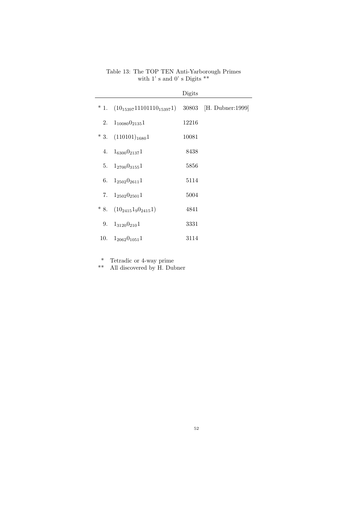|    |                                     | Digits |                        |
|----|-------------------------------------|--------|------------------------|
|    | $*1. (10_{15397}11101110_{15397}1)$ |        | 30803 [H. Dubner:1999] |
|    | 2. $1_{10080}$ $0_{2135}$ 1         | 12216  |                        |
|    | $*3.$ $(110101)_{1680}1$            | 10081  |                        |
|    | 4. $1_{6300}0_{2137}1$              | 8438   |                        |
|    | 5. $1_{2700}$ 0 <sub>3155</sub> 1   | 5856   |                        |
|    | 6. $1_{2502}0_{2611}1$              | 5114   |                        |
|    | 7. $1_{2502}0_{2501}1$              | 5004   |                        |
|    | $* 8. (10_{2415}1_90_{2415}1)$      | 4841   |                        |
| 9. | $1_{3120}0_{210}1$                  | 3331   |                        |
|    | 10. $1_{2062}0_{1051}1$             | 3114   |                        |

#### Table 13: The TOP TEN Anti-Yarborough Primes with 1' s and 0' s Digits  $\mathrm{^{**}}$

\* Tetradic or 4-way prime

\*\* All discovered by H. Dubner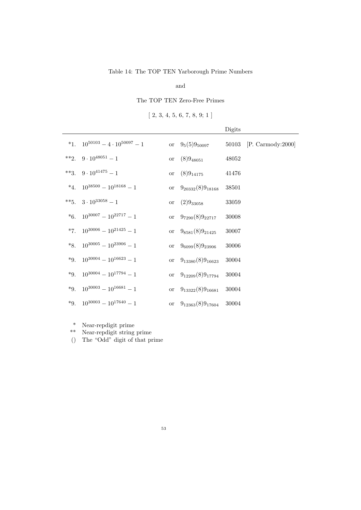#### Table 14: The TOP TEN Yarborough Prime Numbers

and

#### The TOP TEN Zero-Free Primes

 $[2, 3, 4, 5, 6, 7, 8, 9; 1]$ 

|         |                                           |             |                         | Digits    |                       |
|---------|-------------------------------------------|-------------|-------------------------|-----------|-----------------------|
|         | *1. $10^{50103} - 4 \cdot 10^{50097} - 1$ |             | or $9_5(5)9_{50097}$    | 50103     | [P. Carmody: $2000$ ] |
| $**2.$  | $9 \cdot 10^{48051} - 1$                  | $\hbox{or}$ | $(8)9_{48051}$          | 48052     |                       |
| $**3.$  | $9 \cdot 10^{41475} - 1$                  | <b>or</b>   | $(8)9_{14175}$          | 41476     |                       |
| $*_{4}$ | $10^{38500} - 10^{18168} - 1$             | or          | $9_{20332}(8)9_{18168}$ | 38501     |                       |
| $**5.$  | $3 \cdot 10^{33058} - 1$                  | or          | $(2)9_{33058}$          | 33059     |                       |
| $*6.$   | $10^{30007} - 10^{22717} - 1$             | or          | $9_{7290}(8)9_{22717}$  | 30008     |                       |
| $*7.$   | $10^{30006} - 10^{21425} - 1$             | or          | $9_{8581}(8)9_{21425}$  | $30007\,$ |                       |
| $*8.$   | $10^{30005} - 10^{23906} - 1$             | or          | $9_{6099}(8)9_{23906}$  | $30006\,$ |                       |
| $*9.$   | $10^{30004} - 10^{16623} - 1$             | or          | $9_{13380}(8)9_{16623}$ | 30004     |                       |
| $*9.$   | $10^{30004} - 10^{17794} - 1$             | or          | $9_{12209}(8)9_{17794}$ | 30004     |                       |
| $*9.$   | $10^{30003} - 10^{16681} - 1$             | <b>or</b>   | $9_{13322}(8)9_{16681}$ | 30004     |                       |
| $*9.$   | $10^{30003} - 10^{17640} - 1$             | <b>or</b>   | $9_{12363}(8)9_{17604}$ | 30004     |                       |

\* Near-repdigit prime

\*\* Near-repdigit string prime () The "Odd" digit of that prime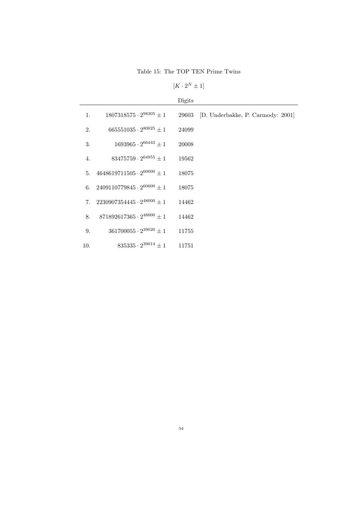Table 15: The TOP TEN Prime Twins

 $[K \cdot 2^N \pm 1]$ 

|     |                                          | Digits |                                   |
|-----|------------------------------------------|--------|-----------------------------------|
| 1.  | $1807318575 \cdot 2^{98305} \pm 1$       | 29603  | [D. Underbakke, P. Carmody: 2001] |
| 2.  | $665551035\cdot 2^{80025} \pm 1$         | 24099  |                                   |
| 3.  | $1693965 \cdot 2^{66443} \pm 1$          | 20008  |                                   |
| 4.  | $83475759 \cdot 2^{64955} \pm 1$         | 19562  |                                   |
| 5.  | $4648619711505 \cdot 2^{60000} \pm 1$    | 18075  |                                   |
|     | 6. $2409110779845 \cdot 2^{60000} \pm 1$ | 18075  |                                   |
| 7.  | $2230907354445 \cdot 2^{48000} \pm 1$    | 14462  |                                   |
| 8.  | $871892617365 \cdot 2^{48000} \pm 1$     | 14462  |                                   |
| 9.  | $361700055 \cdot 2^{39020} \pm 1$        | 11755  |                                   |
| 10. | $835335 \cdot 2^{39014} \pm 1$           | 11751  |                                   |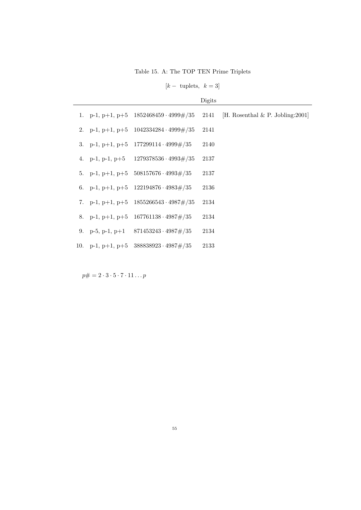Table 15. A: The TOP TEN Prime Triplets

 $[k - \text{tuples}, k = 3]$ 

|  |                                                  | Digits |                                      |
|--|--------------------------------------------------|--------|--------------------------------------|
|  | 1. p-1, p+1, p+5 $1852468459 \cdot 4999 \# / 35$ | 2141   | [H. Rosenthal $\&$ P. Jobling: 2001] |
|  | 2. p-1, p+1, p+5 $1042334284 \cdot 4999 \# / 35$ | 2141   |                                      |
|  | 3. p-1, p+1, p+5 $177299114 \cdot 4999 \neq 35$  | 2140   |                                      |
|  | 4. p-1, p-1, p+5 $1279378536 \cdot 4993 \neq 35$ | 2137   |                                      |
|  | 5. p-1, p+1, p+5 $508157676 \cdot 4993 \# / 35$  | 2137   |                                      |
|  | 6. p-1, p+1, p+5 $122194876 \cdot 4983 \neq 35$  | 2136   |                                      |
|  | 7. p-1, p+1, p+5 $1855266543 \cdot 4987 \neq 35$ | 2134   |                                      |
|  | 8. p-1, p+1, p+5 $167761138 \cdot 4987 \neq 35$  | 2134   |                                      |
|  | 9. p-5, p-1, p+1 $871453243 \cdot 4987 \neq 35$  | 2134   |                                      |
|  | 10. p-1, p+1, p+5 $388838923 \cdot 4987 \neq 35$ | 2133   |                                      |

 $p\# = 2 \cdot 3 \cdot 5 \cdot 7 \cdot 11 \dots p$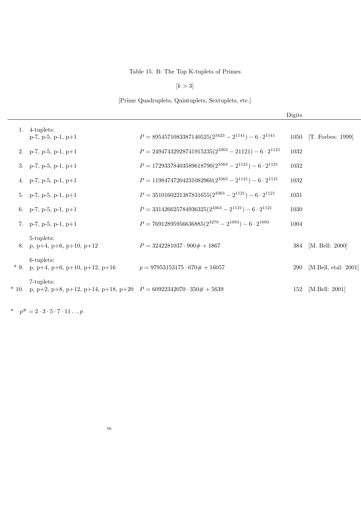### Table 15. B: The Top K-tuplets of Primes

 $[k > 3]$ 

[Prime Quadruplets, Quintuplets, Sextuplets, etc.]

|        |                                                                                       |                                                                    | Digits |                         |
|--------|---------------------------------------------------------------------------------------|--------------------------------------------------------------------|--------|-------------------------|
|        | 1. $4$ -tuplets:<br>$p-7$ , $p-5$ , $p-1$ , $p+1$                                     | $P = 8954571083387140525(2^{3423} - 2^{1141}) - 6 \cdot 2^{1141}$  | 1050   | [T. Forbes: 1999]       |
|        | 2. p-7, p-5, p-1, p+1                                                                 | $P = 24947432928741915235(2^{3363} - 21121) - 6 \cdot 2^{1121}$    | 1032   |                         |
|        | 3. p-7, p-5, p-1, p+1                                                                 | $P = 17293378403589618790(2^{3363} - 2^{1121}) - 6 \cdot 2^{1121}$ | 1032   |                         |
|        | 4. p-7, p-5, p-1, p+1                                                                 | $P = 11984747204231082960(2^{3363} - 2^{1121}) - 6 \cdot 2^{1121}$ | 1032   |                         |
|        | 5. p-7, p-5, p-1, p+1                                                                 | $P = 3510160221387831655(2^{3363} - 2^{1121}) - 6 \cdot 2^{1121}$  | 1031   |                         |
|        | 6. p-7, p-5, p-1, p+1                                                                 | $P = 331426625784936325(2^{3363} - 2^{1121}) - 6 \cdot 2^{1121}$   | 1030   |                         |
|        | 7. p-7, p-5, p-1, p+1                                                                 | $P = 76912895956636885(2^{3279} - 2^{1093}) - 6 \cdot 2^{1093}$    | 1004   |                         |
|        | 5-tuplets:<br>8. p, p+4, p+6, p+10, p+12                                              | $P = 3242281037 \cdot 900# + 1867$                                 |        | 384 [M. Bell: 2000]     |
| $*9.$  | 6-tuplets:<br>p, p+4, p+6, p+10, p+12, p+16                                           | $p = 97953153175 \cdot 670# + 16057$                               | 290    | [M.Bell, etal: $2001$ ] |
| $*10.$ | 7-tuplets:<br>p, p+2, p+8, p+12, p+14, p+18, p+20 $P = 60922342070 \cdot 350# + 5639$ |                                                                    | 152    | [M.Bell: $2001$ ]       |

\*  $p^{\#} = 2 \cdot 3 \cdot 5 \cdot 7 \cdot 11 \dots p$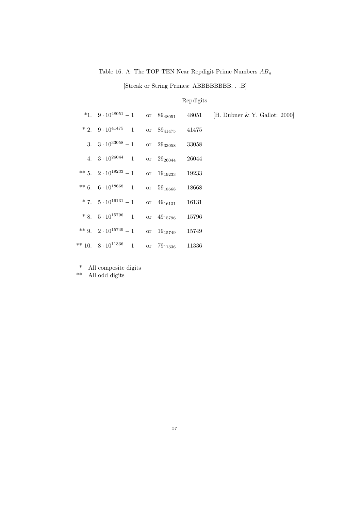Table 16. A: The TOP TEN Near Repdigit Prime Numbers  $AB_n$ 

[Streak or String Primes: ABBBBBBBBB. . .B]

|                                       |    |                 | Repdigits |                                 |
|---------------------------------------|----|-----------------|-----------|---------------------------------|
| *1. 9 $\cdot 10^{48051} - 1$          |    | or $89_{48051}$ | 48051     | [H. Dubner $&$ Y. Gallot: 2000] |
| $*2. \quad 9 \cdot 10^{41475} - 1$    |    | or $89_{41475}$ | 41475     |                                 |
| 3. $3 \cdot 10^{33058} - 1$           |    | or 2933058      | 33058     |                                 |
| 4. $3 \cdot 10^{26044} - 1$           |    | or $29_{26044}$ | 26044     |                                 |
| ** 5. $2 \cdot 10^{19233} - 1$        |    | or $19_{19233}$ | 19233     |                                 |
| ** 6. 6 \cdot 10 <sup>18668</sup> - 1 |    | or $59_{18668}$ | 18668     |                                 |
| * 7. $5 \cdot 10^{16131} - 1$         |    | or $49_{16131}$ | 16131     |                                 |
| $*8. \quad 5 \cdot 10^{15796} - 1$    |    | or $49_{15796}$ | 15796     |                                 |
| ** 9. $2 \cdot 10^{15749} - 1$        |    | or $19_{15749}$ | 15749     |                                 |
| ** 10. $8 \cdot 10^{11336} - 1$       | or | $79_{11336}$    | 11336     |                                 |

\* All composite digits

\*\* All odd digits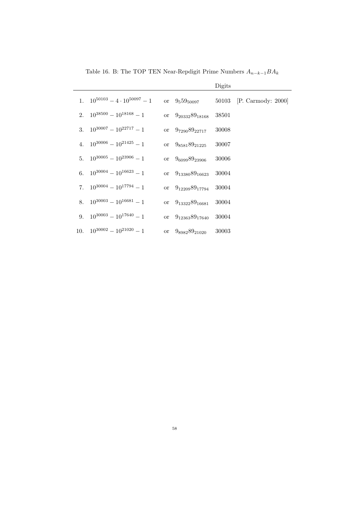|     |                                       |           |                          | Digits |                       |
|-----|---------------------------------------|-----------|--------------------------|--------|-----------------------|
| 1.  | $10^{50103} - 4 \cdot 10^{50097} - 1$ |           | or $9_559_{50097}$       | 50103  | [P. Carmody: $2000$ ] |
| 2.  | $10^{38500} - 10^{18168} - 1$         |           | or $9_{20332}89_{18168}$ | 38501  |                       |
| 3.  | $10^{30007} - 10^{22717} - 1$         | or        | $9_{7290}89_{22717}$     | 30008  |                       |
| 4.  | $10^{30006} - 10^{21425} - 1$         |           | or $9_{8581}89_{21225}$  | 30007  |                       |
| 5.  | $10^{30005} - 10^{23906} - 1$         |           | or $9_{6099}89_{23906}$  | 30006  |                       |
| 6.  | $10^{30004} - 10^{16623} - 1$         |           | or $9_{13380}89_{16623}$ | 30004  |                       |
| 7.  | $10^{30004} - 10^{17794} - 1$         | or        | $9_{12209}89_{17794}$    | 30004  |                       |
| 8.  | $10^{30003} - 10^{16681} - 1$         |           | or $9_{13322}89_{16681}$ | 30004  |                       |
| 9.  | $10^{30003} - 10^{17640} - 1$         | or        | $9_{12363}89_{17640}$    | 30004  |                       |
| 10. | $10^{30002} - 10^{21020} - 1$         | <b>or</b> | $9_{8982}89_{21020}$     | 30003  |                       |

Table 16. B: The TOP TEN Near-Repdigit Prime Numbers  $A_{n-k-1}BA_k$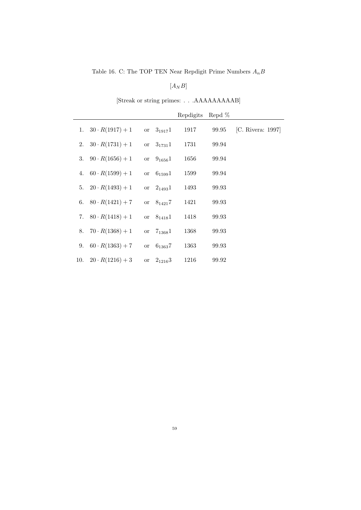Table 16. C: The TOP TEN Near Repdigit Prime Numbers  ${\cal A}_n B$ 

 $[{\cal A}_{N}{\cal B}]$ 

### [Streak or string primes: . . .AAAAAAAAAB]

|     |                           |               |                | Repdigits | Repd $%$ |                   |
|-----|---------------------------|---------------|----------------|-----------|----------|-------------------|
|     | 1. $30 \cdot R(1917) + 1$ |               | or $3_{1917}1$ | 1917      | 99.95    | [C. Rivera: 1997] |
| 2.  | $30 \cdot R(1731) + 1$    |               | or $3_{1731}1$ | 1731      | 99.94    |                   |
| 3.  | $90 \cdot R(1656) + 1$    |               | or $9_{1656}1$ | 1656      | 99.94    |                   |
| 4.  | $60 \cdot R(1599) + 1$    |               | or $6_{1599}1$ | 1599      | 99.94    |                   |
| 5.  | $20 \cdot R(1493) + 1$    |               | or $2_{1493}1$ | 1493      | 99.93    |                   |
|     | 6. $80 \cdot R(1421) + 7$ |               | or $8_{1421}7$ | 1421      | 99.93    |                   |
|     | 7. $80 \cdot R(1418) + 1$ |               | or $8_{1418}1$ | 1418      | 99.93    |                   |
| 8.  | $70 \cdot R(1368) + 1$    | $\alpha$      | $7_{1368}1$    | 1368      | 99.93    |                   |
| 9.  | $60 \cdot R(1363) + 7$    | <sub>or</sub> | $6_{1363}7$    | 1363      | 99.93    |                   |
| 10. | $20 \cdot R(1216) + 3$    | or or         | $2_{1216}3$    | 1216      | 99.92    |                   |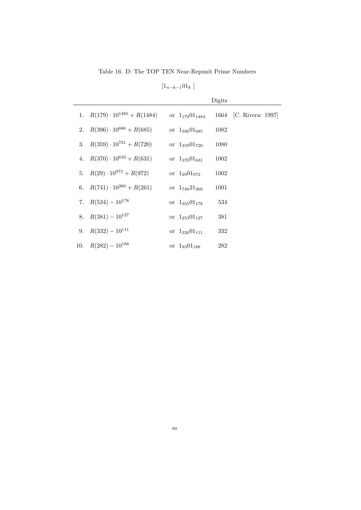Table 16. D: The TOP TEN Near-Repunit Prime Numbers

 $\left[1_{n-k-1}01_{k}\right]$ 

|                                       |                       | Digits |                        |
|---------------------------------------|-----------------------|--------|------------------------|
| 1. $R(179) \cdot 10^{1485} + R(1484)$ | or $1_{179}01_{1484}$ |        | 1664 [C. Rivera: 1997] |
| 2. $R(396) \cdot 10^{686} + R(685)$   | or $1_{396}01_{685}$  | 1082   |                        |
| 3. $R(359) \cdot 10^{721} + R(720)$   | or $1_{359}01_{720}$  | 1080   |                        |
| 4. $R(370) \cdot 10^{632} + R(631)$   | or $1_{370}01_{631}$  | 1002   |                        |
| 5. $R(29) \cdot 10^{973} + R(972)$    | or $1_{29}01_{972}$   | 1002   |                        |
| 6. $R(741) \cdot 10^{260} + R(261)$   | or $1_{740}21_{260}$  | 1001   |                        |
| 7. $R(534) - 10^{178}$                | or $1_{355}01_{178}$  | 534    |                        |
| 8. $R(381) - 10^{127}$                | or $1_{253}01_{127}$  | 381    |                        |
| 9. $R(332) - 10^{111}$                | or $1_{220}01_{111}$  | 332    |                        |
| 10. $R(282) - 10^{188}$               | or $1_{93}01_{188}$   | 282    |                        |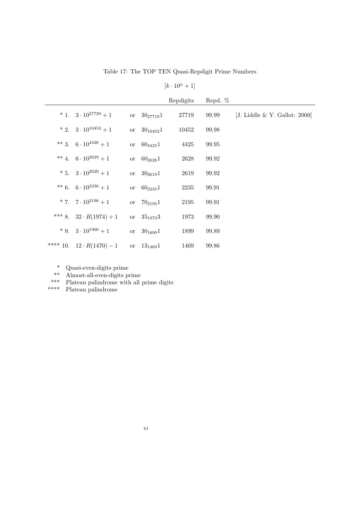Table 17: The TOP TEN Quasi-Repdigit Prime Numbers

 $[k \cdot 10^n + 1]$ 

|                                         |                  | Repdigits | Repd. % |                               |
|-----------------------------------------|------------------|-----------|---------|-------------------------------|
| * 1. $3 \cdot 10^{27720} + 1$           | or $30_{27719}1$ | 27719     | 99.99   | [J. Liddle & Y. Gallot: 2000] |
| * 2. $3 \cdot 10^{10453} + 1$           | or $30_{10452}1$ | 10452     | 99.98   |                               |
| ** 3. $6 \cdot 10^{4426} + 1$           | or $60_{4425}1$  | 4425      | 99.95   |                               |
| ** 4. $6 \cdot 10^{2629} + 1$           | or $60_{2628}1$  | 2628      | 99.92   |                               |
| * 5. $3 \cdot 10^{2620} + 1$            | or $30_{2619}1$  | 2619      | 99.92   |                               |
| ** 6. $6 \cdot 10^{2236} + 1$           | or $60_{2235}1$  | 2235      | 99.91   |                               |
| * 7. $7 \cdot 10^{2196} + 1$            | or $70_{2195}1$  | 2195      | 99.91   |                               |
| *** 8. $32 \cdot R(1974) + 1$           | or $35_{1973}3$  | 1973      | 99.90   |                               |
| $*$ 9. 3 $\cdot$ 10 <sup>1900</sup> + 1 | or $30_{1899}1$  | 1899      | 99.89   |                               |
| **** 10. $12 \cdot R(1470) - 1$         | or $13_{1469}1$  | 1469      | 99.86   |                               |

\* Quasi-even-digits prime

\*\* Almost-all-even-digits prime

\*\*\* Plateau palindrome with all prime digits

\*\*\*\* Plateau palindrome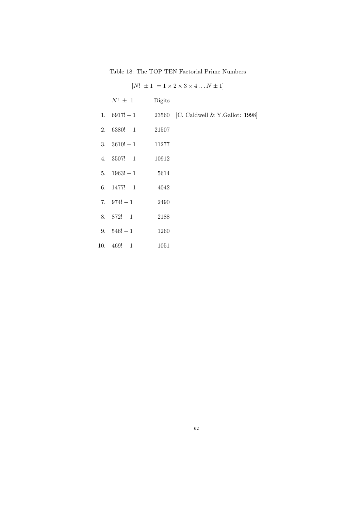Table 18: The TOP TEN Factorial Prime Numbers

| $N! \pm 1$           | Digits |                                       |
|----------------------|--------|---------------------------------------|
| 1. $6917! - 1$       |        | 23560 [C. Caldwell & Y. Gallot: 1998] |
| 2. $6380! + 1$       | 21507  |                                       |
| 3. $3610! - 1$ 11277 |        |                                       |
| 4. $3507! - 1$       | 10912  |                                       |
| 5. $1963! - 1$       | 5614   |                                       |
| 6. $1477! + 1$       | 4042   |                                       |
| 7. $974! - 1$        | 2490   |                                       |
| 8. $872! + 1$        | 2188   |                                       |
| 9. $546! - 1$        | 1260   |                                       |
| 10. $469! - 1$       | 1051   |                                       |

 $[N! \pm 1] = 1 \times 2 \times 3 \times 4 \dots N \pm 1]$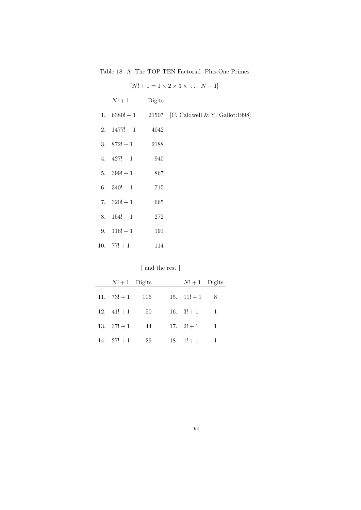Table 18. A: The TOP TEN Factorial -Plus-One Primes

|    | $N!+1$         | Digits |                                                     |
|----|----------------|--------|-----------------------------------------------------|
|    |                |        | 1. $6380! + 1$ 21507 [C. Caldwell & Y. Gallot:1998] |
|    | 2. $1477! + 1$ | 4042   |                                                     |
|    | 3. $872! + 1$  | 2188   |                                                     |
|    | 4. $427! + 1$  | 940    |                                                     |
|    | 5. $399! + 1$  | 867    |                                                     |
|    | 6. $340! + 1$  | 715    |                                                     |
|    | 7. $320! + 1$  | 665    |                                                     |
| 8. | $154! + 1$     | 272    |                                                     |
|    | 9. $116! + 1$  | 191    |                                                     |
|    | 10. $77! + 1$  | 114    |                                                     |

 $[N! + 1 = 1 \times 2 \times 3 \times \dots \ N + 1]$ 

[ and the rest ]

| $N!+1$ Digits |     | $N!+1$ Digits |                |
|---------------|-----|---------------|----------------|
| 11. $73! + 1$ | 106 | 15. $11!+1$ 8 |                |
| 12. $41! + 1$ | 50  | 16. $3! + 1$  | $\blacksquare$ |
| 13. $37! + 1$ | 44  | 17. $2! + 1$  | 1              |
| 14. $27! + 1$ | 29  | 18. $1!+1$    |                |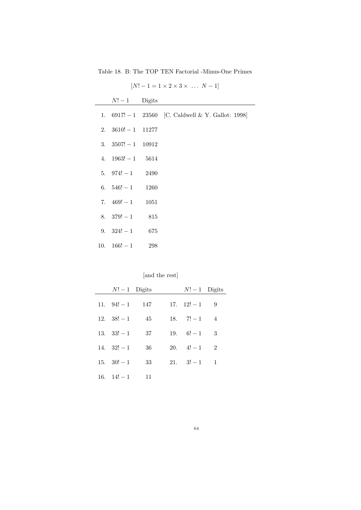Table 18. B: The TOP TEN Factorial -Minus-One Primes

|  | $N!-1$ Digits<br>2. $3610! - 1$ 11277<br>3. $3507! - 1$ 10912<br>4. $1963! - 1$ 5614<br>5. $974! - 1$ 2490<br>6. $546! - 1$ 1260<br>7. $469! - 1$ 1051<br>8. $379! - 1$ 815<br>9. $324! - 1$ 675<br>10. $166! - 1$ 298 | $\left  \frac{1}{2}, \frac{1}{2}, \ldots, \frac{1}{n} \right $<br>1. $6917! - 1$ 23560 [C. Caldwell & Y. Gallot: 1998] |
|--|------------------------------------------------------------------------------------------------------------------------------------------------------------------------------------------------------------------------|------------------------------------------------------------------------------------------------------------------------|

 $[N! - 1 = 1 \times 2 \times 3 \times \dots \times N - 1]$ 

[and the rest]

| $N!-1$ Digits       |    | $N!-1$ Digits               |                |
|---------------------|----|-----------------------------|----------------|
| 11. $94! - 1$ 147   |    | $17. \quad 12! - 1 \quad 9$ |                |
| 12. $38! - 1$       | 45 | 18. $7! - 1$ 4              |                |
| $13. \quad 33! - 1$ | 37 | $19. \quad 6! - 1 \quad 3$  |                |
| $14. \quad 32! - 1$ | 36 | $20.4! - 1$                 | $\overline{2}$ |
| 15. $30! - 1$       | 33 | 21. $3! - 1$ 1              |                |
| 16. $14! - 1$ 11    |    |                             |                |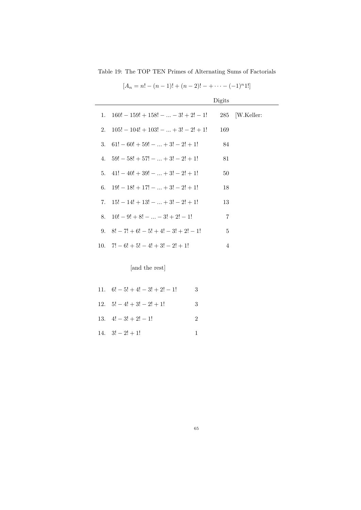Table 19: The TOP TEN Primes of Alternating Sums of Factorials

|    |                                         | Digits         |                 |
|----|-----------------------------------------|----------------|-----------------|
| 1. | $160! - 159! + 158! -  - 3! + 2! - 1!$  |                | 285   W.Keller: |
| 2. | $105! - 104! + 103! -  + 3! - 2! + 1!$  | 169            |                 |
| 3. | $61! - 60! + 59! -  + 3! - 2! + 1!$     | 84             |                 |
| 4. | $59! - 58! + 57! -  + 3! - 2! + 1!$     | 81             |                 |
| 5. | $41! - 40! + 39! -  + 3! - 2! + 1!$     | 50             |                 |
| 6. | $19! - 18! + 17! -  + 3! - 2! + 1!$     | 18             |                 |
| 7. | $15! - 14! + 13! -  + 3! - 2! + 1!$     | 13             |                 |
| 8. | $10! - 9! + 8! -  - 3! + 2! - 1!$       | 7              |                 |
| 9. | $8! - 7! + 6! - 5! + 4! - 3! + 2! - 1!$ | 5              |                 |
|    | 10. $7! - 6! + 5! - 4! + 3! - 2! + 1!$  | $\overline{4}$ |                 |

 $[A_n = n! - (n-1)! + (n-2)! - + \cdots - (-1)^n 1!]$ 

[and the rest]

| 11. $6! - 5! + 4! - 3! + 2! - 1!$ | 3 |
|-----------------------------------|---|
| 12. $5! - 4! + 3! - 2! + 1!$      | 3 |
| 13. $4! - 3! + 2! - 1!$           | 2 |
| 14. $3! - 2! + 1!$                |   |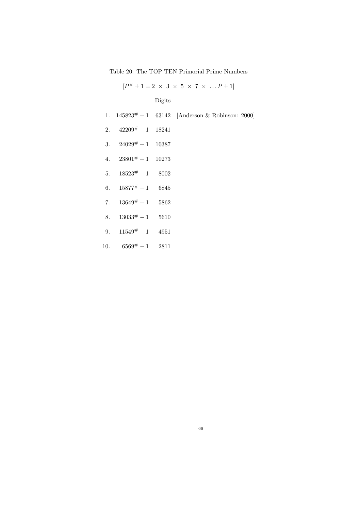Table 20: The TOP TEN Primorial Prime Numbers

| $[P^{\#} \pm 1 = 2 \times 3 \times 5 \times 7 \times  P \pm 1]$ |  |  |  |  |  |
|-----------------------------------------------------------------|--|--|--|--|--|
|-----------------------------------------------------------------|--|--|--|--|--|

|                          | Digits |                                                        |
|--------------------------|--------|--------------------------------------------------------|
|                          |        | 1. $145823^{\#} + 1$ 63142 [Anderson & Robinson: 2000] |
| 2. $42209^{\#}+1$ 18241  |        |                                                        |
| 3. $24029^{\#}+1$ 10387  |        |                                                        |
| 4. $23801^{\#}+1$ 10273  |        |                                                        |
| 5. $18523^{\#}+1$ 8002   |        |                                                        |
| 6. $15877^{\#} - 1$ 6845 |        |                                                        |
| 7. $13649^{\#}+1$ 5862   |        |                                                        |
| 8. $13033^{\#} - 1$ 5610 |        |                                                        |
| 9. $11549^{\#}+1$ 4951   |        |                                                        |
| 10. $6569^{\#} - 1$ 2811 |        |                                                        |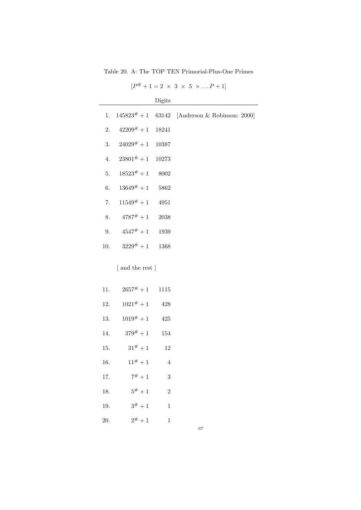Table 20. A: The TOP TEN Primorial-Plus-One Primes

 $[P^{\#}+1=2 \times 3 \times 5 \times ... P+1]$ 

|     |                        | Digits         |                                                     |
|-----|------------------------|----------------|-----------------------------------------------------|
| 1.  |                        |                | $145823^{\#} + 1$ 63142 [Anderson & Robinson: 2000] |
| 2.  | $42209^{\#}+1$ 18241   |                |                                                     |
| 3.  | $24029^{\#}+1$ 10387   |                |                                                     |
| 4.  | $23801^{\#}+1$ 10273   |                |                                                     |
| 5.  | $18523^{\#}+1$ 8002    |                |                                                     |
| 6.  | $13649^{\#}+1$ 5862    |                |                                                     |
| 7.  | $11549^{\#}+1$ 4951    |                |                                                     |
| 8.  | $4787^{\#}+1$ 2038     |                |                                                     |
| 9.  | $4547^{\#}+1$ 1939     |                |                                                     |
|     | 10. $3229^{\#}+1$ 1368 |                |                                                     |
|     | [ and the rest ]       |                |                                                     |
| 11. | $2657^{\#}+1$ 1115     |                |                                                     |
| 12. | $1021^{\#}+1$ 428      |                |                                                     |
| 13. | $1019^{\#}+1$          | 425            |                                                     |
|     | 14. $379^{\#}+1$       | 154            |                                                     |
| 15. | $31^{\#}+1$            | 12             |                                                     |
| 16. | $11^{\#}+1$ 4          |                |                                                     |
| 17. | $7^{\#}+1$             | 3              |                                                     |
| 18. | $5^{\#}+1$             | $\overline{2}$ |                                                     |
| 19. | $3^{\#}+1$             | $\mathbf{1}$   |                                                     |
| 20. | $2^{\#}+1$             | $\mathbf{1}$   |                                                     |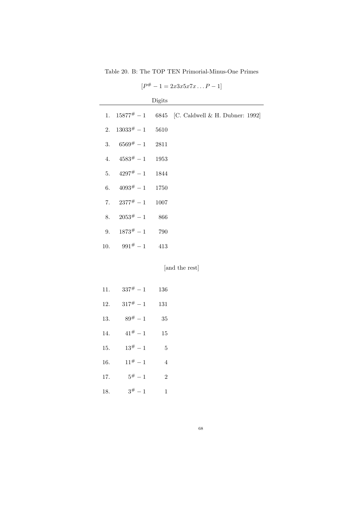Table 20. B: The TOP TEN Primorial-Minus-One Primes

|                          | Digits |                                                          |
|--------------------------|--------|----------------------------------------------------------|
|                          |        | 1. $15877^{\#} - 1$ 6845 [C. Caldwell & H. Dubner: 1992] |
| 2. $13033^{\#} - 1$ 5610 |        |                                                          |
| 3. $6569^{\#} - 1$ 2811  |        |                                                          |
| 4. $4583^{\#} - 1$ 1953  |        |                                                          |
| 5. $4297^{\#} - 1$ 1844  |        |                                                          |
| 6. $4093^{\#} - 1$ 1750  |        |                                                          |
| 7. $2377^{\#} - 1$ 1007  |        |                                                          |
| 8. $2053^{\#} - 1$ 866   |        |                                                          |
| 9. $1873^{\#} - 1$ 790   |        |                                                          |
| 10. $991^{\#} - 1$ 413   |        |                                                          |

 $[P^{\#} - 1 = 2x3x5x7x \dots P - 1]$ 

[and the rest]

| 11. | $337^{\#} - 1$ | 136            |
|-----|----------------|----------------|
| 12. | $317^{\#} - 1$ | 131            |
| 13. | $89^{\#} - 1$  | 35             |
| 14. | $41^{\#} - 1$  | 15             |
| 15. | $13^{\#} - 1$  | 5              |
| 16. | $11^{\#} - 1$  | 4              |
| 17. | $5^{\#} - 1$   | $\overline{2}$ |
| 18. | $3^{\#} - 1$   | 1              |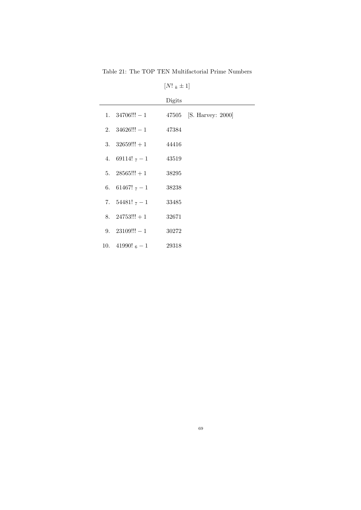Table 21: The TOP TEN Multifactorial Prime Numbers

# $[N! \ \mbox{\scriptsize $k\pm1$}]$

|                        | Digits |                         |
|------------------------|--------|-------------------------|
| 1. $34706$ !!! $-1$    |        | 47505 [S. Harvey: 2000] |
| 2. $34626!! - 1$       | 47384  |                         |
| 3. $32659!! + 1$ 44416 |        |                         |
| 4. 69114! $7 - 1$      | 43519  |                         |
| 5. $28565!!! + 1$      | 38295  |                         |
| 6. 61467! $7 - 1$      | 38238  |                         |
| 7. $54481! \t7 - 1$    | 33485  |                         |
| $8. \quad 24753!! + 1$ | 32671  |                         |
| 9. $23109!! - 1$       | 30272  |                         |
| 10. 41990! $_6 - 1$    | 29318  |                         |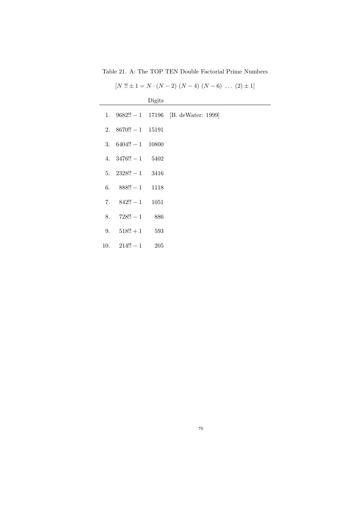Table 21. A: The TOP TEN Double Factorial Prime Numbers

| $[N!! \pm 1 = N \cdot (N-2) (N-4) (N-6) \dots (2) \pm 1]$ |        |                                          |  |
|-----------------------------------------------------------|--------|------------------------------------------|--|
|                                                           | Digits |                                          |  |
|                                                           |        | 1. $9682!! - 1$ 17196 [B. deWater: 1999] |  |
| 2. $8670!! - 1$ 15191                                     |        |                                          |  |
| 3. $6404!! - 1$ 10800                                     |        |                                          |  |
| 4. $3476!! - 1$ 5402                                      |        |                                          |  |
| 5. $2328!! - 1$ 3416                                      |        |                                          |  |
| 6. $888!! - 1$ 1118                                       |        |                                          |  |
| 7. $842!! - 1$ 1051                                       |        |                                          |  |
| 8. $728!! - 1$ 886                                        |        |                                          |  |
| 9. $518!!+1$ 593                                          |        |                                          |  |
|                                                           |        |                                          |  |

10.  $214!! - 1$  205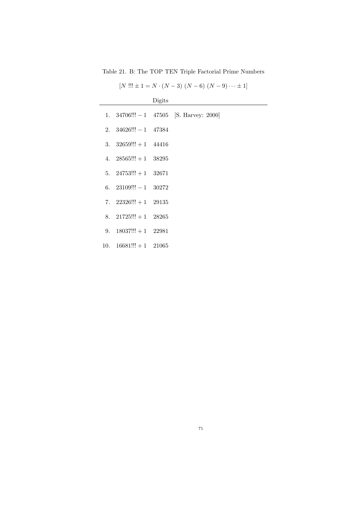Table 21. B: The TOP TEN Triple Factorial Prime Numbers

|  | $[N'!!:\pm 1 = N \cdot (N-3) (N-6) (N-9) \cdots \pm 1]$ |
|--|---------------------------------------------------------|
|  |                                                         |

|                          | Digits |                                             |
|--------------------------|--------|---------------------------------------------|
|                          |        | 1. $34706!!! - 1$ $47505$ [S. Harvey: 2000] |
| 2. $34626!! - 1$ $47384$ |        |                                             |
| 3. $32659!! + 1$ 44416   |        |                                             |
| 4. $28565!! + 1$ $38295$ |        |                                             |
| 5. $24753!!! + 1$ 32671  |        |                                             |
| 6. $23109!! - 1$ $30272$ |        |                                             |
| 7. $22326!! + 1$ $29135$ |        |                                             |
| 8. $21725!!! + 1$ 28265  |        |                                             |
| 9. $18037!!! + 1$ 22981  |        |                                             |
| 10. $16681!! + 1$ 21065  |        |                                             |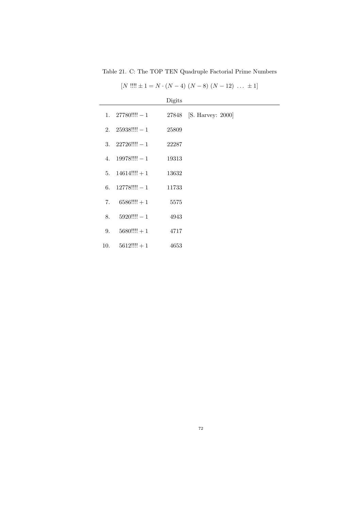Table 21. C: The TOP TEN Quadruple Factorial Prime Numbers

| $[N']]! \pm 1 = N \cdot (N-4) (N-8) (N-12) \ldots \pm 1]$ |  |  |
|-----------------------------------------------------------|--|--|
|                                                           |  |  |

|     |                      | Digits |                         |
|-----|----------------------|--------|-------------------------|
|     | 1. $27780$ !!!! $-1$ |        | 27848 [S. Harvey: 2000] |
|     | 2. $25938$ !!!! $-1$ | 25809  |                         |
|     | 3. $22726$ !!!! $-1$ | 22287  |                         |
| 4.  | $19978$ !!!! $-1$    | 19313  |                         |
|     | 5. $14614$ !!!! + 1  | 13632  |                         |
| 6.  | $12778$ !!!! $-1$    | 11733  |                         |
| 7.  | $6586$ !!!! + 1      | 5575   |                         |
| 8.  | $5920$ !!!! $-1$     | 4943   |                         |
| 9.  | $5680$ !!!! + 1      | 4717   |                         |
| 10. | $5612$ !!!! + 1      | 4653   |                         |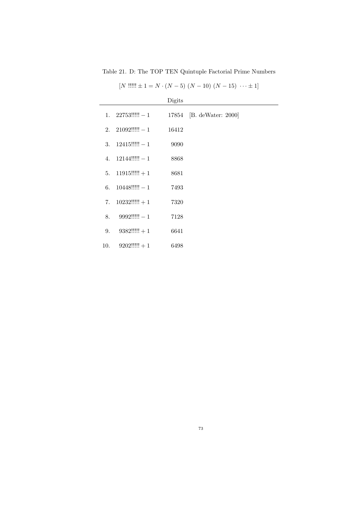Table 21. D: The TOP TEN Quintuple Factorial Prime Numbers

|  | $[N'$ !!!!! $\pm 1 = N \cdot (N-5) (N-10) (N-15) \cdots \pm 1$ |
|--|----------------------------------------------------------------|
|  |                                                                |

|     |                            | Digits |                          |
|-----|----------------------------|--------|--------------------------|
|     | 1. $22753$ !!!!! $-1$      |        | 17854 [B. deWater: 2000] |
|     | 2. $21092$ !!!!!! $-1$     | 16412  |                          |
|     | 3. $12415$ !!!!! $-1$      | 9090   |                          |
|     | 4. $12144$ !!!!!! $-1$     | 8868   |                          |
|     | $5. \quad 11915$ !!!!! + 1 | 8681   |                          |
| 6.  | $10448$ !!!!! $-1$         | 7493   |                          |
| 7.  | $10232$ !!!!! + 1          | 7320   |                          |
| 8.  | $9992$ !!!!!! $-1$         | 7128   |                          |
| 9.  | $9382$ !!!!! + 1           | 6641   |                          |
| 10. | $9202$ !!!!!! + 1          | 6498   |                          |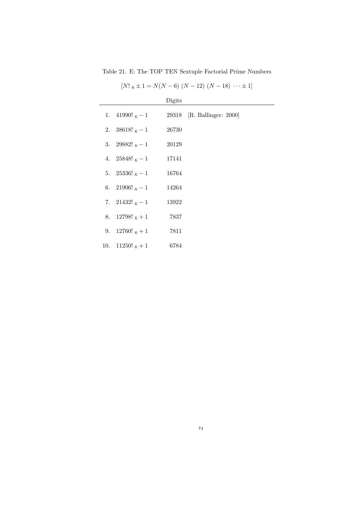Table 21. E: The TOP TEN Sextuple Factorial Prime Numbers

| $[N!_{6} \pm 1 = N(N-6) (N-12) (N-18) \cdots \pm 1]$ |  |  |  |
|------------------------------------------------------|--|--|--|
|                                                      |  |  |  |

|                    | Digits |                            |
|--------------------|--------|----------------------------|
| 1. 41990! $_6 - 1$ |        | 29318 [R. Ballinger: 2000] |
| 2. $38618!_{6}-1$  | 26730  |                            |
| 3. 29882! $_6 - 1$ | 20129  |                            |
| 4. 25848! $_6 - 1$ | 17141  |                            |
| 5. 25336! $_6 - 1$ | 16764  |                            |
| 6. 21906! $_6 - 1$ | 14264  |                            |
| 7. 21432! $_6 - 1$ | 13922  |                            |
| 8. 12798! $_6 + 1$ | 7837   |                            |
| 9. 12760! $_6 + 1$ | 7811   |                            |
| 10. $11250!$ 6 + 1 | 6784   |                            |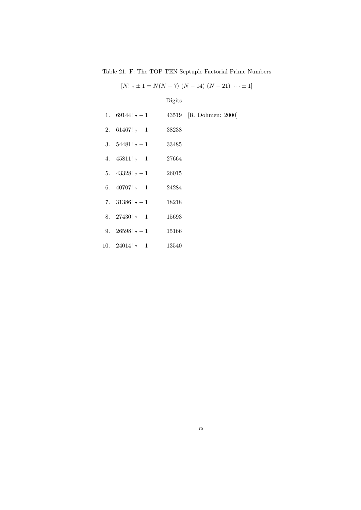Table 21. F: The TOP TEN Septuple Factorial Prime Numbers

| $[N! \; \tau \pm 1 = N(N-7) (N-14) (N-21) \cdots \pm 1]$ |
|----------------------------------------------------------|
|                                                          |

|                        | Digits |                                              |
|------------------------|--------|----------------------------------------------|
|                        |        | 1. 69144! $_{7} - 1$ 43519 [R. Dohmen: 2000] |
| 2. 61467! $7 - 1$      | 38238  |                                              |
| 3. $54481! \tau - 1$   | 33485  |                                              |
| 4. $45811! \t_{7} - 1$ | 27664  |                                              |
| 5. $43328! \t_7 - 1$   | 26015  |                                              |
| 6. $40707!$ $7-1$      | 24284  |                                              |
| 7. 31386! $7 - 1$      | 18218  |                                              |
| 8. 27430! $7 - 1$      | 15693  |                                              |
| 9. 26598! $7 - 1$      | 15166  |                                              |
| 10. 24014! $7 - 1$     | 13540  |                                              |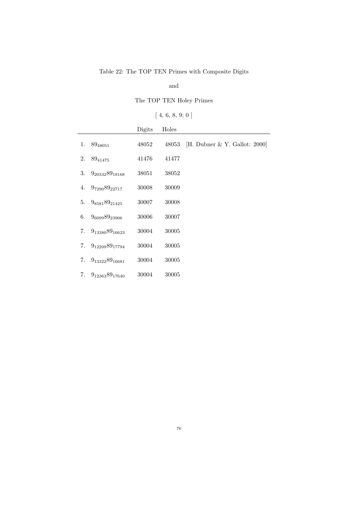## Table 22: The TOP TEN Primes with Composite Digits

and

The TOP TEN Holey Primes

 $[\;4,\;6,\;8,\;9;\;0\;]$ 

|    |                       | Digits | Holes |                                 |
|----|-----------------------|--------|-------|---------------------------------|
| 1. | 8948051               | 48052  | 48053 | [H. Dubner $& Y.$ Gallot: 2000] |
| 2. | 8941475               | 41476  | 41477 |                                 |
| 3. | $9_{20332}89_{18168}$ | 38051  | 38052 |                                 |
| 4. | $9_{7290}89_{22717}$  | 30008  | 30009 |                                 |
| 5. | $9_{8581}89_{21425}$  | 30007  | 30008 |                                 |
| 6. | 960998923906          | 30006  | 30007 |                                 |
| 7. | $9_{13380}89_{16623}$ | 30004  | 30005 |                                 |
| 7. | $9_{12209}89_{17794}$ | 30004  | 30005 |                                 |
| 7. | $9_{13322}89_{16681}$ | 30004  | 30005 |                                 |
| 7. | $9_{12363}89_{17640}$ | 30004  | 30005 |                                 |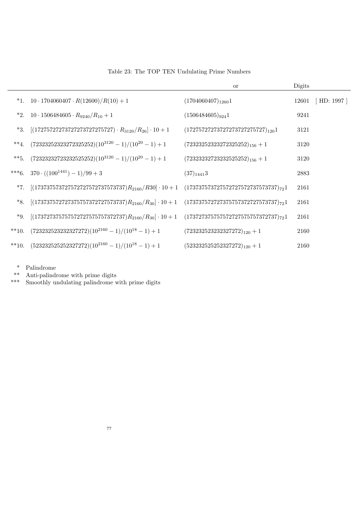|         |                                                                                                            | or                                       | Digits |            |
|---------|------------------------------------------------------------------------------------------------------------|------------------------------------------|--------|------------|
|         | *1. $10 \cdot 1704060407 \cdot R(12600)/R(10) + 1$                                                         | $(1704060407)_{1260}1$                   | 12601  | [HD: 1997] |
|         | *2. $10 \cdot 1506484605 \cdot R_{9240}/R_{10} + 1$                                                        | $(1506484605)_{924}1$                    | 9241   |            |
|         | *3. $[(17275727273727273727275727) \cdot R_{3120}/R_{26}] \cdot 10 + 1$                                    | $(17275727273727273727275727)_{120}1$    | 3121   |            |
| $**_4.$ | $(72323252323272325252)(10^{3120} - 1)/(10^{20} - 1) + 1$                                                  | $(72323252323272325252)_{156} + 1$       | 3120   |            |
| $**5.$  | $(72323232723232525252)(10^{3120} - 1)/(10^{20} - 1) + 1$                                                  | $(72323232723232525252)_{156} + 1$       | 3120   |            |
| $***6.$ | $370 \cdot ((100^{1441}) - 1)/99 + 3$                                                                      | $(37)_{1441}$ 3                          | 2883   |            |
| $*7.$   | $[(173737573727572727572737573737)R_{2160}/R30] \cdot 10 + 1 \quad (173737573727572727572737573737)_{72}1$ |                                          | 2161   |            |
| *8.     | $[(173737572727375757372727573737)R_{2160}/R_{30}] \cdot 10 + 1$                                           | $(173737572727375757372727573737)_{72}1$ | 2161   |            |
| $*9.$   | $[(173727375757572727575757372737)R_{2160}/R_{30}] \cdot 10 + 1$                                           | $(173727375757572727575757372737)_{72}1$ | 2161   |            |
| $**10.$ | $(723232523232327272)(10^{2160} - 1)/(10^{18} - 1) + 1$                                                    | $(723232523232327272)_{120} + 1$         | 2160   |            |
| $**10.$ | $(523232525252327272)(10^{2160} - 1)/(10^{18} - 1) + 1$                                                    | $(523232525252327272)_{120} + 1$         | 2160   |            |

## Table 23: The TOP TEN Undulating Prime Numbers

\* Palindrome

\*\* Anti-palindrome with prime digits

\*\*\* Smoothly undulating palindrome with prime digits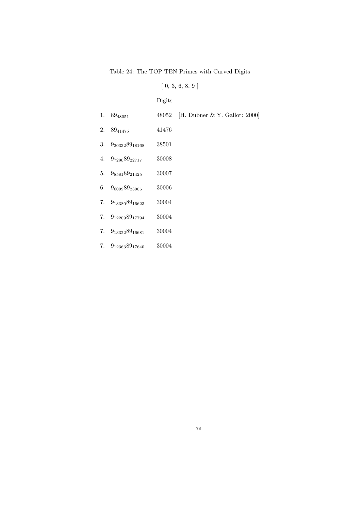Table 24: The TOP TEN Primes with Curved Digits

|  | [0, 3, 6, 8, 9] |  |  |
|--|-----------------|--|--|
|  |                 |  |  |

|    |                          | Digits |                                  |
|----|--------------------------|--------|----------------------------------|
| 1. | 8948051                  | 48052  | [H. Dubner & Y. Gallot: $2000$ ] |
| 2. | 89 <sub>41475</sub>      | 41476  |                                  |
| 3. | $9_{20332}89_{18168}$    | 38501  |                                  |
|    | 4. $9_{7290}89_{22717}$  | 30008  |                                  |
| 5. | $9_{8581}89_{21425}$     | 30007  |                                  |
| 6. | 960998923906             | 30006  |                                  |
| 7. | $9_{13380}89_{16623}$    | 30004  |                                  |
|    | 7. $9_{12209}89_{17794}$ | 30004  |                                  |
| 7. | $9_{13322}89_{16681}$    | 30004  |                                  |
| 7. | $9_{12363}89_{17640}$    | 30004  |                                  |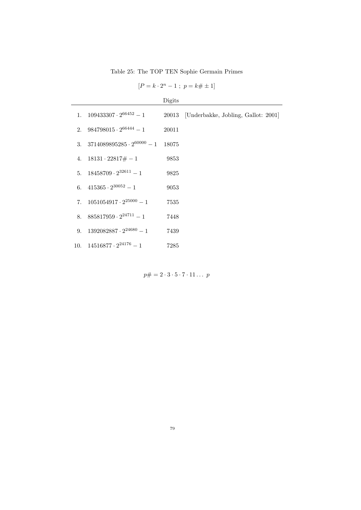Table 25: The TOP TEN Sophie Germain Primes

| $[P = k \cdot 2^n - 1 ; p = k \# \pm 1]$ |  |  |  |  |  |
|------------------------------------------|--|--|--|--|--|
|------------------------------------------|--|--|--|--|--|

| u<br>U |  |
|--------|--|
|        |  |
|        |  |

| 1. $109433307 \cdot 2^{66452} - 1$     |       | 20013 [Underbakke, Jobling, Gallot: 2001] |
|----------------------------------------|-------|-------------------------------------------|
| 2. $984798015 \cdot 2^{66444} - 1$     | 20011 |                                           |
| 3. $3714089895285 \cdot 2^{60000} - 1$ | 18075 |                                           |
| 4. $18131 \cdot 22817 \# - 1$          | 9853  |                                           |
| 5. $18458709 \cdot 2^{32611} - 1$      | 9825  |                                           |
| 6. $415365 \cdot 2^{30052} - 1$        | 9053  |                                           |
| 7. $1051054917 \cdot 2^{25000} - 1$    | 7535  |                                           |
| 8. $885817959 \cdot 2^{24711} - 1$     | 7448  |                                           |
| 9. $1392082887 \cdot 2^{24680} - 1$    | 7439  |                                           |
| 10. $14516877 \cdot 2^{24176} - 1$     | 7285  |                                           |

 $p\# = 2 \cdot 3 \cdot 5 \cdot 7 \cdot 11 \dots p$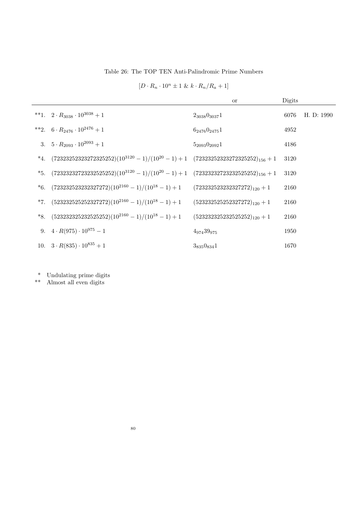Table 26: The TOP TEN Anti-Palindromic Prime Numbers

|                                                                                                  | <b>or</b>           | Digits |            |
|--------------------------------------------------------------------------------------------------|---------------------|--------|------------|
| **1. $2 \cdot R_{3038} \cdot 10^{3038} + 1$                                                      | $2_{3038}0_{3037}1$ | 6076   | H. D: 1990 |
| **2. $6 \cdot R_{2476} \cdot 10^{2476} + 1$                                                      | $6_{2476}0_{2475}1$ | 4952   |            |
| 3. $5 \cdot R_{2093} \cdot 10^{2093} + 1$                                                        | $5_{2093}0_{2092}1$ | 4186   |            |
| *4. $(723232523252325252)(10^{3120} - 1)/(10^{20} - 1) + 1$ $(723232523272325252)_{156} + 1$     |                     | 3120   |            |
| *5. $(72323232723232525252)(10^{3120} - 1)/(10^{20} - 1) + 1$ $(72323232723232525252)_{156} + 1$ |                     | 3120   |            |
| *6. $(723232523232327272)(10^{2160} - 1)/(10^{18} - 1) + 1$ $(723232523232327272)_{120} + 1$     |                     | 2160   |            |
| *7. $(523232525252327272)(10^{2160} - 1)/(10^{18} - 1) + 1$ $(523232525252327272)_{120} + 1$     |                     | 2160   |            |
| *8. $(5232325252525252)(10^{2160} - 1)/(10^{18} - 1) + 1$ $(5232323252525252)_{120} + 1$         |                     | 2160   |            |
| 9. $4 \cdot R(975) \cdot 10^{975} - 1$                                                           | 497439975           | 1950   |            |
| 10. $3 \cdot R(835) \cdot 10^{835} + 1$                                                          | $3_{835}0_{834}1$   | 1670   |            |

\* Undulating prime digits

\*\* Almost all even digits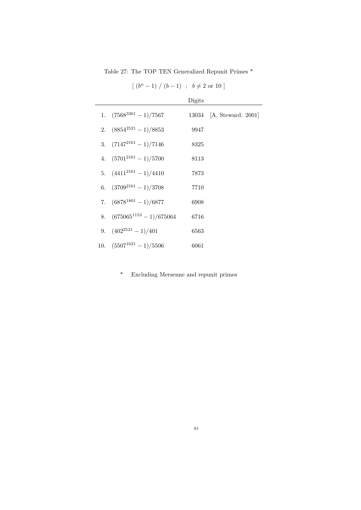Table 27: The TOP TEN Generalized Repunit Primes \*

|                                 | Digits |                          |
|---------------------------------|--------|--------------------------|
| 1. $(7568^{3361} - 1)/7567$     |        | 13034 [A. Steward: 2001] |
| 2. $(8854^{2521} - 1)/8853$     | 9947   |                          |
| 3. $(7147^{2161} - 1)/7146$     | 8325   |                          |
| 4. $(5701^{2161} - 1)/5700$     | 8113   |                          |
| 5. $(4411^{2161} - 1)/4410$     | 7873   |                          |
| 6. $(3709^{2161} - 1)/3708$     | 7710   |                          |
| 7. $(6878^{1801} - 1)/6877$     | 6908   |                          |
| 8. $(675065^{1153} - 1)/675064$ | 6716   |                          |
| 9. $(402^{2521} - 1)/401$       | 6563   |                          |
| 10. $(5507^{1621} - 1)/5506$    | 6061   |                          |

 $[(b<sup>n</sup> - 1) / (b - 1) ; b \neq 2 \text{ or } 10]$ 

\* Excluding Mersenne and repunit primes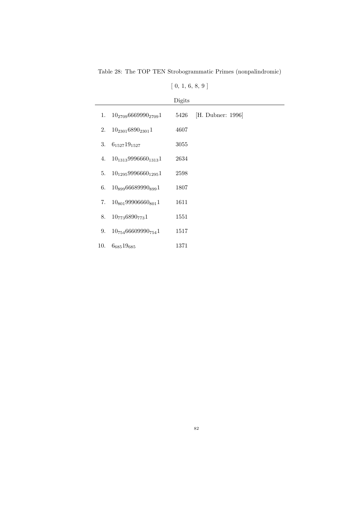Table 28: The TOP TEN Strobogrammatic Primes (nonpalindromic)

| [0, 1, 6, 8, 9] |  |  |  |  |  |  |
|-----------------|--|--|--|--|--|--|
|-----------------|--|--|--|--|--|--|

|     |                                      | Digits |                   |
|-----|--------------------------------------|--------|-------------------|
|     | 1. $10_{2709}6669990_{2709}1$        | 5426   | [H. Dubner: 1996] |
| 2.  | $10_{2301}6890_{2301}1$              | 4607   |                   |
| 3.  | $6_{1527}19_{1527}$                  | 3055   |                   |
| 4.  | $10_{1313}9996660_{1313}1$           | 2634   |                   |
| 5.  | $10_{1295}9996660_{1295}1$           | 2598   |                   |
| 6.  | $10_{899}66689990_{899}1$            | 1807   |                   |
| 7.  | $10_{801}$ 99906660 <sub>801</sub> 1 | 1611   |                   |
| 8.  | $10_{773}6890_{773}1$                | 1551   |                   |
| 9.  | $10_{754}66609990_{754}1$            | 1517   |                   |
| 10. | $6_{685}19_{685}$                    | 1371   |                   |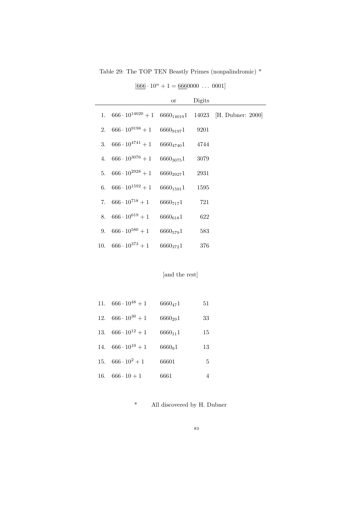Table 29: The TOP TEN Beastly Primes (nonpalindromic) \*

|  |                                             | or             | Digits |                                                                       |
|--|---------------------------------------------|----------------|--------|-----------------------------------------------------------------------|
|  |                                             |                |        | 1. $666 \cdot 10^{14020} + 1$ $6660_{14019}1$ 14023 [H. Dubner: 2000] |
|  | 2. $666 \cdot 10^{9198} + 1$ $6660_{9197}1$ |                | 9201   |                                                                       |
|  | 3. $666 \cdot 10^{4741} + 1$ $6660_{4740}1$ |                | 4744   |                                                                       |
|  | 4. $666 \cdot 10^{3076} + 1$                | $6660_{3075}1$ | 3079   |                                                                       |
|  | 5. $666 \cdot 10^{2928} + 1$                | $6660_{2927}1$ | 2931   |                                                                       |
|  | 6. $666 \cdot 10^{1592} + 1$                | $6660_{1591}1$ | 1595   |                                                                       |
|  | 7. $666 \cdot 10^{718} + 1$                 | 66607171       | 721    |                                                                       |
|  | 8. $666 \cdot 10^{619} + 1$                 | $6660_{618}1$  | 622    |                                                                       |
|  | 9. $666 \cdot 10^{580} + 1$                 | $6660_{579}1$  | 583    |                                                                       |
|  | 10. $666 \cdot 10^{373} + 1$                | 66603721       | 376    |                                                                       |

 $[666 \cdot 10^n + 1 = 6660000 \dots 0001]$ 

#### [and the rest]

| 11. $666 \cdot 10^{48} + 1$ | $6660_{47}1$ | 51 |
|-----------------------------|--------------|----|
| 12. $666 \cdot 10^{30} + 1$ | $6660_{29}1$ | 33 |
| 13. $666 \cdot 10^{12} + 1$ | $6660_{11}1$ | 15 |
| 14. $666 \cdot 10^{10} + 1$ | $6660_91$    | 13 |
| 15. $666 \cdot 10^2 + 1$    | 66601        | 5  |
| 16. $666 \cdot 10 + 1$      | 6661         | 4  |

\* All discovered by H. Dubner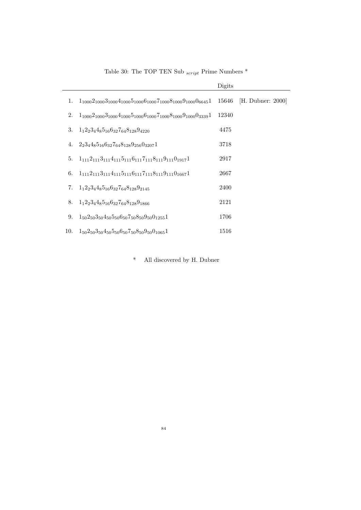|     |                                                                                     | Digits |                   |
|-----|-------------------------------------------------------------------------------------|--------|-------------------|
| 1.  | $1_{1000}2_{1000}3_{1000}4_{1000}5_{1000}6_{1000}7_{1000}8_{1000}9_{1000}0_{6645}1$ | 15646  | [H. Dubner: 2000] |
| 2.  | $1_{1000}2_{1000}3_{1000}4_{1000}5_{1000}6_{1000}7_{1000}8_{1000}9_{1000}0_{3339}1$ | 12340  |                   |
| 3.  | $1_12_23_44_85_{16}6_{32}7_{64}8_{128}9_{4220}$                                     | 4475   |                   |
|     | 4. $2.34485_{16}6_{32}7_{64}8_{128}9_{256}0_{3207}1$                                | 3718   |                   |
| 5.  | $1_{111}2_{111}3_{111}4_{111}5_{111}6_{111}7_{111}8_{111}9_{111}0_{1917}1$          | 2917   |                   |
| 6.  | $1_{111}2_{111}3_{111}4_{111}5_{111}6_{111}7_{111}8_{111}9_{111}0_{1667}1$          | 2667   |                   |
| 7.  | $1_12_23_44_85_{16}6_{32}7_{64}8_{128}9_{2145}$                                     | 2400   |                   |
| 8.  | $1_12_23_44_85_{16}6_{32}7_{64}8_{128}9_{1866}$                                     | 2121   |                   |
| 9.  | $1_{50}2_{50}3_{50}4_{50}5_{50}6_{50}7_{50}8_{50}9_{50}0_{1255}1$                   | 1706   |                   |
| 10. | $1_{50}2_{50}3_{50}4_{50}5_{50}6_{50}7_{50}8_{50}9_{50}0_{1065}1$                   | 1516   |                   |

Table 30: The TOP TEN Sub $_{script}$  Prime Numbers  $^\ast$ 

\* All discovered by H. Dubner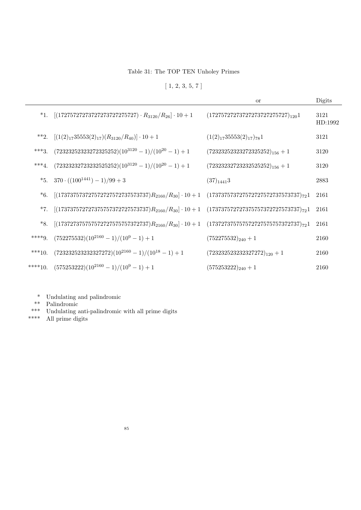Table 31: The TOP TEN Unholey Primes

 $[1, 2, 3, 5, 7]$ 

|           |                                                                                                               | or                                       | Digits          |
|-----------|---------------------------------------------------------------------------------------------------------------|------------------------------------------|-----------------|
|           | *1. $[(17275727273727273727275727) \cdot R_{3120}/R_{26}] \cdot 10 + 1$                                       | $(17275727273727273727275727)_{120}1$    | 3121<br>HD:1992 |
|           | **2. $[(1(2)_{17}35553(2)_{17})(R_{3120}/R_{40})] \cdot 10 + 1$                                               | $(1(2)_{17}35553(2)_{17})_{78}1$         | 3121            |
| $***3.$   | $(72323252323272325252)(10^{3120} - 1)/(10^{20} - 1) + 1$                                                     | $(72323252323272325252)_{156} + 1$       | 3120            |
| $***4.$   | $(72323232723232525252)(10^{3120} - 1)/(10^{20} - 1) + 1$                                                     | $(72323232723232525252)_{156} + 1$       | 3120            |
|           | *5. $370 \cdot ((100^{1441}) - 1)/99 + 3$                                                                     | $(37)_{1441}$ 3                          | 2883            |
| $*6.$     | $[(173737573727572727572737573737)R_{2160}/R_{30}]\cdot 10 + 1$                                               | $(173737573727572727572737573737)_{72}1$ | 2161            |
| $*7.$     | $[(173737572727375757372727573737)R_{2160}/R_{30}] \cdot 10 + 1 \quad (173737572727375757372727573737)_{72}1$ |                                          | 2161            |
| *8.       | $[(173727375757572727575757372737)R_{2160}/R_{30}]\cdot 10 + 1$                                               | $(173727375757572727575757372737)_{72}1$ | 2161            |
| $***9.$   | $(752275532)(10^{2160} - 1)/(10^9 - 1) + 1$                                                                   | $(752275532)_{240} + 1$                  | 2160            |
| $***10.$  | $(723232523232327272)(10^{2160} - 1)/(10^{18} - 1) + 1$                                                       | $(723232523232327272)_{120} + 1$         | 2160            |
| $****10.$ | $(575253222)(10^{2160} - 1)/(10^9 - 1) + 1$                                                                   | $(575253222)_{240} + 1$                  | 2160            |

\* Undulating and palindromic

\*\* Palindromic

\*\*\* Undulating anti-palindromic with all prime digits  $***$  All prime digits

 $\;$  All prime digits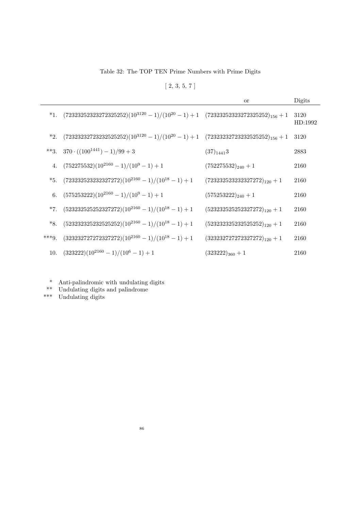Table 32: The TOP TEN Prime Numbers with Prime Digits

 $[2, 3, 5, 7]$ 

|         |                                                                                                  | or                               | Digits          |
|---------|--------------------------------------------------------------------------------------------------|----------------------------------|-----------------|
|         | *1. $(723232523252325252)(10^{3120} - 1)/(10^{20} - 1) + 1$ $(723232523272325252)_{156} + 1$     |                                  | 3120<br>HD:1992 |
|         | *2. $(72323232723232525252)(10^{3120} - 1)/(10^{20} - 1) + 1$ $(72323232723232525252)_{156} + 1$ |                                  | 3120            |
|         | **3. $370 \cdot ((100^{1441}) - 1)/99 + 3$                                                       | $(37)_{1441}$ 3                  | 2883            |
|         | 4. $(752275532)(10^{2160} - 1)/(10^9 - 1) + 1$                                                   | $(752275532)_{240}+1$            | 2160            |
|         | *5. $(7232325232327272)(10^{2160} - 1)/(10^{18} - 1) + 1$                                        | $(723232523232327272)_{120} + 1$ | 2160            |
|         | 6. $(575253222)(10^{2160} - 1)/(10^9 - 1) + 1$                                                   | $(575253222)_{240}+1$            | 2160            |
|         | *7. $(5232325252327272)(10^{2160} - 1)/(10^{18} - 1) + 1$                                        | $(523232525252327272)_{120} + 1$ | 2160            |
|         | *8. $(5232323252525252)(10^{2160} - 1)/(10^{18} - 1) + 1$                                        | $(523232325232525252)_{120} + 1$ | 2160            |
| $***9.$ | $(323232727272327272)(10^{2160} - 1)/(10^{18} - 1) + 1$                                          | $(323232727272327272)_{120} + 1$ | 2160            |
| 10.     | $(323222)(10^{2160} - 1)/(10^6 - 1) + 1$                                                         | $(323222)_{360}+1$               | 2160            |

- \* Anti-palindromic with undulating digits
- \*\* Undulating digits and palindrome
- \*\*\* Undulating digits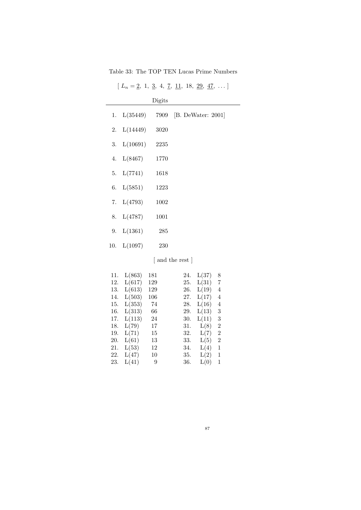Table 33: The TOP TEN Lucas Prime Numbers

| $[L_n = 2, 1, 3, 4, 7, 11, 18, 29, 47, \dots]$ |  |  |  |  |  |
|------------------------------------------------|--|--|--|--|--|
|                                                |  |  |  |  |  |

|                    | Digits |                    |  |
|--------------------|--------|--------------------|--|
| 1. $L(35449)$      | 7909   | [B. DeWater: 2001] |  |
| 2. $L(14449)$      | 3020   |                    |  |
| 3. $L(10691)$ 2235 |        |                    |  |
| 4. $L(8467)$       | 1770   |                    |  |
| 5. $L(7741)$       | 1618   |                    |  |
| 6. $L(5851)$       | 1223   |                    |  |
| 7. $L(4793)$       | 1002   |                    |  |
| 8. $L(4787)$       | 1001   |                    |  |
| 9. $L(1361)$       | 285    |                    |  |
| 10. $L(1097)$      | 230    |                    |  |
|                    |        | and the rest       |  |

| 11. | L(863) | 181 | 24. | L(37) | 8              |
|-----|--------|-----|-----|-------|----------------|
| 12. | L(617) | 129 | 25. | L(31) | $\overline{7}$ |
| 13. | L(613) | 129 | 26. | L(19) | 4              |
| 14. | L(503) | 106 | 27. | L(17) | 4              |
| 15. | L(353) | -74 | 28. | L(16) | 4              |
| 16. | L(313) | 66  | 29. | L(13) | 3              |
| 17. | L(113) | 24  | 30. | L(11) | 3              |
| 18. | L(79)  | 17  | 31. | L(8)  | $\overline{2}$ |
| 19. | L(71)  | 15  | 32. | L(7)  | $\overline{2}$ |
| 20. | L(61)  | 13  | 33. | L(5)  | $\overline{2}$ |
|     |        |     |     |       |                |

21.  $L(53)$  12 34.  $L(4)$  1<br>22.  $L(47)$  10 35.  $L(2)$  1 22.  $L(47)$  10 35.  $L(2)$  1 23. L(41) 9 36. L(0) 1

87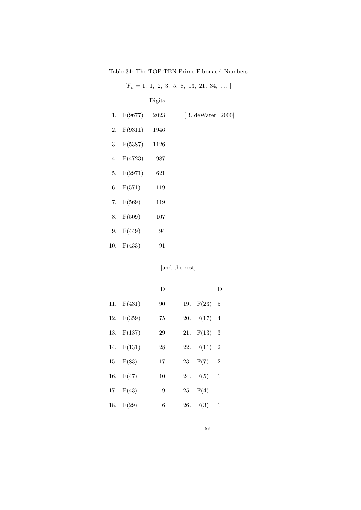Table 34: The TOP TEN Prime Fibonacci Numbers

|     |              | Digits |                     |
|-----|--------------|--------|---------------------|
|     | 1. $F(9677)$ | 2023   | $[B.$ deWater: 2000 |
|     | 2. $F(9311)$ | 1946   |                     |
| 3.  | F(5387)      | 1126   |                     |
|     | 4. $F(4723)$ | 987    |                     |
|     | 5. $F(2971)$ | 621    |                     |
|     | 6. $F(571)$  | 119    |                     |
|     | 7. $F(569)$  | 119    |                     |
| 8.  | F(509)       | 107    |                     |
| 9.  | F(449)       | 94     |                     |
| 10. | F(433)       | 91     |                     |

 $[F_n = 1, 1, 2, 3, 5, 8, 13, 21, 34, ...]$ 

[and the rest]

|              | D      |               | D |
|--------------|--------|---------------|---|
| 11. $F(431)$ | 90     | 19. $F(23)$ 5 |   |
| 12. $F(359)$ | $75\,$ | 20. $F(17)$ 4 |   |
| 13. $F(137)$ | $\,29$ | 21. $F(13)$ 3 |   |
| 14. F(131)   | $28\,$ | 22. $F(11)$ 2 |   |
| 15. $F(83)$  | 17     | 23. $F(7)$ 2  |   |
| 16. $F(47)$  | 10     | 24. $F(5)$ 1  |   |
| 17. F(43)    | 9      | 25. $F(4)$ 1  |   |
| 18. $F(29)$  | 6      | 26. $F(3)$ 1  |   |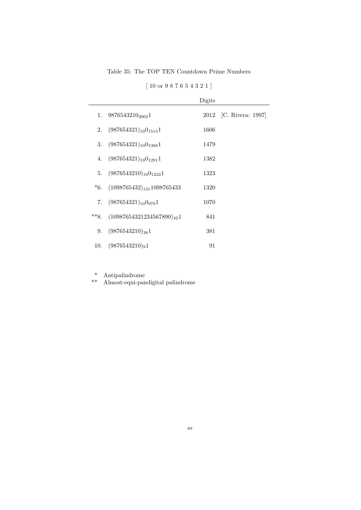Table 35: The TOP TEN Countdown Prime Numbers

[ 10 or 9 8 7 6 5 4 3 2 1 ]

|        |                                       | Digits |                        |
|--------|---------------------------------------|--------|------------------------|
| 1.     | $9876543210_{2002}1$                  |        | 2012 [C. Rivera: 1997] |
| 2.     | $(987654321)_{10}0_{1515}1$           | 1606   |                        |
|        | 3. $(987654321)_{10}0_{1388}1$        | 1479   |                        |
|        | 4. $(987654321)_{10}0_{1291}1$        | 1382   |                        |
| 5.     | $(9876543210)_{10}0_{1222}1$          | 1323   |                        |
| $*6.$  | $(1098765432)_{131}1098765433$        | 1320   |                        |
| 7.     | $(987654321)_{10}$ 0 <sub>979</sub> 1 | 1070   |                        |
| $**8.$ | $(10987654321234567890)_{42}1$        | 841    |                        |
| 9.     | $(9876543210)_{38}1$                  | 381    |                        |
| 10.    | $(9876543210)_{9}1$                   | 91     |                        |

\* Antipalindrome

\*\* Almost-equi-pandigital palindrome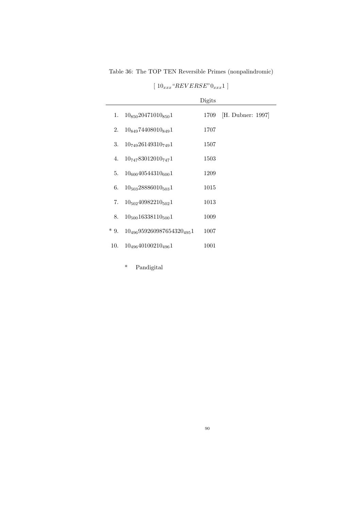Table 36: The TOP TEN Reversible Primes (nonpalindromic)

|       |                                  | Digits |                   |
|-------|----------------------------------|--------|-------------------|
| 1.    | $10_{850}20471010_{850}1$        | 1709   | [H. Dubner: 1997] |
| 2.    | $10_{849}74408010_{849}1$        | 1707   |                   |
| 3.    | $10_{749}26149310_{749}1$        | 1507   |                   |
| 4.    | $10_{747}83012010_{747}1$        | 1503   |                   |
| 5.    | $10_{600}40544310_{600}1$        | 1209   |                   |
| 6.    | $10_{503}28886010_{503}1$        | 1015   |                   |
| 7.    | $10_{502}40982210_{502}1$        | 1013   |                   |
| 8.    | $10_{500}16338110_{500}1$        | 1009   |                   |
| $*9.$ | $10_{496}959260987654320_{495}1$ | 1007   |                   |
| 10.   | $10_{496}40100210_{496}1$        | 1001   |                   |
|       |                                  |        |                   |

 $[ 10<sub>xxx</sub> "REVERSE" 0<sub>xxx</sub> 1 ]$ 

\* Pandigital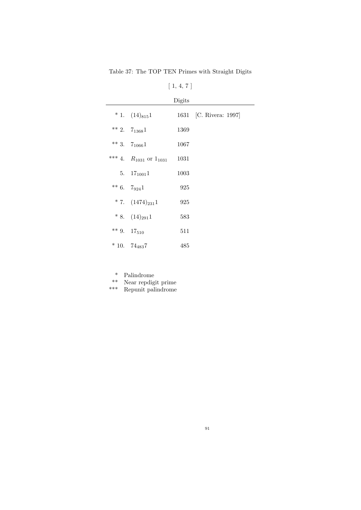Table 37: The TOP TEN Primes with Straight Digits

# $[\;1,\,4,\,7\;]$

|                                 | Digits |                        |
|---------------------------------|--------|------------------------|
| $* 1. (14)_{815}1$              |        | 1631 [C. Rivera: 1997] |
| ** 2. $7_{1368}1$               | 1369   |                        |
| ** 3. $7_{1066}1$               | 1067   |                        |
| *** 4. $R_{1031}$ or $1_{1031}$ | 1031   |                        |
| 5. $17_{1001}1$                 | 1003   |                        |
| ** 6. $7_{924}1$                | 925    |                        |
| $* 7. (1474)_{231}1$            | 925    |                        |
| $* 8. (14)_{291}1$              | 583    |                        |
| ** 9. $17_{510}$                | 511    |                        |
| $*10.74_{483}7$                 | 485    |                        |

\* Palindrome

\*\* Near repdigit prime

\*\*\* Repunit palindrome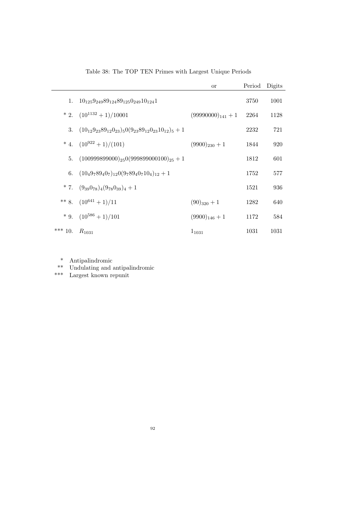|           |                                                                   | <b>or</b>              | Period | Digits |
|-----------|-------------------------------------------------------------------|------------------------|--------|--------|
|           | 1. $10_{125}9_{249}89_{124}89_{125}0_{249}10_{124}1$              |                        | 3750   | 1001   |
|           | $* 2. (10^{1132} + 1)/10001$                                      | $(99990000)_{141} + 1$ | 2264   | 1128   |
| 3.        | $(10_{12}9_{23}89_{12}0_{23})_50(9_{23}89_{12}0_{23}10_{12})_5+1$ |                        | 2232   | 721    |
|           | * 4. $(10^{922} + 1)/(101)$                                       | $(9900)_{230}+1$       | 1844   | 920    |
|           | 5. $(100999899000)_{25}0(999899000100)_{25} + 1$                  |                        | 1812   | 601    |
|           | 6. $(10_49_789_40_7)_{12}0(9_789_40_710_4)_{12}+1$                |                        | 1752   | 577    |
|           | * 7. $(9_{39}0_{78})_4(9_{78}0_{39})_4+1$                         |                        | 1521   | 936    |
|           | ** 8. $(10^{641} + 1)/11$                                         | $(90)_{320}+1$         | 1282   | 640    |
|           | $*$ 9. $(10^{586} + 1)/101$                                       | $(9900)_{146} + 1$     | 1172   | 584    |
| *** $10.$ | $R_{1031}$                                                        | $1_{1031}$             | 1031   | 1031   |

Table 38: The TOP TEN Primes with Largest Unique Periods

\* Antipalindromic

\*\* Undulating and antipalindromic

\*\*\* Largest known repunit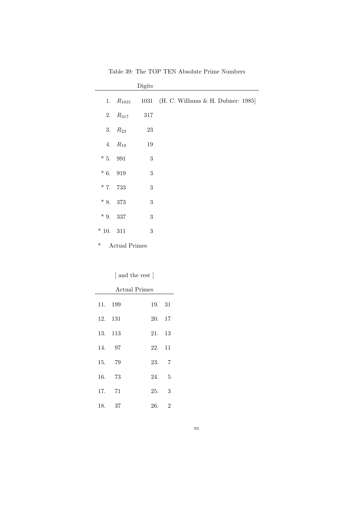|           |                      | Digits     |                                         |
|-----------|----------------------|------------|-----------------------------------------|
| 1.        | $R_{1031}$           |            | 1031 (H. C. Williams & H. Dubner: 1985) |
|           | 2. $R_{317}$         | 317        |                                         |
|           | 3. $R_{23}$          | 23         |                                         |
|           | 4. $R_{19}$          | 19         |                                         |
| $*5.991$  |                      | $\sqrt{3}$ |                                         |
| $*6.919$  |                      | 3          |                                         |
| $*7.733$  |                      | 3          |                                         |
| * 8. 373  |                      | $\sqrt{3}$ |                                         |
| $*9.337$  |                      | $\sqrt{3}$ |                                         |
| $*10.311$ |                      | 3          |                                         |
| $\ast$    | <b>Actual Primes</b> |            |                                         |

Table 39: The TOP TEN Absolute Prime Numbers

[ and the rest ]

| <b>Actual Primes</b> |         |        |                          |  |  |
|----------------------|---------|--------|--------------------------|--|--|
|                      | 11. 199 | 19. 31 |                          |  |  |
|                      | 12. 131 | 20. 17 |                          |  |  |
|                      | 13. 113 | 21. 13 |                          |  |  |
|                      | 14. 97  | 22. 11 |                          |  |  |
|                      | 15. 79  | 23. 7  |                          |  |  |
| 16.                  | - 73    | 24.    | - 5                      |  |  |
|                      | 17. 71  | 25.    | $\overline{\phantom{a}}$ |  |  |
|                      | 18. 37  | 26.    | $\overline{2}$           |  |  |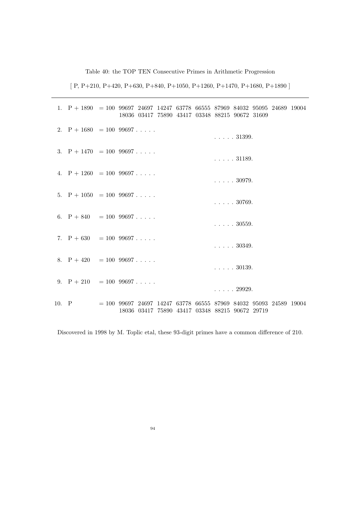Table 40: the TOP TEN Consecutive Primes in Arithmetic Progression

[ P, P+210, P+420, P+630, P+840, P+1050, P+1260, P+1470, P+1680, P+1890 ]

|       |  | 1. $P + 1890 = 10099697246971424763778665558796984032950952468919004$<br>18036 03417 75890 43417 03348 88215 90672 31609 |  |  |                          |  |  |
|-------|--|--------------------------------------------------------------------------------------------------------------------------|--|--|--------------------------|--|--|
|       |  | 2. $P + 1680 = 1009697$                                                                                                  |  |  | $\ldots$ . $31399$ .     |  |  |
|       |  | 3. $P + 1470 = 10099697$                                                                                                 |  |  | $\ldots$ . $31189$ .     |  |  |
|       |  | 4. $P + 1260 = 1009697$                                                                                                  |  |  | $\ldots$ 30979.          |  |  |
|       |  | 5. $P + 1050 = 1009697$                                                                                                  |  |  | $\ldots$ 30769.          |  |  |
|       |  | 6. $P + 840 = 1009697$                                                                                                   |  |  | $\ldots$ 30559.          |  |  |
|       |  | 7. $P + 630 = 10099697$                                                                                                  |  |  | $\ldots$ $\ldots$ 30349. |  |  |
|       |  | 8. $P + 420 = 10099697$                                                                                                  |  |  | $\ldots$ . $30139$ .     |  |  |
|       |  | 9. $P + 210 = 1009697$                                                                                                   |  |  | $\ldots$ . 29929.        |  |  |
| 10. P |  | $= 100$ 99697 24697 14247 63778 66555 87969 84032 95093 24589 19004<br>18036 03417 75890 43417 03348 88215 90672 29719   |  |  |                          |  |  |

Discovered in 1998 by M. Toplic etal, these 93-digit primes have a common difference of 210.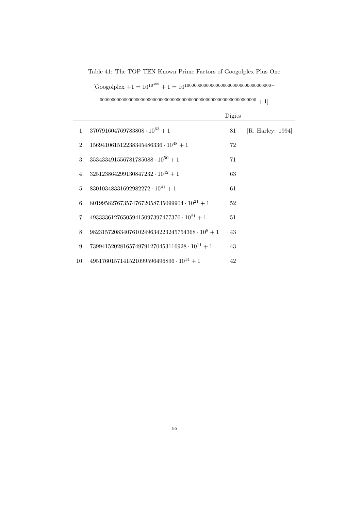Table 41: The TOP TEN Known Prime Factors of Googolplex Plus One

[Googolplex +1 = 10<sup>10</sup><sup>100</sup> + 1 = 10<sup>100000000000000000000000000000000000</sup><sup>−</sup>

<sup>00000000000000000000000000000000000000000000000000000000000000000</sup> + 1]

|                                                         | Digits |                                 |
|---------------------------------------------------------|--------|---------------------------------|
| 1. $370791604769783808 \cdot 10^{63} + 1$               | 81     | $\vert$ R. Harley: 1994 $\vert$ |
| 2. $156941061512238345486336 \cdot 10^{48} + 1$         | 72     |                                 |
| 3. $353433491556781785088 \cdot 10^{50} + 1$            | 71     |                                 |
| 4. $325123864299130847232 \cdot 10^{42} + 1$            | 63     |                                 |
| 5. 83010348331692982272 · $10^{41} + 1$                 | 61     |                                 |
| 6. 8019958276735747672058735099904 · $10^{21} + 1$      | 52     |                                 |
| 7. $493333612765059415097397477376 \cdot 10^{21} + 1$   | 51     |                                 |
| 8. $98231572083407610249634223245754368 \cdot 10^8 + 1$ | 43     |                                 |
| 9. $73994152028165749791270453116928 \cdot 10^{11} + 1$ | 43     |                                 |
| 10. $4951760157141521099596496896 \cdot 10^{14} + 1$    | 42     |                                 |